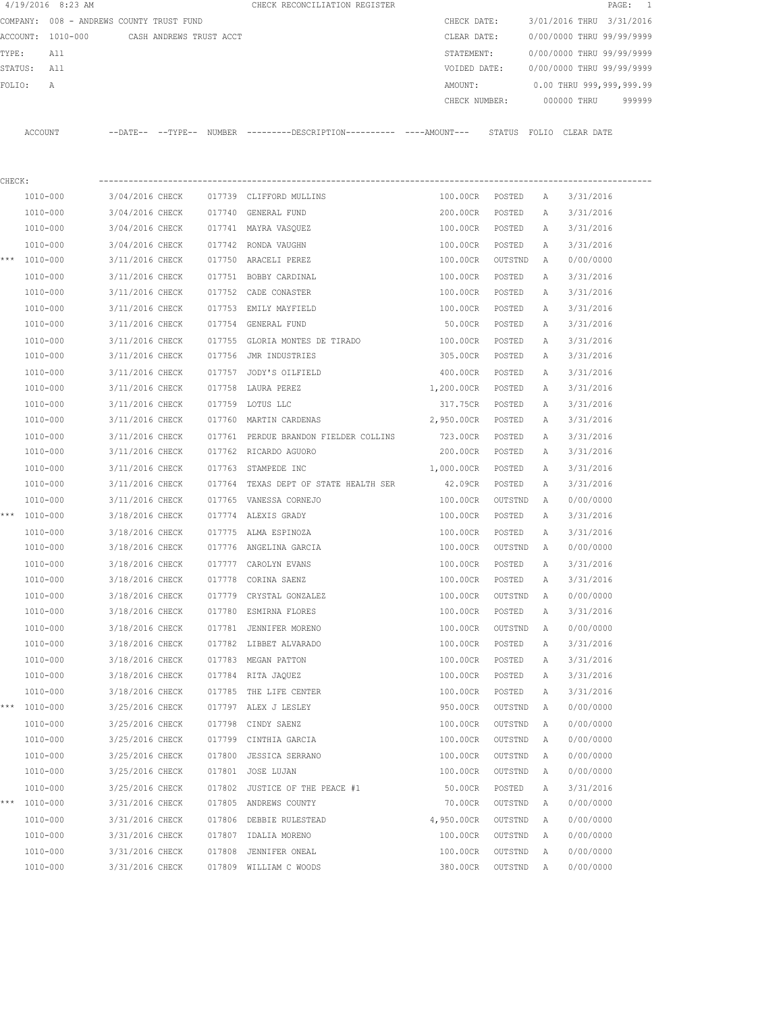|         | $4/19/2016$ 8:23 AM                      |                 |                         |        | CHECK RECONCILIATION REGISTER                                                                |               |         |              |                           | PAGE:<br>-1 |
|---------|------------------------------------------|-----------------|-------------------------|--------|----------------------------------------------------------------------------------------------|---------------|---------|--------------|---------------------------|-------------|
|         | COMPANY: 008 - ANDREWS COUNTY TRUST FUND |                 |                         |        |                                                                                              | CHECK DATE:   |         |              | 3/01/2016 THRU 3/31/2016  |             |
|         | ACCOUNT: 1010-000                        |                 | CASH ANDREWS TRUST ACCT |        |                                                                                              | CLEAR DATE:   |         |              | 0/00/0000 THRU 99/99/9999 |             |
| TYPE:   | All                                      |                 |                         |        |                                                                                              | STATEMENT:    |         |              | 0/00/0000 THRU 99/99/9999 |             |
| STATUS: | All                                      |                 |                         |        |                                                                                              | VOIDED DATE:  |         |              | 0/00/0000 THRU 99/99/9999 |             |
| FOLIO:  | Α                                        |                 |                         |        |                                                                                              | AMOUNT:       |         |              | 0.00 THRU 999,999,999.99  |             |
|         |                                          |                 |                         |        |                                                                                              | CHECK NUMBER: |         |              | 000000 THRU               | 999999      |
|         | ACCOUNT                                  |                 |                         |        | --DATE-- --TYPE-- NUMBER ---------DESCRIPTION---------- ----AMOUNT--- STATUS FOLIO CLEARDATE |               |         |              |                           |             |
|         |                                          |                 |                         |        |                                                                                              |               |         |              |                           |             |
|         |                                          |                 |                         |        |                                                                                              |               |         |              |                           |             |
| CHECK:  |                                          |                 |                         |        |                                                                                              |               |         |              |                           |             |
|         | 1010-000                                 | 3/04/2016 CHECK |                         |        | 017739 CLIFFORD MULLINS                                                                      | 100.00CR      | POSTED  | Α            | 3/31/2016                 |             |
|         | 1010-000                                 | 3/04/2016 CHECK |                         | 017740 | GENERAL FUND                                                                                 | 200.00CR      | POSTED  | Α            | 3/31/2016                 |             |
|         | 1010-000                                 | 3/04/2016 CHECK |                         |        | 017741 MAYRA VASQUEZ                                                                         | 100.00CR      | POSTED  | А            | 3/31/2016                 |             |
|         | 1010-000                                 | 3/04/2016 CHECK |                         | 017742 | RONDA VAUGHN                                                                                 | 100.00CR      | POSTED  | Α            | 3/31/2016                 |             |
|         | *** 1010-000                             | 3/11/2016 CHECK |                         |        | 017750 ARACELI PEREZ                                                                         | 100.00CR      | OUTSTND | A            | 0/00/0000                 |             |
|         | 1010-000                                 | 3/11/2016 CHECK |                         | 017751 | BOBBY CARDINAL                                                                               | 100.00CR      | POSTED  | Α            | 3/31/2016                 |             |
|         | 1010-000                                 | 3/11/2016 CHECK |                         |        | 017752 CADE CONASTER                                                                         | 100.00CR      | POSTED  | Α            | 3/31/2016                 |             |
|         | 1010-000                                 | 3/11/2016 CHECK |                         | 017753 | EMILY MAYFIELD                                                                               | 100.00CR      | POSTED  | Α            | 3/31/2016                 |             |
|         | 1010-000                                 | 3/11/2016 CHECK |                         |        | 017754 GENERAL FUND                                                                          | 50.00CR       | POSTED  | Α            | 3/31/2016                 |             |
|         | 1010-000                                 | 3/11/2016 CHECK |                         | 017755 | GLORIA MONTES DE TIRADO                                                                      | 100.00CR      | POSTED  | Α            | 3/31/2016                 |             |
|         | 1010-000                                 | 3/11/2016 CHECK |                         |        | 017756 JMR INDUSTRIES                                                                        | 305.00CR      | POSTED  | Α            | 3/31/2016                 |             |
|         | 1010-000                                 | 3/11/2016 CHECK |                         | 017757 | JODY'S OILFIELD                                                                              | 400.00CR      | POSTED  | Α            | 3/31/2016                 |             |
|         | 1010-000                                 | 3/11/2016 CHECK |                         | 017758 | LAURA PEREZ                                                                                  | 1,200.00CR    | POSTED  | Α            | 3/31/2016                 |             |
|         | 1010-000                                 | 3/11/2016 CHECK |                         | 017759 | LOTUS LLC                                                                                    | 317.75CR      | POSTED  | Α            | 3/31/2016                 |             |
|         | 1010-000                                 | 3/11/2016 CHECK |                         |        | 017760 MARTIN CARDENAS                                                                       | 2,950.00CR    | POSTED  | Α            | 3/31/2016                 |             |
|         | 1010-000                                 | 3/11/2016 CHECK |                         | 017761 | PERDUE BRANDON FIELDER COLLINS                                                               | 723.00CR      | POSTED  | Α            | 3/31/2016                 |             |
|         | 1010-000                                 | 3/11/2016 CHECK |                         |        | 017762 RICARDO AGUORO                                                                        | 200.00CR      | POSTED  | Α            | 3/31/2016                 |             |
|         | 1010-000                                 | 3/11/2016 CHECK |                         | 017763 | STAMPEDE INC                                                                                 | 1,000.00CR    | POSTED  | Α            | 3/31/2016                 |             |
|         | 1010-000                                 | 3/11/2016 CHECK |                         | 017764 | TEXAS DEPT OF STATE HEALTH SER                                                               | 42.09CR       | POSTED  | Α            | 3/31/2016                 |             |
|         | 1010-000                                 | 3/11/2016 CHECK |                         |        | 017765 VANESSA CORNEJO                                                                       | 100.00CR      | OUTSTND | Α            | 0/00/0000                 |             |
|         | *** 1010-000                             | 3/18/2016 CHECK |                         |        | 017774 ALEXIS GRADY                                                                          | 100.00CR      | POSTED  | Α            | 3/31/2016                 |             |
|         | 1010-000                                 | 3/18/2016 CHECK |                         |        | 017775 ALMA ESPINOZA                                                                         | 100.00CR      | POSTED  | Α            | 3/31/2016                 |             |
|         | 1010-000                                 | 3/18/2016 CHECK |                         |        | 017776 ANGELINA GARCIA                                                                       | 100.00CR      | OUTSTND | Α            | 0/00/0000                 |             |
|         | 1010-000                                 | 3/18/2016 CHECK |                         | 017777 | CAROLYN EVANS                                                                                | 100.00CR      | POSTED  | Α            | 3/31/2016                 |             |
|         | 1010-000                                 | 3/18/2016 CHECK |                         |        | 017778 CORINA SAENZ                                                                          | 100.00CR      | POSTED  | Α            | 3/31/2016                 |             |
|         | 1010-000                                 | 3/18/2016 CHECK |                         |        | 017779 CRYSTAL GONZALEZ                                                                      | 100.00CR      | OUTSTND | Α            | 0/00/0000                 |             |
|         | 1010-000                                 | 3/18/2016 CHECK |                         |        | 017780 ESMIRNA FLORES                                                                        | 100.00CR      | POSTED  | Α            | 3/31/2016                 |             |
|         | 1010-000                                 | 3/18/2016 CHECK |                         |        | 017781 JENNIFER MORENO                                                                       | 100.00CR      | OUTSTND | $\mathbb{A}$ | 0/00/0000                 |             |
|         | 1010-000                                 | 3/18/2016 CHECK |                         |        | 017782 LIBBET ALVARADO                                                                       | 100.00CR      | POSTED  | Α            | 3/31/2016                 |             |
|         | $1010 - 000$                             | 3/18/2016 CHECK |                         |        | 017783 MEGAN PATTON                                                                          | 100.00CR      | POSTED  | Α            | 3/31/2016                 |             |
|         | 1010-000                                 | 3/18/2016 CHECK |                         |        | 017784 RITA JAQUEZ                                                                           | 100.00CR      | POSTED  | Α            | 3/31/2016                 |             |
|         | 1010-000                                 | 3/18/2016 CHECK |                         |        | 017785 THE LIFE CENTER                                                                       | 100.00CR      | POSTED  | Α            | 3/31/2016                 |             |
| ***     | 1010-000                                 | 3/25/2016 CHECK |                         |        | 017797 ALEX J LESLEY                                                                         | 950.00CR      | OUTSTND | Α            | 0/00/0000                 |             |
|         | 1010-000                                 | 3/25/2016 CHECK |                         |        | 017798 CINDY SAENZ                                                                           | 100.00CR      | OUTSTND | Α            | 0/00/0000                 |             |
|         | 1010-000                                 | 3/25/2016 CHECK |                         | 017799 | CINTHIA GARCIA                                                                               | 100.00CR      | OUTSTND | Α            | 0/00/0000                 |             |
|         | 1010-000                                 | 3/25/2016 CHECK |                         | 017800 | JESSICA SERRANO                                                                              | 100.00CR      | OUTSTND | Α            | 0/00/0000                 |             |
|         | 1010-000                                 | 3/25/2016 CHECK |                         |        | 017801 JOSE LUJAN                                                                            | 100.00CR      | OUTSTND | Α            | 0/00/0000                 |             |
|         | 1010-000                                 | 3/25/2016 CHECK |                         |        | 017802 JUSTICE OF THE PEACE #1                                                               | 50.00CR       | POSTED  | Α            | 3/31/2016                 |             |
|         | *** 1010-000                             | 3/31/2016 CHECK |                         |        | 017805 ANDREWS COUNTY                                                                        | 70.00CR       | OUTSTND | Α            | 0/00/0000                 |             |
|         | 1010-000                                 | 3/31/2016 CHECK |                         | 017806 | DEBBIE RULESTEAD                                                                             | 4,950.00CR    | OUTSTND | Α            | 0/00/0000                 |             |
|         | 1010-000                                 | 3/31/2016 CHECK |                         |        | 017807 IDALIA MORENO                                                                         | 100.00CR      | OUTSTND | Α            | 0/00/0000                 |             |
|         | 1010-000                                 | 3/31/2016 CHECK |                         | 017808 | JENNIFER ONEAL                                                                               | 100.00CR      | OUTSTND | Α            | 0/00/0000                 |             |
|         | 1010-000                                 | 3/31/2016 CHECK |                         |        | 017809 WILLIAM C WOODS                                                                       | 380.00CR      | OUTSTND | A            | 0/00/0000                 |             |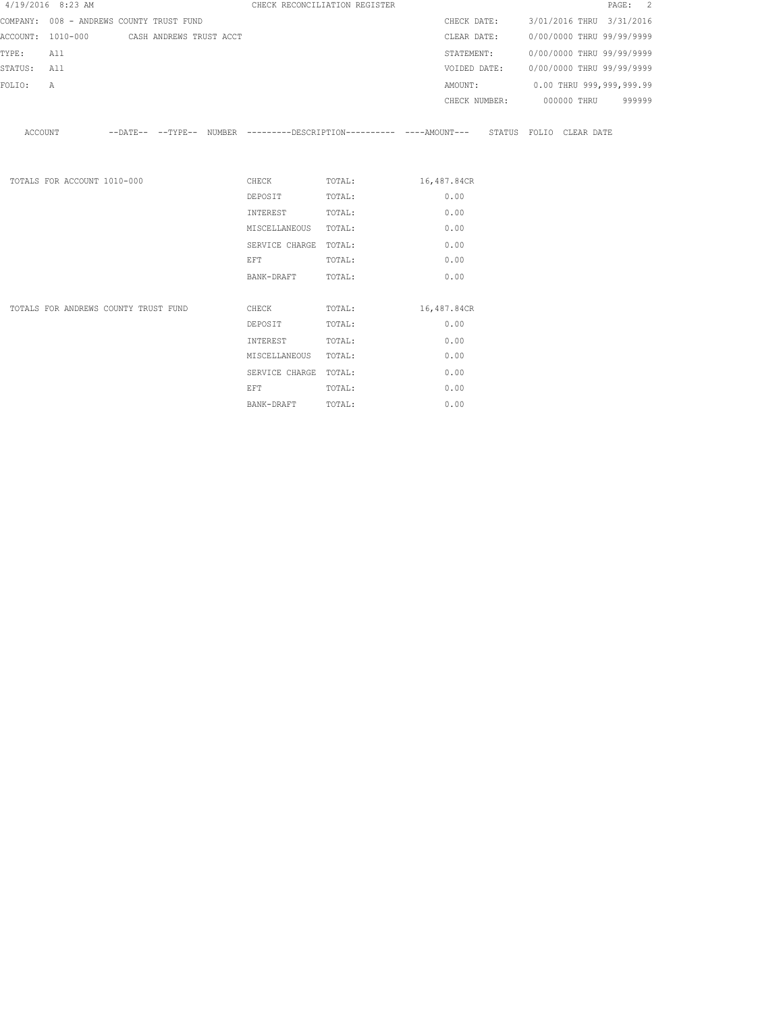|             | 4/19/2016 8:23 AM                         |  |                                                                                                                | CHECK RECONCILIATION REGISTER                                                                       |      |                                        |  | PAGE: 2 |
|-------------|-------------------------------------------|--|----------------------------------------------------------------------------------------------------------------|-----------------------------------------------------------------------------------------------------|------|----------------------------------------|--|---------|
|             | COMPANY: 008 - ANDREWS COUNTY TRUST FUND  |  |                                                                                                                |                                                                                                     |      | CHECK DATE: 3/01/2016 THRU 3/31/2016   |  |         |
|             | ACCOUNT: 1010-000 CASH ANDREWS TRUST ACCT |  |                                                                                                                |                                                                                                     |      | CLEAR DATE: 0/00/0000 THRU 99/99/9999  |  |         |
| TYPE: All   |                                           |  |                                                                                                                |                                                                                                     |      | STATEMENT: 0/00/0000 THRU 99/99/9999   |  |         |
| STATUS: All |                                           |  |                                                                                                                |                                                                                                     |      | VOIDED DATE: 0/00/0000 THRU 99/99/9999 |  |         |
| FOLIO:      | A                                         |  |                                                                                                                |                                                                                                     |      | AMOUNT: 0.00 THRU 999,999,999.99       |  |         |
|             |                                           |  |                                                                                                                |                                                                                                     |      | CHECK NUMBER: 000000 THRU 999999       |  |         |
|             |                                           |  |                                                                                                                | ACCOUNT --DATE-- --TYPE-- NUMBER --------DESCRIPTION--------- ----AMOUNT--- STATUS FOLIO CLEAR DATE |      |                                        |  |         |
|             | TOTALS FOR ACCOUNT 1010-000               |  |                                                                                                                | CHECK TOTAL: 16,487.84CR                                                                            |      |                                        |  |         |
|             |                                           |  | DEPOSIT TOTAL:                                                                                                 |                                                                                                     | 0.00 |                                        |  |         |
|             |                                           |  | INTEREST TOTAL:                                                                                                |                                                                                                     | 0.00 |                                        |  |         |
|             |                                           |  | MISCELLANEOUS TOTAL:                                                                                           |                                                                                                     | 0.00 |                                        |  |         |
|             |                                           |  | SERVICE CHARGE TOTAL:                                                                                          |                                                                                                     | 0.00 |                                        |  |         |
|             |                                           |  | EFT FOR THE STATE OF THE STATE OF THE STATE OF THE STATE OF THE STATE OF THE STATE OF THE STATE OF THE STATE O | TOTAL:                                                                                              | 0.00 |                                        |  |         |
|             |                                           |  | BANK-DRAFT TOTAL:                                                                                              |                                                                                                     | 0.00 |                                        |  |         |
|             | TOTALS FOR ANDREWS COUNTY TRUST FUND      |  |                                                                                                                | CHECK TOTAL: 16,487.84CR                                                                            |      |                                        |  |         |
|             |                                           |  | DEPOSIT                                                                                                        | TOTAL:                                                                                              | 0.00 |                                        |  |         |
|             |                                           |  | INTEREST TOTAL:                                                                                                |                                                                                                     | 0.00 |                                        |  |         |
|             |                                           |  | MISCELLANEOUS TOTAL:                                                                                           |                                                                                                     | 0.00 |                                        |  |         |
|             |                                           |  | SERVICE CHARGE TOTAL:                                                                                          |                                                                                                     | 0.00 |                                        |  |         |
|             |                                           |  | <b>EFT</b>                                                                                                     | TOTAL:                                                                                              | 0.00 |                                        |  |         |

BANK-DRAFT TOTAL: 0.00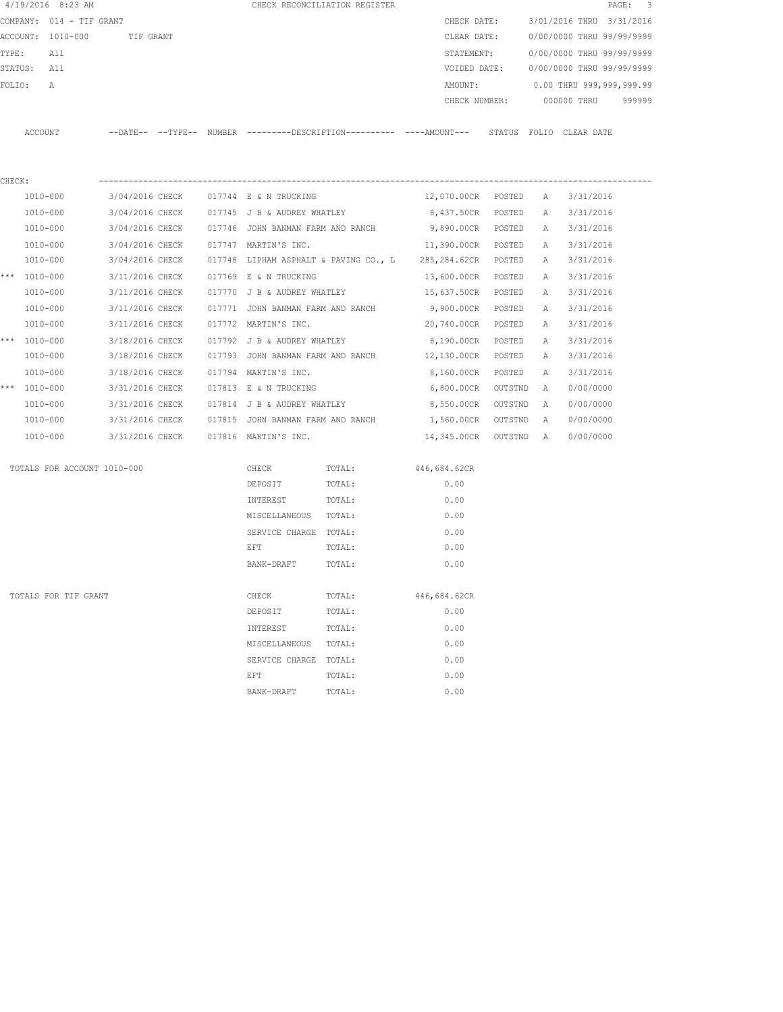|        | $4/19/2016$ 8:23 AM         |                 |  |                                                 | CHECK RECONCILIATION REGISTER                     |                                                                                                      |        |     |                                        | PAGE: 3 |
|--------|-----------------------------|-----------------|--|-------------------------------------------------|---------------------------------------------------|------------------------------------------------------------------------------------------------------|--------|-----|----------------------------------------|---------|
|        | COMPANY: 014 - TIF GRANT    |                 |  |                                                 |                                                   | CHECK DATE:                                                                                          |        |     | 3/01/2016 THRU 3/31/2016               |         |
|        | ACCOUNT: 1010-000 TIF GRANT |                 |  |                                                 |                                                   | CLEAR DATE:                                                                                          |        |     | 0/00/0000 THRU 99/99/9999              |         |
|        | TYPE: All                   |                 |  |                                                 |                                                   |                                                                                                      |        |     | STATEMENT: 0/00/0000 THRU 99/99/9999   |         |
|        | STATUS: All                 |                 |  |                                                 |                                                   |                                                                                                      |        |     | VOIDED DATE: 0/00/0000 THRU 99/99/9999 |         |
| FOLIO: | A                           |                 |  |                                                 |                                                   |                                                                                                      |        |     | AMOUNT: 0.00 THRU 999,999,999.99       |         |
|        |                             |                 |  |                                                 |                                                   |                                                                                                      |        |     | CHECK NUMBER: 000000 THRU 999999       |         |
|        |                             |                 |  |                                                 |                                                   | ACCOUNT --DATE-- --TYPE-- NUMBER ---------DESCRIPTION--------- ----AMOUNT--- STATUS FOLIO CLEAR DATE |        |     |                                        |         |
| CHECK: |                             |                 |  |                                                 |                                                   |                                                                                                      |        |     |                                        |         |
|        | 1010-000                    |                 |  | 3/04/2016 CHECK 017744 E & N TRUCKING           |                                                   | 12,070.00CR POSTED A 3/31/2016                                                                       |        |     |                                        |         |
|        | 1010-000                    |                 |  | $3/04/2016$ CHECK $017745$ J B & AUDREY WHATLEY |                                                   | 8,437.50CR POSTED A 3/31/2016                                                                        |        |     |                                        |         |
|        | 1010-000                    |                 |  |                                                 | 3/04/2016 CHECK 017746 JOHN BANMAN FARM AND RANCH | 9,890.00CR POSTED A 3/31/2016                                                                        |        |     |                                        |         |
|        | 1010-000                    |                 |  | 3/04/2016 CHECK 017747 MARTIN'S INC.            |                                                   | 11,390.00CR POSTED A                                                                                 |        |     | 3/31/2016                              |         |
|        | 1010-000                    |                 |  |                                                 |                                                   | $3/04/2016$ CHECK $017748$ LIPHAM ASPHALT & PAVING CO., L $285,284.62$ CR POSTED A                   |        |     | 3/31/2016                              |         |
|        | *** 1010-000                |                 |  | 3/11/2016 CHECK 017769 E & N TRUCKING           |                                                   | 13,600.00CR POSTED                                                                                   |        | A   | 3/31/2016                              |         |
|        | 1010-000                    | 3/11/2016 CHECK |  |                                                 |                                                   | 017770 J B & AUDREY WHATLEY 15,637.50CR POSTED                                                       |        | A   | 3/31/2016                              |         |
|        | 1010-000                    | 3/11/2016 CHECK |  |                                                 |                                                   | 017771 JOHN BANMAN FARM AND RANCH 9,900.00CR                                                         | POSTED | A   | 3/31/2016                              |         |
|        | 1010-000                    | 3/11/2016 CHECK |  | 017772 MARTIN'S INC.                            |                                                   | 20,740.00CR                                                                                          | POSTED | A a | 3/31/2016                              |         |
|        | *** $1010 - 000$            | 3/18/2016 CHECK |  |                                                 | 017792 J B & AUDREY WHATLEY                       | 8,190.00CR POSTED                                                                                    |        | A   | 3/31/2016                              |         |
|        | 1010-000                    | 3/18/2016 CHECK |  | 017793 JOHN BANMAN FARM AND RANCH               |                                                   | 12,130.00CR POSTED                                                                                   |        | A   | 3/31/2016                              |         |
|        | 1010-000                    | 3/18/2016 CHECK |  | 017794 MARTIN'S INC.                            |                                                   | 8,160.00CR POSTED                                                                                    |        | A   | 3/31/2016                              |         |
|        | *** 1010-000                | 3/31/2016 CHECK |  | 017813 E & N TRUCKING                           |                                                   | 6,800.00CR OUTSTND                                                                                   |        | A   | 0/00/0000                              |         |
|        | 1010-000                    | 3/31/2016 CHECK |  | 017814 J B & AUDREY WHATLEY                     |                                                   | 8,550.00CR OUTSTND                                                                                   |        | A   | 0/00/0000                              |         |
|        | 1010-000                    | 3/31/2016 CHECK |  | 017815 JOHN BANMAN FARM AND RANCH               |                                                   | 1,560.00CR OUTSTND A                                                                                 |        |     | 0/00/0000                              |         |
|        | 1010-000                    |                 |  | 3/31/2016 CHECK 017816 MARTIN'S INC.            |                                                   | 14,345.00CR OUTSTND A                                                                                |        |     | 0/00/0000                              |         |
|        | TOTALS FOR ACCOUNT 1010-000 |                 |  |                                                 | CHECK TOTAL: 446,684.62CR                         |                                                                                                      |        |     |                                        |         |
|        |                             |                 |  | DEPOSIT TOTAL:                                  |                                                   | 0.00                                                                                                 |        |     |                                        |         |
|        |                             |                 |  | INTEREST TOTAL:                                 |                                                   | 0.00                                                                                                 |        |     |                                        |         |
|        |                             |                 |  | MISCELLANEOUS TOTAL:                            |                                                   | 0.00                                                                                                 |        |     |                                        |         |
|        |                             |                 |  | SERVICE CHARGE TOTAL:                           |                                                   | 0.00                                                                                                 |        |     |                                        |         |
|        |                             |                 |  | EFT                                             | TOTAL:                                            | 0.00                                                                                                 |        |     |                                        |         |
|        |                             |                 |  | BANK-DRAFT                                      | TOTAL:                                            | 0.00                                                                                                 |        |     |                                        |         |
|        |                             |                 |  |                                                 |                                                   |                                                                                                      |        |     |                                        |         |
|        | TOTALS FOR TIF GRANT        |                 |  | CHECK                                           | TOTAL:                                            | 446,684.62CR                                                                                         |        |     |                                        |         |
|        |                             |                 |  | DEPOSIT                                         | TOTAL:                                            | 0.00                                                                                                 |        |     |                                        |         |
|        |                             |                 |  | INTEREST                                        | TOTAL:                                            | 0.00                                                                                                 |        |     |                                        |         |
|        |                             |                 |  | MISCELLANEOUS                                   | TOTAL:                                            | 0.00                                                                                                 |        |     |                                        |         |
|        |                             |                 |  | SERVICE CHARGE TOTAL:                           |                                                   | 0.00                                                                                                 |        |     |                                        |         |
|        |                             |                 |  | EFT                                             | TOTAL:                                            | 0.00                                                                                                 |        |     |                                        |         |
|        |                             |                 |  | BANK-DRAFT                                      | TOTAL:                                            | 0.00                                                                                                 |        |     |                                        |         |
|        |                             |                 |  |                                                 |                                                   |                                                                                                      |        |     |                                        |         |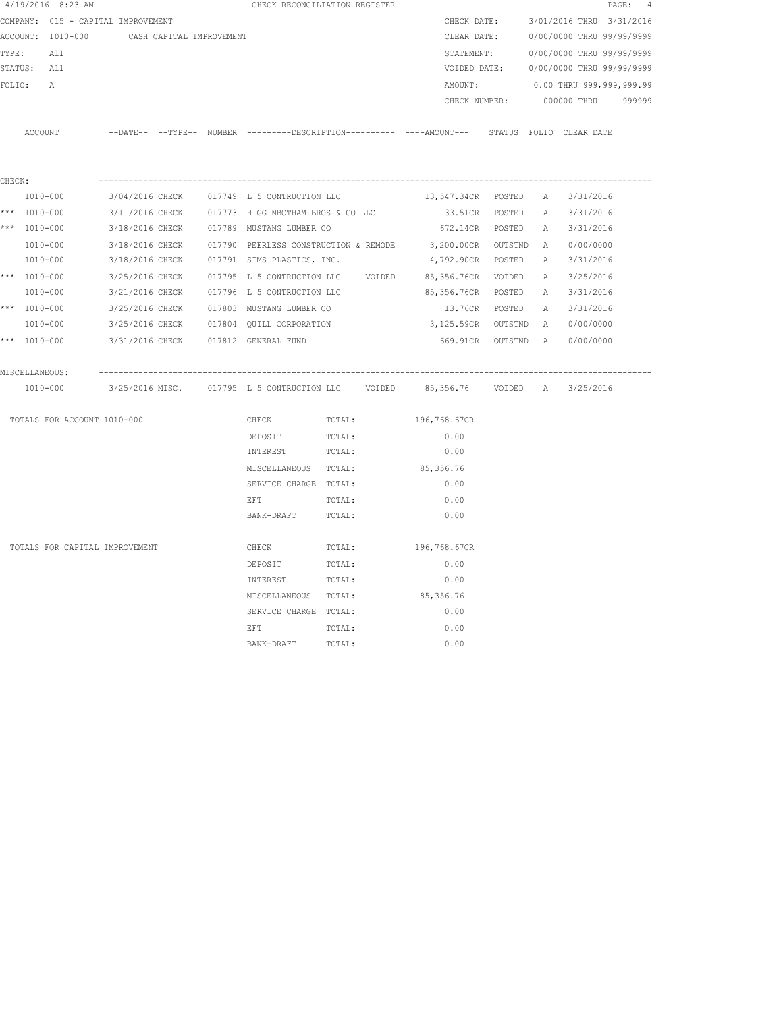| $4/19/2016$ 8:23 AM                |                                                                                             |                                                   | CHECK RECONCILIATION REGISTER |                                                  |         |   |                              | $\texttt{PAGE}$ :<br>$\frac{4}{3}$ |
|------------------------------------|---------------------------------------------------------------------------------------------|---------------------------------------------------|-------------------------------|--------------------------------------------------|---------|---|------------------------------|------------------------------------|
| COMPANY: 015 - CAPITAL IMPROVEMENT |                                                                                             |                                                   |                               | CHECK DATE:                                      |         |   | 3/01/2016 THRU 3/31/2016     |                                    |
| ACCOUNT: 1010-000                  | CASH CAPITAL IMPROVEMENT                                                                    |                                                   |                               | CLEAR DATE:                                      |         |   | 0/00/0000 THRU 99/99/9999    |                                    |
| TYPE:<br>All                       |                                                                                             |                                                   |                               | STATEMENT:                                       |         |   | 0/00/0000 THRU 99/99/9999    |                                    |
| STATUS: All                        |                                                                                             |                                                   |                               | VOIDED DATE:                                     |         |   | 0/00/0000 THRU 99/99/9999    |                                    |
| FOLIO:<br>А                        |                                                                                             |                                                   |                               | AMOUNT:                                          |         |   | 0.00 THRU 999,999,999.99     |                                    |
|                                    |                                                                                             |                                                   |                               | CHECK NUMBER:                                    |         |   | 000000 THRU                  | 999999                             |
|                                    |                                                                                             |                                                   |                               |                                                  |         |   |                              |                                    |
| ACCOUNT                            | --DATE-- --TYPE-- NUMBER --------DESCRIPTION---------- ---AMOUNT--- STATUS FOLIO CLEAR DATE |                                                   |                               |                                                  |         |   |                              |                                    |
|                                    |                                                                                             |                                                   |                               |                                                  |         |   |                              |                                    |
|                                    |                                                                                             |                                                   |                               |                                                  |         |   |                              |                                    |
| CHECK:                             |                                                                                             |                                                   |                               |                                                  |         |   |                              |                                    |
| 1010-000                           | 3/04/2016 CHECK 017749 L 5 CONTRUCTION LLC                                                  |                                                   |                               | 13,547.34CR POSTED                               |         |   | A 3/31/2016                  |                                    |
| *** 1010-000                       |                                                                                             | 3/11/2016 CHECK 017773 HIGGINBOTHAM BROS & CO LLC |                               | 33.51CR POSTED                                   |         | A | 3/31/2016                    |                                    |
| *** 1010-000                       | 3/18/2016 CHECK                                                                             | 017789 MUSTANG LUMBER CO                          |                               | 672.14CR POSTED                                  |         | A | 3/31/2016                    |                                    |
| 1010-000                           | 3/18/2016 CHECK                                                                             |                                                   |                               | 017790 PEERLESS CONSTRUCTION & REMODE 3,200.00CR | OUTSTND | A | 0/00/0000                    |                                    |
| 1010-000                           | 3/18/2016 CHECK                                                                             | 017791 SIMS PLASTICS, INC.                        |                               | 4,792.90CR POSTED                                |         | Α | 3/31/2016                    |                                    |
| *** 1010-000                       | 3/25/2016 CHECK                                                                             | 017795 L 5 CONTRUCTION LLC VOIDED                 |                               | 85,356.76CR VOIDED                               |         |   | A 3/25/2016                  |                                    |
| 1010-000                           | 3/21/2016 CHECK                                                                             | 017796 L 5 CONTRUCTION LLC                        |                               | 85,356.76CR                                      | POSTED  | A | 3/31/2016                    |                                    |
| *** 1010-000                       | 3/25/2016 CHECK                                                                             | 017803 MUSTANG LUMBER CO                          |                               | 13.76CR                                          | POSTED  |   | A 3/31/2016                  |                                    |
| 1010-000                           |                                                                                             | 3/25/2016 CHECK 017804 QUILL CORPORATION          |                               | 3,125.59CR OUTSTND A                             |         |   | 0/00/0000                    |                                    |
| *** 1010-000                       | 3/31/2016 CHECK 017812 GENERAL FUND                                                         |                                                   |                               |                                                  |         |   | 669.91CR OUTSTND A 0/00/0000 |                                    |
| MISCELLANEOUS:                     |                                                                                             |                                                   |                               |                                                  |         |   |                              |                                    |
| 1010-000                           |                                                                                             |                                                   |                               |                                                  |         |   |                              |                                    |
| TOTALS FOR ACCOUNT 1010-000        |                                                                                             | CHECK                                             | TOTAL:                        | 196,768.67CR                                     |         |   |                              |                                    |
|                                    |                                                                                             | DEPOSIT                                           | TOTAL:                        | 0.00                                             |         |   |                              |                                    |
|                                    |                                                                                             | INTEREST                                          | TOTAL:                        | 0.00                                             |         |   |                              |                                    |
|                                    |                                                                                             | MISCELLANEOUS TOTAL:                              |                               | 85,356.76                                        |         |   |                              |                                    |
|                                    |                                                                                             | SERVICE CHARGE TOTAL:                             |                               | 0.00                                             |         |   |                              |                                    |
|                                    |                                                                                             | EFT                                               | TOTAL:                        | 0.00                                             |         |   |                              |                                    |
|                                    |                                                                                             | BANK-DRAFT                                        | TOTAL:                        | 0.00                                             |         |   |                              |                                    |
| TOTALS FOR CAPITAL IMPROVEMENT     |                                                                                             | CHECK                                             |                               | 196,768.67CR                                     |         |   |                              |                                    |
|                                    |                                                                                             |                                                   | TOTAL:                        |                                                  |         |   |                              |                                    |
|                                    |                                                                                             | DEPOSIT                                           | TOTAL:                        | 0.00                                             |         |   |                              |                                    |
|                                    |                                                                                             | INTEREST                                          | TOTAL:                        | 0.00                                             |         |   |                              |                                    |
|                                    |                                                                                             | MISCELLANEOUS TOTAL:<br>SERVICE CHARGE TOTAL:     |                               | 85,356.76<br>0.00                                |         |   |                              |                                    |
|                                    |                                                                                             |                                                   |                               |                                                  |         |   |                              |                                    |
|                                    |                                                                                             | EFT<br>BANK-DRAFT                                 | TOTAL:<br>TOTAL:              | 0.00<br>0.00                                     |         |   |                              |                                    |
|                                    |                                                                                             |                                                   |                               |                                                  |         |   |                              |                                    |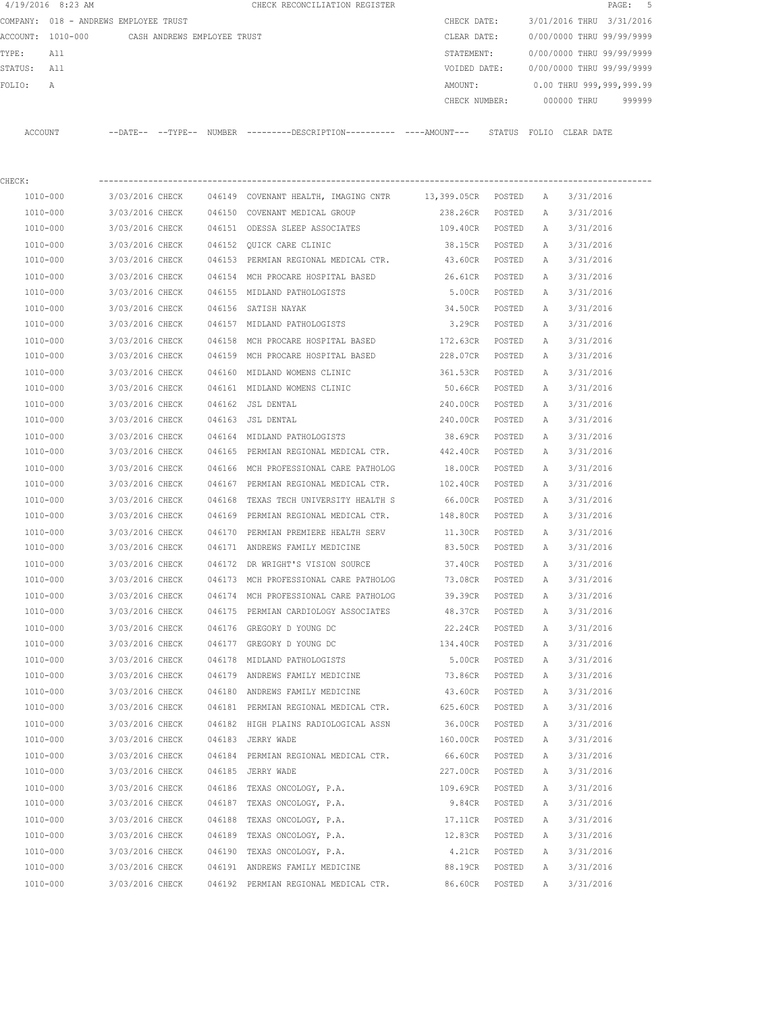|             | $4/19/2016$ 8:23 AM                           |                 |        | CHECK RECONCILIATION REGISTER                                                                |                 |        |              |                           | 5<br>PAGE: |
|-------------|-----------------------------------------------|-----------------|--------|----------------------------------------------------------------------------------------------|-----------------|--------|--------------|---------------------------|------------|
|             | COMPANY: 018 - ANDREWS EMPLOYEE TRUST         |                 |        |                                                                                              | CHECK DATE:     |        |              | 3/01/2016 THRU 3/31/2016  |            |
|             | ACCOUNT: 1010-000 CASH ANDREWS EMPLOYEE TRUST |                 |        |                                                                                              | CLEAR DATE:     |        |              | 0/00/0000 THRU 99/99/9999 |            |
| TYPE:       | All                                           |                 |        |                                                                                              | STATEMENT:      |        |              | 0/00/0000 THRU 99/99/9999 |            |
| STATUS: All |                                               |                 |        |                                                                                              | VOIDED DATE:    |        |              | 0/00/0000 THRU 99/99/9999 |            |
| FOLIO:      | Α                                             |                 |        |                                                                                              | AMOUNT:         |        |              | 0.00 THRU 999,999,999.99  |            |
|             |                                               |                 |        |                                                                                              | CHECK NUMBER:   |        |              | 000000 THRU               | 999999     |
|             | ACCOUNT                                       |                 |        | --DATE-- --TYPE-- NUMBER ---------DESCRIPTION---------- ----AMOUNT--- STATUS FOLIO CLEARDATE |                 |        |              |                           |            |
| CHECK:      |                                               |                 |        |                                                                                              |                 |        |              |                           |            |
|             | 1010-000                                      |                 |        | 3/03/2016 CHECK   046149  COVENANT HEALTH, IMAGING CNTR    13,399.05CR  POSTED   A           |                 |        |              | 3/31/2016                 |            |
|             | 1010-000                                      | 3/03/2016 CHECK |        | 046150 COVENANT MEDICAL GROUP                                                                | 238.26CR POSTED |        | A            | 3/31/2016                 |            |
|             | 1010-000                                      | 3/03/2016 CHECK |        | 046151 ODESSA SLEEP ASSOCIATES                                                               | 109.40CR POSTED |        | A            | 3/31/2016                 |            |
|             | 1010-000                                      | 3/03/2016 CHECK |        | 046152 OUICK CARE CLINIC                                                                     | 38.15CR POSTED  |        | A            | 3/31/2016                 |            |
|             | 1010-000                                      | 3/03/2016 CHECK |        | 046153 PERMIAN REGIONAL MEDICAL CTR.                                                         | 43.60CR POSTED  |        | Α            | 3/31/2016                 |            |
|             | 1010-000                                      | 3/03/2016 CHECK |        | 046154 MCH PROCARE HOSPITAL BASED                                                            | 26.61CR POSTED  |        | A            | 3/31/2016                 |            |
|             | 1010-000                                      | 3/03/2016 CHECK |        | 046155 MIDLAND PATHOLOGISTS                                                                  | 5.00CR POSTED   |        | A            | 3/31/2016                 |            |
|             | 1010-000                                      | 3/03/2016 CHECK |        | 046156 SATISH NAYAK                                                                          | 34.50CR         | POSTED | A            | 3/31/2016                 |            |
|             | 1010-000                                      | 3/03/2016 CHECK |        | 046157 MIDLAND PATHOLOGISTS                                                                  | 3.29CR POSTED   |        | A            | 3/31/2016                 |            |
|             | 1010-000                                      | 3/03/2016 CHECK |        | 046158 MCH PROCARE HOSPITAL BASED                                                            | 172.63CR        | POSTED | A            | 3/31/2016                 |            |
|             | 1010-000                                      | 3/03/2016 CHECK |        | 046159 MCH PROCARE HOSPITAL BASED                                                            | 228.07CR        | POSTED | А            | 3/31/2016                 |            |
|             | 1010-000                                      | 3/03/2016 CHECK |        | 046160 MIDLAND WOMENS CLINIC                                                                 | 361.53CR        | POSTED | Α            | 3/31/2016                 |            |
|             | 1010-000                                      | 3/03/2016 CHECK |        | 046161 MIDLAND WOMENS CLINIC                                                                 | 50.66CR         | POSTED | Α            | 3/31/2016                 |            |
|             | 1010-000                                      | 3/03/2016 CHECK |        | 046162 JSL DENTAL                                                                            | 240.00CR        | POSTED | А            | 3/31/2016                 |            |
|             | 1010-000                                      | 3/03/2016 CHECK |        | 046163 JSL DENTAL                                                                            | 240.00CR        | POSTED | А            | 3/31/2016                 |            |
|             | 1010-000                                      | 3/03/2016 CHECK |        | 046164 MIDLAND PATHOLOGISTS                                                                  | 38.69CR POSTED  |        | Α            | 3/31/2016                 |            |
|             | 1010-000                                      | 3/03/2016 CHECK |        | 046165 PERMIAN REGIONAL MEDICAL CTR.                                                         | 442.40CR POSTED |        | Α            | 3/31/2016                 |            |
|             | 1010-000                                      | 3/03/2016 CHECK |        | 046166 MCH PROFESSIONAL CARE PATHOLOG                                                        | 18.00CR POSTED  |        | Α            | 3/31/2016                 |            |
|             | 1010-000                                      | 3/03/2016 CHECK |        | 046167 PERMIAN REGIONAL MEDICAL CTR.                                                         | 102.40CR POSTED |        | $\mathbb{A}$ | 3/31/2016                 |            |
|             | 1010-000                                      | 3/03/2016 CHECK | 046168 | TEXAS TECH UNIVERSITY HEALTH S                                                               | 66.00CR         | POSTED | A            | 3/31/2016                 |            |
|             | 1010-000                                      | 3/03/2016 CHECK |        | 046169 PERMIAN REGIONAL MEDICAL CTR.                                                         | 148.80CR        | POSTED | A            | 3/31/2016                 |            |
|             | 1010-000                                      | 3/03/2016 CHECK |        | 046170 PERMIAN PREMIERE HEALTH SERV                                                          | 11.30CR         | POSTED | A            | 3/31/2016                 |            |
|             | 1010-000                                      | 3/03/2016 CHECK |        | 046171 ANDREWS FAMILY MEDICINE                                                               | 83.50CR         | POSTED | A            | 3/31/2016                 |            |
|             | 1010-000                                      | 3/03/2016 CHECK |        | 046172 DR WRIGHT'S VISION SOURCE                                                             | 37.40CR         | POSTED | A            | 3/31/2016                 |            |
|             | 1010-000                                      | 3/03/2016 CHECK |        | 046173 MCH PROFESSIONAL CARE PATHOLOG                                                        | 73.08CR         | POSTED | Α            | 3/31/2016                 |            |
|             | 1010-000                                      | 3/03/2016 CHECK |        | 046174 MCH PROFESSIONAL CARE PATHOLOG                                                        | 39.39CR         | POSTED | Α            | 3/31/2016                 |            |
|             | 1010-000                                      | 3/03/2016 CHECK |        | 046175 PERMIAN CARDIOLOGY ASSOCIATES                                                         | 48.37CR         | POSTED | Α            | 3/31/2016                 |            |
|             | 1010-000                                      | 3/03/2016 CHECK |        | 046176 GREGORY D YOUNG DC                                                                    | 22.24CR         | POSTED | Α            | 3/31/2016                 |            |
|             | 1010-000                                      | 3/03/2016 CHECK |        | 046177 GREGORY D YOUNG DC                                                                    | 134.40CR POSTED |        | Α            | 3/31/2016                 |            |
|             | 1010-000                                      | 3/03/2016 CHECK |        | 046178 MIDLAND PATHOLOGISTS                                                                  | 5.00CR          | POSTED | Α            | 3/31/2016                 |            |
|             | 1010-000                                      | 3/03/2016 CHECK |        | 046179 ANDREWS FAMILY MEDICINE                                                               | 73.86CR         | POSTED | Α            | 3/31/2016                 |            |
|             | $1010 - 000$                                  | 3/03/2016 CHECK |        | 046180 ANDREWS FAMILY MEDICINE                                                               | 43.60CR         | POSTED | Α            | 3/31/2016                 |            |
|             | 1010-000                                      | 3/03/2016 CHECK |        | 046181 PERMIAN REGIONAL MEDICAL CTR.                                                         | 625.60CR        | POSTED | Α            | 3/31/2016                 |            |
|             | 1010-000                                      | 3/03/2016 CHECK |        | 046182 HIGH PLAINS RADIOLOGICAL ASSN                                                         | 36.00CR         | POSTED | Α            | 3/31/2016                 |            |
|             | 1010-000                                      | 3/03/2016 CHECK |        | 046183 JERRY WADE                                                                            | 160.00CR        | POSTED | Α            | 3/31/2016                 |            |
|             | 1010-000                                      | 3/03/2016 CHECK |        | 046184 PERMIAN REGIONAL MEDICAL CTR.                                                         | 66.60CR         | POSTED | Α            | 3/31/2016                 |            |
|             | 1010-000                                      | 3/03/2016 CHECK |        | 046185 JERRY WADE                                                                            | 227.00CR        | POSTED | Α            | 3/31/2016                 |            |
|             | 1010-000                                      | 3/03/2016 CHECK |        | 046186 TEXAS ONCOLOGY, P.A.                                                                  | 109.69CR        | POSTED | Α            | 3/31/2016                 |            |
|             | 1010-000                                      | 3/03/2016 CHECK |        | 046187 TEXAS ONCOLOGY, P.A.                                                                  | 9.84CR          | POSTED | Α            | 3/31/2016                 |            |
|             | 1010-000                                      | 3/03/2016 CHECK |        | 046188 TEXAS ONCOLOGY, P.A.                                                                  | 17.11CR         | POSTED | Α            | 3/31/2016                 |            |
|             | 1010-000                                      | 3/03/2016 CHECK |        | 046189 TEXAS ONCOLOGY, P.A.                                                                  | 12.83CR         | POSTED | Α            | 3/31/2016                 |            |
|             | 1010-000                                      | 3/03/2016 CHECK |        | 046190 TEXAS ONCOLOGY, P.A.                                                                  | 4.21CR          | POSTED | Α            | 3/31/2016                 |            |
|             | 1010-000<br>1010-000                          | 3/03/2016 CHECK |        | 046191 ANDREWS FAMILY MEDICINE                                                               | 88.19CR         | POSTED | Α            | 3/31/2016                 |            |
|             |                                               | 3/03/2016 CHECK |        | 046192 PERMIAN REGIONAL MEDICAL CTR.                                                         | 86.60CR         | POSTED | Α            | 3/31/2016                 |            |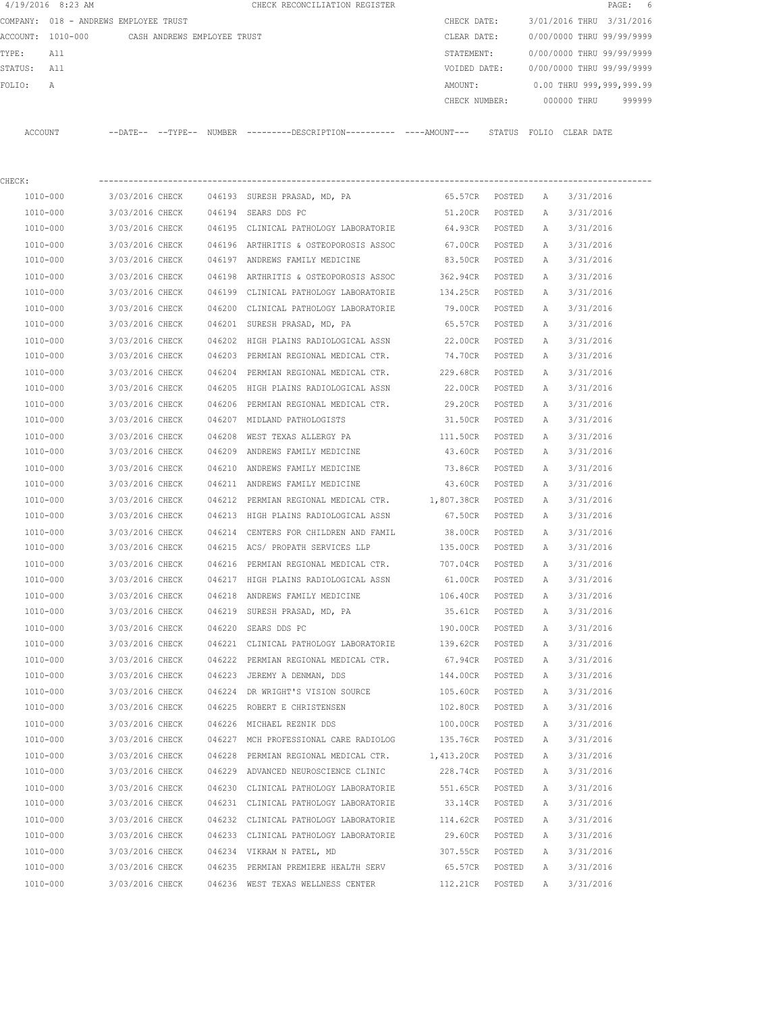|          | 4/19/2016 8:23 AM            |                             |        |              | CHECK RECONCILIATION REGISTER                                                                |         |                  |        |              |                           | PAGE:<br>- 6 |
|----------|------------------------------|-----------------------------|--------|--------------|----------------------------------------------------------------------------------------------|---------|------------------|--------|--------------|---------------------------|--------------|
| COMPANY: | 018 - ANDREWS EMPLOYEE TRUST |                             |        |              |                                                                                              |         | CHECK DATE:      |        |              | 3/01/2016 THRU 3/31/2016  |              |
| ACCOUNT: | 1010-000                     | CASH ANDREWS EMPLOYEE TRUST |        |              |                                                                                              |         | CLEAR DATE:      |        |              | 0/00/0000 THRU 99/99/9999 |              |
| TYPE:    | All                          |                             |        |              |                                                                                              |         | STATEMENT:       |        |              | 0/00/0000 THRU 99/99/9999 |              |
| STATUS:  | All                          |                             |        |              |                                                                                              |         | VOIDED DATE:     |        |              | 0/00/0000 THRU 99/99/9999 |              |
| FOLIO:   | Α                            |                             |        |              |                                                                                              |         | AMOUNT:          |        |              | 0.00 THRU 999,999,999.99  |              |
|          |                              |                             |        |              |                                                                                              |         | CHECK NUMBER:    |        |              | 000000 THRU               | 999999       |
| ACCOUNT  |                              |                             |        |              | --DATE-- --TYPE-- NUMBER ---------DESCRIPTION---------- ----AMOUNT--- STATUS FOLIO CLEARDATE |         |                  |        |              |                           |              |
| CHECK:   |                              |                             |        |              |                                                                                              |         |                  |        |              |                           |              |
|          | $1010 - 000$                 | 3/03/2016 CHECK             |        |              | 046193 SURESH PRASAD, MD, PA                                                                 | 65.57CR |                  | POSTED | $\mathbb{A}$ | 3/31/2016                 |              |
|          | $1010 - 000$                 | 3/03/2016 CHECK             | 046194 | SEARS DDS PC |                                                                                              |         | 51.20CR          | POSTED | $\mathbb{A}$ | 3/31/2016                 |              |
|          | 1010-000                     | 3/03/2016 CHECK             | 046195 |              | CLINICAL PATHOLOGY LABORATORIE                                                               |         | 64.93CR          | POSTED | Α            | 3/31/2016                 |              |
|          | $1010 - 000$                 | 3/03/2016 CHECK             | 046196 |              | ARTHRITIS & OSTEOPOROSIS ASSOC                                                               |         | 67.00CR          | POSTED | $\mathbb{A}$ | 3/31/2016                 |              |
|          | 1010-000                     | 3/03/2016 CHECK             | 046197 |              | ANDREWS FAMILY MEDICINE                                                                      |         | 83.50CR          | POSTED | Α            | 3/31/2016                 |              |
|          | 1010-000                     | 3/03/2016 CHECK             | 046198 |              | ARTHRITIS & OSTEOPOROSIS ASSOC                                                               |         | 362.94CR         | POSTED | Α            | 3/31/2016                 |              |
|          | 1010-000                     | 3/03/2016 CHECK             | 046199 |              | CLINICAL PATHOLOGY LABORATORIE                                                               |         | 134.25CR         | POSTED | Α            | 3/31/2016                 |              |
|          | 1010-000                     | 3/03/2016 CHECK             | 046200 |              | CLINICAL PATHOLOGY LABORATORIE                                                               |         | 79.00CR          | POSTED | Α            | 3/31/2016                 |              |
|          | 1010-000                     | 3/03/2016 CHECK             |        |              | 046201 SURESH PRASAD, MD, PA                                                                 |         | 65.57CR          | POSTED | $\mathbb{A}$ | 3/31/2016                 |              |
|          | 1010-000                     | 3/03/2016 CURCY             |        |              | $0.46202$ utcu diatme dantoiocicai aeem                                                      |         | י חידיים סמחמי מ |        |              | $3/31/2016$               |              |

| 1010-000     |                                           | 3/03/2016 CHECK 046197 ANDREWS FAMILY MEDICINE                          | 83.50CR POSTED A  |          |              | 3/31/2016                  |
|--------------|-------------------------------------------|-------------------------------------------------------------------------|-------------------|----------|--------------|----------------------------|
| 1010-000     |                                           | 3/03/2016 CHECK 046198 ARTHRITIS & OSTEOPOROSIS ASSOC 362.94CR POSTED A |                   |          |              | 3/31/2016                  |
| 1010-000     |                                           | 3/03/2016 CHECK 046199 CLINICAL PATHOLOGY LABORATORIE 134.25CR POSTED   |                   |          | A            | 3/31/2016                  |
| 1010-000     | 3/03/2016 CHECK                           | 046200 CLINICAL PATHOLOGY LABORATORIE                                   | 79.00CR POSTED    |          | A            | 3/31/2016                  |
| 1010-000     | 3/03/2016 CHECK                           | 046201 SURESH PRASAD, MD, PA                                            | 65.57CR POSTED    |          | A            | 3/31/2016                  |
| $1010 - 000$ | 3/03/2016 CHECK                           | 046202 HIGH PLAINS RADIOLOGICAL ASSN                                    | 22.00CR POSTED    |          | A            | 3/31/2016                  |
| 1010-000     |                                           | 3/03/2016 CHECK 046203 PERMIAN REGIONAL MEDICAL CTR.                    | 74.70CR           | POSTED A |              | 3/31/2016                  |
| 1010-000     |                                           | 3/03/2016 CHECK 046204 PERMIAN REGIONAL MEDICAL CTR. 229.68CR POSTED A  |                   |          |              | 3/31/2016                  |
| 1010-000     |                                           | 3/03/2016 CHECK 046205 HIGH PLAINS RADIOLOGICAL ASSN                    | 22.00CR POSTED    |          | A            | 3/31/2016                  |
| 1010-000     | 3/03/2016 CHECK                           | 046206 PERMIAN REGIONAL MEDICAL CTR.                                    | 29.20CR POSTED    |          | A            | 3/31/2016                  |
| 1010-000     | 3/03/2016 CHECK                           | 046207 MIDLAND PATHOLOGISTS                                             | 31.50CR POSTED    |          | A            | 3/31/2016                  |
| 1010-000     | 3/03/2016 CHECK                           | 046208 WEST TEXAS ALLERGY PA                                            | 111.50CR POSTED   |          | A            | 3/31/2016                  |
| 1010-000     |                                           | 3/03/2016 CHECK 046209 ANDREWS FAMILY MEDICINE                          | 43.60CR POSTED    |          | A            | 3/31/2016                  |
| 1010-000     |                                           | 3/03/2016 CHECK 046210 ANDREWS FAMILY MEDICINE                          | 73.86CR POSTED    |          | A            | 3/31/2016                  |
| 1010-000     |                                           | 3/03/2016 CHECK 046211 ANDREWS FAMILY MEDICINE                          | 43.60CR POSTED A  |          |              | 3/31/2016                  |
| 1010-000     |                                           | 3/03/2016 CHECK 046212 PERMIAN REGIONAL MEDICAL CTR. 1,807.38CR POSTED  |                   |          | A            | 3/31/2016                  |
| 1010-000     |                                           | 3/03/2016 CHECK 046213 HIGH PLAINS RADIOLOGICAL ASSN                    | 67.50CR POSTED    |          | A            | 3/31/2016                  |
| 1010-000     | 3/03/2016 CHECK                           | 046214 CENTERS FOR CHILDREN AND FAMIL                                   | 38.00CR POSTED    |          | A            | 3/31/2016                  |
| 1010-000     | 3/03/2016 CHECK                           | 046215 ACS/ PROPATH SERVICES LLP                                        | 135.00CR POSTED   |          | Α            | 3/31/2016                  |
| $1010 - 000$ |                                           | 3/03/2016 CHECK 046216 PERMIAN REGIONAL MEDICAL CTR.                    | 707.04CR POSTED   |          | A            | 3/31/2016                  |
| 1010-000     |                                           | 3/03/2016 CHECK 046217 HIGH PLAINS RADIOLOGICAL ASSN                    | 61.00CR           | POSTED A |              | 3/31/2016                  |
| 1010-000     |                                           | 3/03/2016 CHECK 046218 ANDREWS FAMILY MEDICINE                          | 106.40CR POSTED A |          |              | 3/31/2016                  |
| 1010-000     |                                           | 3/03/2016 CHECK 046219 SURESH PRASAD, MD, PA                            | 35.61CR POSTED A  |          |              | 3/31/2016                  |
| 1010-000     | 3/03/2016 CHECK                           | 046220 SEARS DDS PC                                                     | 190.00CR POSTED   |          | A            | 3/31/2016                  |
| 1010-000     | 3/03/2016 CHECK                           | 046221 CLINICAL PATHOLOGY LABORATORIE                                   | 139.62CR POSTED   |          | A            | 3/31/2016                  |
| 1010-000     | 3/03/2016 CHECK                           | 046222 PERMIAN REGIONAL MEDICAL CTR.                                    | 67.94CR POSTED    |          | A            | 3/31/2016                  |
| 1010-000     |                                           | 3/03/2016 CHECK 046223 JEREMY A DENMAN, DDS                             | 144.00CR POSTED   |          | A            | 3/31/2016                  |
| 1010-000     |                                           | 3/03/2016 CHECK 046224 DR WRIGHT'S VISION SOURCE                        | 105.60CR          | POSTED   | A            | 3/31/2016                  |
| 1010-000     |                                           | 3/03/2016 CHECK 046225 ROBERT E CHRISTENSEN                             | 102.80CR POSTED   |          | A            | 3/31/2016                  |
| 1010-000     | 3/03/2016 CHECK 046226 MICHAEL REZNIK DDS |                                                                         | 100.00CR POSTED   |          | $\mathbb{A}$ | 3/31/2016                  |
| 1010-000     |                                           | 3/03/2016 CHECK 046227 MCH PROFESSIONAL CARE RADIOLOG                   | 135.76CR POSTED   |          | A            | 3/31/2016                  |
| $1010 - 000$ | 3/03/2016 CHECK                           | 046228 PERMIAN REGIONAL MEDICAL CTR.                                    | 1,413.20CR POSTED |          | A            | 3/31/2016                  |
| 1010-000     | 3/03/2016 CHECK                           | 046229 ADVANCED NEUROSCIENCE CLINIC                                     | 228.74CR POSTED   |          | A            | 3/31/2016                  |
| 1010-000     |                                           | 3/03/2016 CHECK 046230 CLINICAL PATHOLOGY LABORATORIE                   | 551.65CR POSTED   |          | A            | 3/31/2016                  |
| 1010-000     |                                           | 3/03/2016 CHECK 046231 CLINICAL PATHOLOGY LABORATORIE 33.14CR POSTED A  |                   |          |              | 3/31/2016                  |
| 1010-000     |                                           | 3/03/2016 CHECK 046232 CLINICAL PATHOLOGY LABORATORIE 114.62CR POSTED A |                   |          |              | 3/31/2016                  |
| 1010-000     |                                           | 3/03/2016 CHECK 046233 CLINICAL PATHOLOGY LABORATORIE 29.60CR POSTED A  |                   |          |              | 3/31/2016                  |
| 1010-000     | 3/03/2016 CHECK                           | 046234 VIKRAM N PATEL, MD                                               | 307.55CR POSTED A |          |              | 3/31/2016                  |
| 1010-000     | 3/03/2016 CHECK                           | 046235 PERMIAN PREMIERE HEALTH SERV                                     |                   |          |              | 65.57CR POSTED A 3/31/2016 |
| 1010-000     |                                           | 3/03/2016 CHECK 046236 WEST TEXAS WELLNESS CENTER                       | 112.21CR POSTED   |          |              | A 3/31/2016                |
|              |                                           |                                                                         |                   |          |              |                            |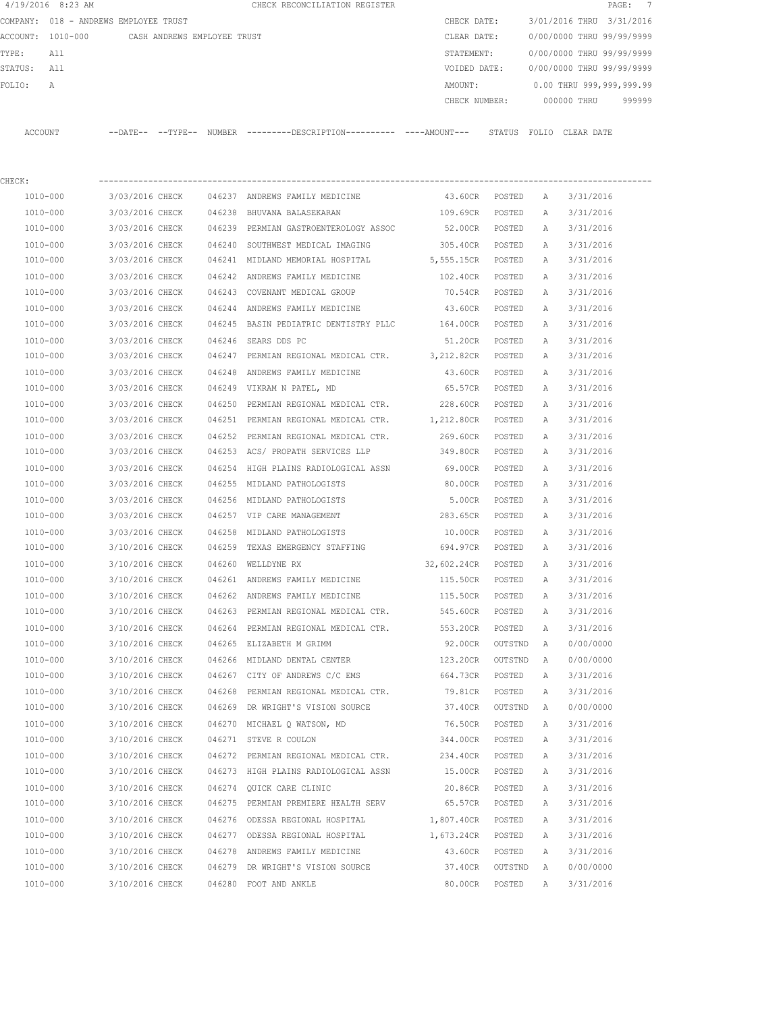|         | 4/19/2016 8:23 AM |                                       |        | CHECK RECONCILIATION REGISTER |               |                           |            | PAGE: 7                  |  |
|---------|-------------------|---------------------------------------|--------|-------------------------------|---------------|---------------------------|------------|--------------------------|--|
|         |                   | COMPANY: 018 - ANDREWS EMPLOYEE TRUST |        |                               | CHECK DATE:   | 3/01/2016 THRU 3/31/2016  |            |                          |  |
|         | ACCOUNT: 1010-000 | CASH ANDREWS EMPLOYEE TRUST           |        |                               | CLEAR DATE:   | 0/00/0000 THRU 99/99/9999 |            |                          |  |
| TYPE:   | All               |                                       |        |                               | STATEMENT:    | 0/00/0000 THRU 99/99/9999 |            |                          |  |
| STATUS: | All               |                                       |        |                               | VOIDED DATE:  | 0/00/0000 THRU 99/99/9999 |            |                          |  |
| FOLTO:  | A                 |                                       |        |                               | AMOUNT:       |                           |            | 0.00 THRU 999,999,999.99 |  |
|         |                   |                                       |        |                               | CHECK NUMBER: | 000000 THRU               |            | 999999                   |  |
|         |                   |                                       |        |                               |               |                           |            |                          |  |
| ACCOUNT |                   | $--$ TYPE $--$<br>$--$ DATE $--$      | NUMBER | ---------DESCRIPTION--        | STATUS        | FOLIO                     | CLEAR DATE |                          |  |

| 1010-000<br>3/03/2016 CHECK<br>046237 ANDREWS FAMILY MEDICINE<br>43.60CR POSTED<br>3/31/2016<br>A<br>1010-000<br>3/03/2016 CHECK 046238 BHUVANA BALASEKARAN<br>109.69CR<br>3/31/2016<br>POSTED<br>A<br>1010-000<br>3/03/2016 CHECK 046239 PERMIAN GASTROENTEROLOGY ASSOC<br>52.00CR POSTED<br>A<br>3/31/2016<br>1010-000<br>3/03/2016 CHECK<br>046240 SOUTHWEST MEDICAL IMAGING<br>305.40CR POSTED<br>A<br>3/31/2016<br>5,555.15CR POSTED<br>1010-000<br>3/03/2016 CHECK<br>046241 MIDLAND MEMORIAL HOSPITAL<br>A<br>3/31/2016<br>1010-000<br>3/03/2016 CHECK<br>046242 ANDREWS FAMILY MEDICINE<br>102.40CR POSTED<br>3/31/2016<br>A<br>1010-000<br>3/03/2016 CHECK<br>046243 COVENANT MEDICAL GROUP<br>3/31/2016<br>70.54CR POSTED<br>A<br>1010-000<br>3/03/2016 CHECK<br>046244 ANDREWS FAMILY MEDICINE<br>43.60CR POSTED<br>3/31/2016<br>Α<br>1010-000<br>3/03/2016 CHECK 046245 BASIN PEDIATRIC DENTISTRY PLLC 164.00CR POSTED<br>3/31/2016<br>Α<br>1010-000<br>3/03/2016 CHECK<br>046246 SEARS DDS PC<br>51.20CR POSTED<br>3/31/2016<br>Α<br>3/03/2016 CHECK 046247 PERMIAN REGIONAL MEDICAL CTR. 3, 212.82CR POSTED<br>1010-000<br>3/31/2016<br>Α<br>3/03/2016 CHECK<br>046248 ANDREWS FAMILY MEDICINE<br>43.60CR POSTED<br>1010-000<br>3/31/2016<br>Α<br>1010-000<br>3/03/2016 CHECK<br>046249 VIKRAM N PATEL, MD<br>65.57CR POSTED<br>3/31/2016<br>Α<br>046250 PERMIAN REGIONAL MEDICAL CTR. 228.60CR POSTED<br>1010-000<br>3/03/2016 CHECK<br>3/31/2016<br>Α<br>3/03/2016 CHECK<br>046251 PERMIAN REGIONAL MEDICAL CTR.<br>1,212.80CR POSTED<br>3/31/2016<br>1010-000<br>Α<br>1010-000<br>3/03/2016 CHECK<br>046252 PERMIAN REGIONAL MEDICAL CTR.<br>269.60CR POSTED<br>3/31/2016<br>Α<br>1010-000<br>3/03/2016 CHECK<br>046253 ACS/ PROPATH SERVICES LLP<br>349.80CR POSTED<br>Α<br>3/31/2016<br>1010-000<br>3/03/2016 CHECK<br>046254 HIGH PLAINS RADIOLOGICAL ASSN<br>69.00CR POSTED<br>3/31/2016<br>Α<br>1010-000<br>3/03/2016 CHECK<br>046255 MIDLAND PATHOLOGISTS<br>80.00CR POSTED<br>3/31/2016<br>A<br>1010-000<br>3/03/2016 CHECK<br>046256 MIDLAND PATHOLOGISTS<br>5.00CR<br>POSTED<br>3/31/2016<br>Α<br>1010-000<br>3/03/2016 CHECK<br>046257 VIP CARE MANAGEMENT<br>283.65CR<br>POSTED<br>Α<br>3/31/2016<br>1010-000<br>3/03/2016 CHECK<br>046258 MIDLAND PATHOLOGISTS<br>10.00CR<br>3/31/2016<br>POSTED<br>Α<br>1010-000<br>3/10/2016 CHECK<br>046259 TEXAS EMERGENCY STAFFING<br>694.97CR<br>3/31/2016<br>POSTED<br>Α<br>1010-000<br>3/10/2016 CHECK<br>046260 WELLDYNE RX<br>32,602.24CR POSTED<br>3/31/2016<br>A<br>046261 ANDREWS FAMILY MEDICINE<br>1010-000<br>3/10/2016 CHECK<br>3/31/2016<br>115.50CR<br>POSTED<br>A<br>1010-000<br>3/10/2016 CHECK 046262 ANDREWS FAMILY MEDICINE<br>115.50CR<br>3/31/2016<br>POSTED<br>Α<br>1010-000<br>3/10/2016 CHECK 046263 PERMIAN REGIONAL MEDICAL CTR.<br>545.60CR POSTED<br>3/31/2016<br>Α<br>1010-000<br>3/10/2016 CHECK<br>046264 PERMIAN REGIONAL MEDICAL CTR.<br>3/31/2016<br>553.20CR POSTED<br>Α<br>1010-000<br>3/10/2016 CHECK 046265 ELIZABETH M GRIMM<br>92.00CR OUTSTND<br>0/00/0000<br>A<br>1010-000<br>3/10/2016 CHECK<br>046266 MIDLAND DENTAL CENTER<br>123.20CR OUTSTND<br>0/00/0000<br>A<br>1010-000<br>$3/10/2016$ CHECK 046267 CITY OF ANDREWS C/C EMS<br>664.73CR POSTED<br>Α<br>3/31/2016<br>1010-000<br>3/10/2016 CHECK 046268<br>PERMIAN REGIONAL MEDICAL CTR.<br>79.81CR POSTED<br>3/31/2016<br>$\mathbb{A}$<br>1010-000<br>3/10/2016 CHECK 046269 DR WRIGHT'S VISION SOURCE<br>37.40CR OUTSTND<br>A<br>0/00/0000<br>3/10/2016 CHECK<br>1010-000<br>046270 MICHAEL Q WATSON, MD<br>76.50CR<br>POSTED<br>$\mathbb{A}$<br>3/31/2016<br>3/10/2016 CHECK<br>046271 STEVE R COULON<br>344.00CR<br>POSTED<br>1010-000<br>3/31/2016<br>Α<br>1010-000<br>3/10/2016 CHECK<br>046272 PERMIAN REGIONAL MEDICAL CTR.<br>234.40CR<br>POSTED<br>3/31/2016<br>А<br>1010-000<br>3/10/2016 CHECK<br>046273 HIGH PLAINS RADIOLOGICAL ASSN<br>15.00CR<br>3/31/2016<br>POSTED<br>А<br>1010-000<br>3/10/2016 CHECK<br>046274 QUICK CARE CLINIC<br>20.86CR<br>POSTED<br>3/31/2016<br>Α | CHECK:   |                 |  |         |        |   |           |
|----------------------------------------------------------------------------------------------------------------------------------------------------------------------------------------------------------------------------------------------------------------------------------------------------------------------------------------------------------------------------------------------------------------------------------------------------------------------------------------------------------------------------------------------------------------------------------------------------------------------------------------------------------------------------------------------------------------------------------------------------------------------------------------------------------------------------------------------------------------------------------------------------------------------------------------------------------------------------------------------------------------------------------------------------------------------------------------------------------------------------------------------------------------------------------------------------------------------------------------------------------------------------------------------------------------------------------------------------------------------------------------------------------------------------------------------------------------------------------------------------------------------------------------------------------------------------------------------------------------------------------------------------------------------------------------------------------------------------------------------------------------------------------------------------------------------------------------------------------------------------------------------------------------------------------------------------------------------------------------------------------------------------------------------------------------------------------------------------------------------------------------------------------------------------------------------------------------------------------------------------------------------------------------------------------------------------------------------------------------------------------------------------------------------------------------------------------------------------------------------------------------------------------------------------------------------------------------------------------------------------------------------------------------------------------------------------------------------------------------------------------------------------------------------------------------------------------------------------------------------------------------------------------------------------------------------------------------------------------------------------------------------------------------------------------------------------------------------------------------------------------------------------------------------------------------------------------------------------------------------------------------------------------------------------------------------------------------------------------------------------------------------------------------------------------------------------------------------------------------------------------------------------------------------------------------------------------------------------------------------------------------------------------------------------------------------------------------------------------------------------------------------------------------------------------------------------------------------------------------------------------------------------------------------------------------------------------------------------------------------------------------------------------------------------------------|----------|-----------------|--|---------|--------|---|-----------|
|                                                                                                                                                                                                                                                                                                                                                                                                                                                                                                                                                                                                                                                                                                                                                                                                                                                                                                                                                                                                                                                                                                                                                                                                                                                                                                                                                                                                                                                                                                                                                                                                                                                                                                                                                                                                                                                                                                                                                                                                                                                                                                                                                                                                                                                                                                                                                                                                                                                                                                                                                                                                                                                                                                                                                                                                                                                                                                                                                                                                                                                                                                                                                                                                                                                                                                                                                                                                                                                                                                                                                                                                                                                                                                                                                                                                                                                                                                                                                                                                                                                                |          |                 |  |         |        |   |           |
|                                                                                                                                                                                                                                                                                                                                                                                                                                                                                                                                                                                                                                                                                                                                                                                                                                                                                                                                                                                                                                                                                                                                                                                                                                                                                                                                                                                                                                                                                                                                                                                                                                                                                                                                                                                                                                                                                                                                                                                                                                                                                                                                                                                                                                                                                                                                                                                                                                                                                                                                                                                                                                                                                                                                                                                                                                                                                                                                                                                                                                                                                                                                                                                                                                                                                                                                                                                                                                                                                                                                                                                                                                                                                                                                                                                                                                                                                                                                                                                                                                                                |          |                 |  |         |        |   |           |
|                                                                                                                                                                                                                                                                                                                                                                                                                                                                                                                                                                                                                                                                                                                                                                                                                                                                                                                                                                                                                                                                                                                                                                                                                                                                                                                                                                                                                                                                                                                                                                                                                                                                                                                                                                                                                                                                                                                                                                                                                                                                                                                                                                                                                                                                                                                                                                                                                                                                                                                                                                                                                                                                                                                                                                                                                                                                                                                                                                                                                                                                                                                                                                                                                                                                                                                                                                                                                                                                                                                                                                                                                                                                                                                                                                                                                                                                                                                                                                                                                                                                |          |                 |  |         |        |   |           |
|                                                                                                                                                                                                                                                                                                                                                                                                                                                                                                                                                                                                                                                                                                                                                                                                                                                                                                                                                                                                                                                                                                                                                                                                                                                                                                                                                                                                                                                                                                                                                                                                                                                                                                                                                                                                                                                                                                                                                                                                                                                                                                                                                                                                                                                                                                                                                                                                                                                                                                                                                                                                                                                                                                                                                                                                                                                                                                                                                                                                                                                                                                                                                                                                                                                                                                                                                                                                                                                                                                                                                                                                                                                                                                                                                                                                                                                                                                                                                                                                                                                                |          |                 |  |         |        |   |           |
|                                                                                                                                                                                                                                                                                                                                                                                                                                                                                                                                                                                                                                                                                                                                                                                                                                                                                                                                                                                                                                                                                                                                                                                                                                                                                                                                                                                                                                                                                                                                                                                                                                                                                                                                                                                                                                                                                                                                                                                                                                                                                                                                                                                                                                                                                                                                                                                                                                                                                                                                                                                                                                                                                                                                                                                                                                                                                                                                                                                                                                                                                                                                                                                                                                                                                                                                                                                                                                                                                                                                                                                                                                                                                                                                                                                                                                                                                                                                                                                                                                                                |          |                 |  |         |        |   |           |
|                                                                                                                                                                                                                                                                                                                                                                                                                                                                                                                                                                                                                                                                                                                                                                                                                                                                                                                                                                                                                                                                                                                                                                                                                                                                                                                                                                                                                                                                                                                                                                                                                                                                                                                                                                                                                                                                                                                                                                                                                                                                                                                                                                                                                                                                                                                                                                                                                                                                                                                                                                                                                                                                                                                                                                                                                                                                                                                                                                                                                                                                                                                                                                                                                                                                                                                                                                                                                                                                                                                                                                                                                                                                                                                                                                                                                                                                                                                                                                                                                                                                |          |                 |  |         |        |   |           |
|                                                                                                                                                                                                                                                                                                                                                                                                                                                                                                                                                                                                                                                                                                                                                                                                                                                                                                                                                                                                                                                                                                                                                                                                                                                                                                                                                                                                                                                                                                                                                                                                                                                                                                                                                                                                                                                                                                                                                                                                                                                                                                                                                                                                                                                                                                                                                                                                                                                                                                                                                                                                                                                                                                                                                                                                                                                                                                                                                                                                                                                                                                                                                                                                                                                                                                                                                                                                                                                                                                                                                                                                                                                                                                                                                                                                                                                                                                                                                                                                                                                                |          |                 |  |         |        |   |           |
|                                                                                                                                                                                                                                                                                                                                                                                                                                                                                                                                                                                                                                                                                                                                                                                                                                                                                                                                                                                                                                                                                                                                                                                                                                                                                                                                                                                                                                                                                                                                                                                                                                                                                                                                                                                                                                                                                                                                                                                                                                                                                                                                                                                                                                                                                                                                                                                                                                                                                                                                                                                                                                                                                                                                                                                                                                                                                                                                                                                                                                                                                                                                                                                                                                                                                                                                                                                                                                                                                                                                                                                                                                                                                                                                                                                                                                                                                                                                                                                                                                                                |          |                 |  |         |        |   |           |
|                                                                                                                                                                                                                                                                                                                                                                                                                                                                                                                                                                                                                                                                                                                                                                                                                                                                                                                                                                                                                                                                                                                                                                                                                                                                                                                                                                                                                                                                                                                                                                                                                                                                                                                                                                                                                                                                                                                                                                                                                                                                                                                                                                                                                                                                                                                                                                                                                                                                                                                                                                                                                                                                                                                                                                                                                                                                                                                                                                                                                                                                                                                                                                                                                                                                                                                                                                                                                                                                                                                                                                                                                                                                                                                                                                                                                                                                                                                                                                                                                                                                |          |                 |  |         |        |   |           |
|                                                                                                                                                                                                                                                                                                                                                                                                                                                                                                                                                                                                                                                                                                                                                                                                                                                                                                                                                                                                                                                                                                                                                                                                                                                                                                                                                                                                                                                                                                                                                                                                                                                                                                                                                                                                                                                                                                                                                                                                                                                                                                                                                                                                                                                                                                                                                                                                                                                                                                                                                                                                                                                                                                                                                                                                                                                                                                                                                                                                                                                                                                                                                                                                                                                                                                                                                                                                                                                                                                                                                                                                                                                                                                                                                                                                                                                                                                                                                                                                                                                                |          |                 |  |         |        |   |           |
|                                                                                                                                                                                                                                                                                                                                                                                                                                                                                                                                                                                                                                                                                                                                                                                                                                                                                                                                                                                                                                                                                                                                                                                                                                                                                                                                                                                                                                                                                                                                                                                                                                                                                                                                                                                                                                                                                                                                                                                                                                                                                                                                                                                                                                                                                                                                                                                                                                                                                                                                                                                                                                                                                                                                                                                                                                                                                                                                                                                                                                                                                                                                                                                                                                                                                                                                                                                                                                                                                                                                                                                                                                                                                                                                                                                                                                                                                                                                                                                                                                                                |          |                 |  |         |        |   |           |
|                                                                                                                                                                                                                                                                                                                                                                                                                                                                                                                                                                                                                                                                                                                                                                                                                                                                                                                                                                                                                                                                                                                                                                                                                                                                                                                                                                                                                                                                                                                                                                                                                                                                                                                                                                                                                                                                                                                                                                                                                                                                                                                                                                                                                                                                                                                                                                                                                                                                                                                                                                                                                                                                                                                                                                                                                                                                                                                                                                                                                                                                                                                                                                                                                                                                                                                                                                                                                                                                                                                                                                                                                                                                                                                                                                                                                                                                                                                                                                                                                                                                |          |                 |  |         |        |   |           |
|                                                                                                                                                                                                                                                                                                                                                                                                                                                                                                                                                                                                                                                                                                                                                                                                                                                                                                                                                                                                                                                                                                                                                                                                                                                                                                                                                                                                                                                                                                                                                                                                                                                                                                                                                                                                                                                                                                                                                                                                                                                                                                                                                                                                                                                                                                                                                                                                                                                                                                                                                                                                                                                                                                                                                                                                                                                                                                                                                                                                                                                                                                                                                                                                                                                                                                                                                                                                                                                                                                                                                                                                                                                                                                                                                                                                                                                                                                                                                                                                                                                                |          |                 |  |         |        |   |           |
|                                                                                                                                                                                                                                                                                                                                                                                                                                                                                                                                                                                                                                                                                                                                                                                                                                                                                                                                                                                                                                                                                                                                                                                                                                                                                                                                                                                                                                                                                                                                                                                                                                                                                                                                                                                                                                                                                                                                                                                                                                                                                                                                                                                                                                                                                                                                                                                                                                                                                                                                                                                                                                                                                                                                                                                                                                                                                                                                                                                                                                                                                                                                                                                                                                                                                                                                                                                                                                                                                                                                                                                                                                                                                                                                                                                                                                                                                                                                                                                                                                                                |          |                 |  |         |        |   |           |
|                                                                                                                                                                                                                                                                                                                                                                                                                                                                                                                                                                                                                                                                                                                                                                                                                                                                                                                                                                                                                                                                                                                                                                                                                                                                                                                                                                                                                                                                                                                                                                                                                                                                                                                                                                                                                                                                                                                                                                                                                                                                                                                                                                                                                                                                                                                                                                                                                                                                                                                                                                                                                                                                                                                                                                                                                                                                                                                                                                                                                                                                                                                                                                                                                                                                                                                                                                                                                                                                                                                                                                                                                                                                                                                                                                                                                                                                                                                                                                                                                                                                |          |                 |  |         |        |   |           |
|                                                                                                                                                                                                                                                                                                                                                                                                                                                                                                                                                                                                                                                                                                                                                                                                                                                                                                                                                                                                                                                                                                                                                                                                                                                                                                                                                                                                                                                                                                                                                                                                                                                                                                                                                                                                                                                                                                                                                                                                                                                                                                                                                                                                                                                                                                                                                                                                                                                                                                                                                                                                                                                                                                                                                                                                                                                                                                                                                                                                                                                                                                                                                                                                                                                                                                                                                                                                                                                                                                                                                                                                                                                                                                                                                                                                                                                                                                                                                                                                                                                                |          |                 |  |         |        |   |           |
|                                                                                                                                                                                                                                                                                                                                                                                                                                                                                                                                                                                                                                                                                                                                                                                                                                                                                                                                                                                                                                                                                                                                                                                                                                                                                                                                                                                                                                                                                                                                                                                                                                                                                                                                                                                                                                                                                                                                                                                                                                                                                                                                                                                                                                                                                                                                                                                                                                                                                                                                                                                                                                                                                                                                                                                                                                                                                                                                                                                                                                                                                                                                                                                                                                                                                                                                                                                                                                                                                                                                                                                                                                                                                                                                                                                                                                                                                                                                                                                                                                                                |          |                 |  |         |        |   |           |
|                                                                                                                                                                                                                                                                                                                                                                                                                                                                                                                                                                                                                                                                                                                                                                                                                                                                                                                                                                                                                                                                                                                                                                                                                                                                                                                                                                                                                                                                                                                                                                                                                                                                                                                                                                                                                                                                                                                                                                                                                                                                                                                                                                                                                                                                                                                                                                                                                                                                                                                                                                                                                                                                                                                                                                                                                                                                                                                                                                                                                                                                                                                                                                                                                                                                                                                                                                                                                                                                                                                                                                                                                                                                                                                                                                                                                                                                                                                                                                                                                                                                |          |                 |  |         |        |   |           |
|                                                                                                                                                                                                                                                                                                                                                                                                                                                                                                                                                                                                                                                                                                                                                                                                                                                                                                                                                                                                                                                                                                                                                                                                                                                                                                                                                                                                                                                                                                                                                                                                                                                                                                                                                                                                                                                                                                                                                                                                                                                                                                                                                                                                                                                                                                                                                                                                                                                                                                                                                                                                                                                                                                                                                                                                                                                                                                                                                                                                                                                                                                                                                                                                                                                                                                                                                                                                                                                                                                                                                                                                                                                                                                                                                                                                                                                                                                                                                                                                                                                                |          |                 |  |         |        |   |           |
|                                                                                                                                                                                                                                                                                                                                                                                                                                                                                                                                                                                                                                                                                                                                                                                                                                                                                                                                                                                                                                                                                                                                                                                                                                                                                                                                                                                                                                                                                                                                                                                                                                                                                                                                                                                                                                                                                                                                                                                                                                                                                                                                                                                                                                                                                                                                                                                                                                                                                                                                                                                                                                                                                                                                                                                                                                                                                                                                                                                                                                                                                                                                                                                                                                                                                                                                                                                                                                                                                                                                                                                                                                                                                                                                                                                                                                                                                                                                                                                                                                                                |          |                 |  |         |        |   |           |
|                                                                                                                                                                                                                                                                                                                                                                                                                                                                                                                                                                                                                                                                                                                                                                                                                                                                                                                                                                                                                                                                                                                                                                                                                                                                                                                                                                                                                                                                                                                                                                                                                                                                                                                                                                                                                                                                                                                                                                                                                                                                                                                                                                                                                                                                                                                                                                                                                                                                                                                                                                                                                                                                                                                                                                                                                                                                                                                                                                                                                                                                                                                                                                                                                                                                                                                                                                                                                                                                                                                                                                                                                                                                                                                                                                                                                                                                                                                                                                                                                                                                |          |                 |  |         |        |   |           |
|                                                                                                                                                                                                                                                                                                                                                                                                                                                                                                                                                                                                                                                                                                                                                                                                                                                                                                                                                                                                                                                                                                                                                                                                                                                                                                                                                                                                                                                                                                                                                                                                                                                                                                                                                                                                                                                                                                                                                                                                                                                                                                                                                                                                                                                                                                                                                                                                                                                                                                                                                                                                                                                                                                                                                                                                                                                                                                                                                                                                                                                                                                                                                                                                                                                                                                                                                                                                                                                                                                                                                                                                                                                                                                                                                                                                                                                                                                                                                                                                                                                                |          |                 |  |         |        |   |           |
|                                                                                                                                                                                                                                                                                                                                                                                                                                                                                                                                                                                                                                                                                                                                                                                                                                                                                                                                                                                                                                                                                                                                                                                                                                                                                                                                                                                                                                                                                                                                                                                                                                                                                                                                                                                                                                                                                                                                                                                                                                                                                                                                                                                                                                                                                                                                                                                                                                                                                                                                                                                                                                                                                                                                                                                                                                                                                                                                                                                                                                                                                                                                                                                                                                                                                                                                                                                                                                                                                                                                                                                                                                                                                                                                                                                                                                                                                                                                                                                                                                                                |          |                 |  |         |        |   |           |
|                                                                                                                                                                                                                                                                                                                                                                                                                                                                                                                                                                                                                                                                                                                                                                                                                                                                                                                                                                                                                                                                                                                                                                                                                                                                                                                                                                                                                                                                                                                                                                                                                                                                                                                                                                                                                                                                                                                                                                                                                                                                                                                                                                                                                                                                                                                                                                                                                                                                                                                                                                                                                                                                                                                                                                                                                                                                                                                                                                                                                                                                                                                                                                                                                                                                                                                                                                                                                                                                                                                                                                                                                                                                                                                                                                                                                                                                                                                                                                                                                                                                |          |                 |  |         |        |   |           |
|                                                                                                                                                                                                                                                                                                                                                                                                                                                                                                                                                                                                                                                                                                                                                                                                                                                                                                                                                                                                                                                                                                                                                                                                                                                                                                                                                                                                                                                                                                                                                                                                                                                                                                                                                                                                                                                                                                                                                                                                                                                                                                                                                                                                                                                                                                                                                                                                                                                                                                                                                                                                                                                                                                                                                                                                                                                                                                                                                                                                                                                                                                                                                                                                                                                                                                                                                                                                                                                                                                                                                                                                                                                                                                                                                                                                                                                                                                                                                                                                                                                                |          |                 |  |         |        |   |           |
|                                                                                                                                                                                                                                                                                                                                                                                                                                                                                                                                                                                                                                                                                                                                                                                                                                                                                                                                                                                                                                                                                                                                                                                                                                                                                                                                                                                                                                                                                                                                                                                                                                                                                                                                                                                                                                                                                                                                                                                                                                                                                                                                                                                                                                                                                                                                                                                                                                                                                                                                                                                                                                                                                                                                                                                                                                                                                                                                                                                                                                                                                                                                                                                                                                                                                                                                                                                                                                                                                                                                                                                                                                                                                                                                                                                                                                                                                                                                                                                                                                                                |          |                 |  |         |        |   |           |
|                                                                                                                                                                                                                                                                                                                                                                                                                                                                                                                                                                                                                                                                                                                                                                                                                                                                                                                                                                                                                                                                                                                                                                                                                                                                                                                                                                                                                                                                                                                                                                                                                                                                                                                                                                                                                                                                                                                                                                                                                                                                                                                                                                                                                                                                                                                                                                                                                                                                                                                                                                                                                                                                                                                                                                                                                                                                                                                                                                                                                                                                                                                                                                                                                                                                                                                                                                                                                                                                                                                                                                                                                                                                                                                                                                                                                                                                                                                                                                                                                                                                |          |                 |  |         |        |   |           |
|                                                                                                                                                                                                                                                                                                                                                                                                                                                                                                                                                                                                                                                                                                                                                                                                                                                                                                                                                                                                                                                                                                                                                                                                                                                                                                                                                                                                                                                                                                                                                                                                                                                                                                                                                                                                                                                                                                                                                                                                                                                                                                                                                                                                                                                                                                                                                                                                                                                                                                                                                                                                                                                                                                                                                                                                                                                                                                                                                                                                                                                                                                                                                                                                                                                                                                                                                                                                                                                                                                                                                                                                                                                                                                                                                                                                                                                                                                                                                                                                                                                                |          |                 |  |         |        |   |           |
|                                                                                                                                                                                                                                                                                                                                                                                                                                                                                                                                                                                                                                                                                                                                                                                                                                                                                                                                                                                                                                                                                                                                                                                                                                                                                                                                                                                                                                                                                                                                                                                                                                                                                                                                                                                                                                                                                                                                                                                                                                                                                                                                                                                                                                                                                                                                                                                                                                                                                                                                                                                                                                                                                                                                                                                                                                                                                                                                                                                                                                                                                                                                                                                                                                                                                                                                                                                                                                                                                                                                                                                                                                                                                                                                                                                                                                                                                                                                                                                                                                                                |          |                 |  |         |        |   |           |
|                                                                                                                                                                                                                                                                                                                                                                                                                                                                                                                                                                                                                                                                                                                                                                                                                                                                                                                                                                                                                                                                                                                                                                                                                                                                                                                                                                                                                                                                                                                                                                                                                                                                                                                                                                                                                                                                                                                                                                                                                                                                                                                                                                                                                                                                                                                                                                                                                                                                                                                                                                                                                                                                                                                                                                                                                                                                                                                                                                                                                                                                                                                                                                                                                                                                                                                                                                                                                                                                                                                                                                                                                                                                                                                                                                                                                                                                                                                                                                                                                                                                |          |                 |  |         |        |   |           |
|                                                                                                                                                                                                                                                                                                                                                                                                                                                                                                                                                                                                                                                                                                                                                                                                                                                                                                                                                                                                                                                                                                                                                                                                                                                                                                                                                                                                                                                                                                                                                                                                                                                                                                                                                                                                                                                                                                                                                                                                                                                                                                                                                                                                                                                                                                                                                                                                                                                                                                                                                                                                                                                                                                                                                                                                                                                                                                                                                                                                                                                                                                                                                                                                                                                                                                                                                                                                                                                                                                                                                                                                                                                                                                                                                                                                                                                                                                                                                                                                                                                                |          |                 |  |         |        |   |           |
|                                                                                                                                                                                                                                                                                                                                                                                                                                                                                                                                                                                                                                                                                                                                                                                                                                                                                                                                                                                                                                                                                                                                                                                                                                                                                                                                                                                                                                                                                                                                                                                                                                                                                                                                                                                                                                                                                                                                                                                                                                                                                                                                                                                                                                                                                                                                                                                                                                                                                                                                                                                                                                                                                                                                                                                                                                                                                                                                                                                                                                                                                                                                                                                                                                                                                                                                                                                                                                                                                                                                                                                                                                                                                                                                                                                                                                                                                                                                                                                                                                                                |          |                 |  |         |        |   |           |
|                                                                                                                                                                                                                                                                                                                                                                                                                                                                                                                                                                                                                                                                                                                                                                                                                                                                                                                                                                                                                                                                                                                                                                                                                                                                                                                                                                                                                                                                                                                                                                                                                                                                                                                                                                                                                                                                                                                                                                                                                                                                                                                                                                                                                                                                                                                                                                                                                                                                                                                                                                                                                                                                                                                                                                                                                                                                                                                                                                                                                                                                                                                                                                                                                                                                                                                                                                                                                                                                                                                                                                                                                                                                                                                                                                                                                                                                                                                                                                                                                                                                |          |                 |  |         |        |   |           |
|                                                                                                                                                                                                                                                                                                                                                                                                                                                                                                                                                                                                                                                                                                                                                                                                                                                                                                                                                                                                                                                                                                                                                                                                                                                                                                                                                                                                                                                                                                                                                                                                                                                                                                                                                                                                                                                                                                                                                                                                                                                                                                                                                                                                                                                                                                                                                                                                                                                                                                                                                                                                                                                                                                                                                                                                                                                                                                                                                                                                                                                                                                                                                                                                                                                                                                                                                                                                                                                                                                                                                                                                                                                                                                                                                                                                                                                                                                                                                                                                                                                                |          |                 |  |         |        |   |           |
|                                                                                                                                                                                                                                                                                                                                                                                                                                                                                                                                                                                                                                                                                                                                                                                                                                                                                                                                                                                                                                                                                                                                                                                                                                                                                                                                                                                                                                                                                                                                                                                                                                                                                                                                                                                                                                                                                                                                                                                                                                                                                                                                                                                                                                                                                                                                                                                                                                                                                                                                                                                                                                                                                                                                                                                                                                                                                                                                                                                                                                                                                                                                                                                                                                                                                                                                                                                                                                                                                                                                                                                                                                                                                                                                                                                                                                                                                                                                                                                                                                                                |          |                 |  |         |        |   |           |
|                                                                                                                                                                                                                                                                                                                                                                                                                                                                                                                                                                                                                                                                                                                                                                                                                                                                                                                                                                                                                                                                                                                                                                                                                                                                                                                                                                                                                                                                                                                                                                                                                                                                                                                                                                                                                                                                                                                                                                                                                                                                                                                                                                                                                                                                                                                                                                                                                                                                                                                                                                                                                                                                                                                                                                                                                                                                                                                                                                                                                                                                                                                                                                                                                                                                                                                                                                                                                                                                                                                                                                                                                                                                                                                                                                                                                                                                                                                                                                                                                                                                |          |                 |  |         |        |   |           |
|                                                                                                                                                                                                                                                                                                                                                                                                                                                                                                                                                                                                                                                                                                                                                                                                                                                                                                                                                                                                                                                                                                                                                                                                                                                                                                                                                                                                                                                                                                                                                                                                                                                                                                                                                                                                                                                                                                                                                                                                                                                                                                                                                                                                                                                                                                                                                                                                                                                                                                                                                                                                                                                                                                                                                                                                                                                                                                                                                                                                                                                                                                                                                                                                                                                                                                                                                                                                                                                                                                                                                                                                                                                                                                                                                                                                                                                                                                                                                                                                                                                                |          |                 |  |         |        |   |           |
|                                                                                                                                                                                                                                                                                                                                                                                                                                                                                                                                                                                                                                                                                                                                                                                                                                                                                                                                                                                                                                                                                                                                                                                                                                                                                                                                                                                                                                                                                                                                                                                                                                                                                                                                                                                                                                                                                                                                                                                                                                                                                                                                                                                                                                                                                                                                                                                                                                                                                                                                                                                                                                                                                                                                                                                                                                                                                                                                                                                                                                                                                                                                                                                                                                                                                                                                                                                                                                                                                                                                                                                                                                                                                                                                                                                                                                                                                                                                                                                                                                                                |          |                 |  |         |        |   |           |
| 1010-000<br>3/10/2016 CHECK<br>046275 PERMIAN PREMIERE HEALTH SERV<br>65.57CR<br>3/31/2016<br>POSTED<br>Α                                                                                                                                                                                                                                                                                                                                                                                                                                                                                                                                                                                                                                                                                                                                                                                                                                                                                                                                                                                                                                                                                                                                                                                                                                                                                                                                                                                                                                                                                                                                                                                                                                                                                                                                                                                                                                                                                                                                                                                                                                                                                                                                                                                                                                                                                                                                                                                                                                                                                                                                                                                                                                                                                                                                                                                                                                                                                                                                                                                                                                                                                                                                                                                                                                                                                                                                                                                                                                                                                                                                                                                                                                                                                                                                                                                                                                                                                                                                                      |          |                 |  |         |        |   |           |
| 1010-000<br>3/10/2016 CHECK<br>046276 ODESSA REGIONAL HOSPITAL<br>1,807.40CR<br>POSTED<br>3/31/2016<br>Α                                                                                                                                                                                                                                                                                                                                                                                                                                                                                                                                                                                                                                                                                                                                                                                                                                                                                                                                                                                                                                                                                                                                                                                                                                                                                                                                                                                                                                                                                                                                                                                                                                                                                                                                                                                                                                                                                                                                                                                                                                                                                                                                                                                                                                                                                                                                                                                                                                                                                                                                                                                                                                                                                                                                                                                                                                                                                                                                                                                                                                                                                                                                                                                                                                                                                                                                                                                                                                                                                                                                                                                                                                                                                                                                                                                                                                                                                                                                                       |          |                 |  |         |        |   |           |
| 1010-000<br>3/10/2016 CHECK<br>046277 ODESSA REGIONAL HOSPITAL<br>3/31/2016<br>1,673.24CR<br>POSTED<br>Α                                                                                                                                                                                                                                                                                                                                                                                                                                                                                                                                                                                                                                                                                                                                                                                                                                                                                                                                                                                                                                                                                                                                                                                                                                                                                                                                                                                                                                                                                                                                                                                                                                                                                                                                                                                                                                                                                                                                                                                                                                                                                                                                                                                                                                                                                                                                                                                                                                                                                                                                                                                                                                                                                                                                                                                                                                                                                                                                                                                                                                                                                                                                                                                                                                                                                                                                                                                                                                                                                                                                                                                                                                                                                                                                                                                                                                                                                                                                                       |          |                 |  |         |        |   |           |
| 1010-000<br>3/10/2016 CHECK<br>ANDREWS FAMILY MEDICINE<br>3/31/2016<br>046278<br>43.60CR<br>POSTED<br>А                                                                                                                                                                                                                                                                                                                                                                                                                                                                                                                                                                                                                                                                                                                                                                                                                                                                                                                                                                                                                                                                                                                                                                                                                                                                                                                                                                                                                                                                                                                                                                                                                                                                                                                                                                                                                                                                                                                                                                                                                                                                                                                                                                                                                                                                                                                                                                                                                                                                                                                                                                                                                                                                                                                                                                                                                                                                                                                                                                                                                                                                                                                                                                                                                                                                                                                                                                                                                                                                                                                                                                                                                                                                                                                                                                                                                                                                                                                                                        |          |                 |  |         |        |   |           |
| 1010-000<br>3/10/2016 CHECK<br>046279<br>DR WRIGHT'S VISION SOURCE<br>37.40CR<br>OUTSTND<br>0/00/0000<br>Α                                                                                                                                                                                                                                                                                                                                                                                                                                                                                                                                                                                                                                                                                                                                                                                                                                                                                                                                                                                                                                                                                                                                                                                                                                                                                                                                                                                                                                                                                                                                                                                                                                                                                                                                                                                                                                                                                                                                                                                                                                                                                                                                                                                                                                                                                                                                                                                                                                                                                                                                                                                                                                                                                                                                                                                                                                                                                                                                                                                                                                                                                                                                                                                                                                                                                                                                                                                                                                                                                                                                                                                                                                                                                                                                                                                                                                                                                                                                                     |          |                 |  |         |        |   |           |
|                                                                                                                                                                                                                                                                                                                                                                                                                                                                                                                                                                                                                                                                                                                                                                                                                                                                                                                                                                                                                                                                                                                                                                                                                                                                                                                                                                                                                                                                                                                                                                                                                                                                                                                                                                                                                                                                                                                                                                                                                                                                                                                                                                                                                                                                                                                                                                                                                                                                                                                                                                                                                                                                                                                                                                                                                                                                                                                                                                                                                                                                                                                                                                                                                                                                                                                                                                                                                                                                                                                                                                                                                                                                                                                                                                                                                                                                                                                                                                                                                                                                | 1010-000 | 3/10/2016 CHECK |  | 80.00CR | POSTED | Α | 3/31/2016 |
|                                                                                                                                                                                                                                                                                                                                                                                                                                                                                                                                                                                                                                                                                                                                                                                                                                                                                                                                                                                                                                                                                                                                                                                                                                                                                                                                                                                                                                                                                                                                                                                                                                                                                                                                                                                                                                                                                                                                                                                                                                                                                                                                                                                                                                                                                                                                                                                                                                                                                                                                                                                                                                                                                                                                                                                                                                                                                                                                                                                                                                                                                                                                                                                                                                                                                                                                                                                                                                                                                                                                                                                                                                                                                                                                                                                                                                                                                                                                                                                                                                                                |          |                 |  |         |        |   |           |
| 046280 FOOT AND ANKLE                                                                                                                                                                                                                                                                                                                                                                                                                                                                                                                                                                                                                                                                                                                                                                                                                                                                                                                                                                                                                                                                                                                                                                                                                                                                                                                                                                                                                                                                                                                                                                                                                                                                                                                                                                                                                                                                                                                                                                                                                                                                                                                                                                                                                                                                                                                                                                                                                                                                                                                                                                                                                                                                                                                                                                                                                                                                                                                                                                                                                                                                                                                                                                                                                                                                                                                                                                                                                                                                                                                                                                                                                                                                                                                                                                                                                                                                                                                                                                                                                                          |          |                 |  |         |        |   |           |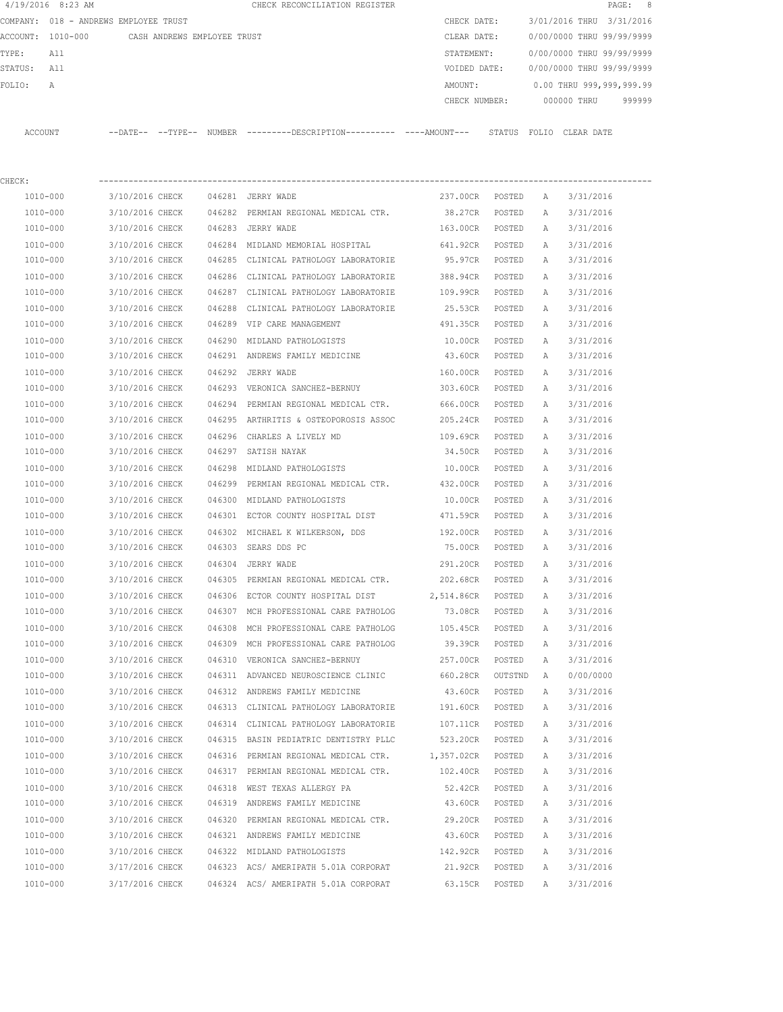|         | 4/19/2016 8:23 AM |                                       |        | CHECK RECONCILIATION REGISTER                |               |                           |            | PAGE:  | - 8 |
|---------|-------------------|---------------------------------------|--------|----------------------------------------------|---------------|---------------------------|------------|--------|-----|
|         |                   | COMPANY: 018 - ANDREWS EMPLOYEE TRUST |        |                                              | CHECK DATE:   | 3/01/2016 THRU 3/31/2016  |            |        |     |
|         | ACCOUNT: 1010-000 | CASH ANDREWS EMPLOYEE TRUST           |        |                                              | CLEAR DATE:   | 0/00/0000 THRU 99/99/9999 |            |        |     |
| TYPE:   | All               |                                       |        |                                              | STATEMENT:    | 0/00/0000 THRU 99/99/9999 |            |        |     |
| STATUS: | All               |                                       |        |                                              | VOIDED DATE:  | 0/00/0000 THRU 99/99/9999 |            |        |     |
| FOLTO:  | A                 |                                       |        |                                              | AMOUNT:       | 0.00 THRU 999,999,999.99  |            |        |     |
|         |                   |                                       |        |                                              | CHECK NUMBER: | 000000 THRU               |            | 999999 |     |
|         |                   |                                       |        |                                              |               |                           |            |        |     |
| ACCOUNT |                   | $--$ DATE $- --$ TYPE $--$            | NUMBER | ---------DESCRIPTION---------- ----AMOUNT--- | STATUS        | FOLTO                     | CLEAR DATE |        |     |
|         |                   |                                       |        |                                              |               |                           |            |        |     |

| CHECK:   |                 |                                                       |                  |        |   |           |
|----------|-----------------|-------------------------------------------------------|------------------|--------|---|-----------|
| 1010-000 | 3/10/2016 CHECK | 046281 JERRY WADE                                     | 237.00CR POSTED  |        | A | 3/31/2016 |
| 1010-000 | 3/10/2016 CHECK | 046282 PERMIAN REGIONAL MEDICAL CTR. 38.27CR          |                  | POSTED | Α | 3/31/2016 |
| 1010-000 | 3/10/2016 CHECK | 046283 JERRY WADE                                     | 163.00CR         | POSTED | Α | 3/31/2016 |
| 1010-000 | 3/10/2016 CHECK | 046284 MIDLAND MEMORIAL HOSPITAL 641.92CR POSTED      |                  |        | Α | 3/31/2016 |
| 1010-000 | 3/10/2016 CHECK | 046285 CLINICAL PATHOLOGY LABORATORIE                 | 95.97CR POSTED   |        | Α | 3/31/2016 |
| 1010-000 | 3/10/2016 CHECK | 046286 CLINICAL PATHOLOGY LABORATORIE                 | 388.94CR POSTED  |        | A | 3/31/2016 |
| 1010-000 | 3/10/2016 CHECK | 046287 CLINICAL PATHOLOGY LABORATORIE                 | 109.99CR POSTED  |        | A | 3/31/2016 |
| 1010-000 | 3/10/2016 CHECK | 046288 CLINICAL PATHOLOGY LABORATORIE                 | 25.53CR          | POSTED | А | 3/31/2016 |
| 1010-000 | 3/10/2016 CHECK | 046289 VIP CARE MANAGEMENT                            | 491.35CR         | POSTED | А | 3/31/2016 |
| 1010-000 | 3/10/2016 CHECK | 046290 MIDLAND PATHOLOGISTS                           | 10.00CR          | POSTED | Α | 3/31/2016 |
| 1010-000 | 3/10/2016 CHECK | 046291 ANDREWS FAMILY MEDICINE 43.60CR                |                  | POSTED | Α | 3/31/2016 |
| 1010-000 | 3/10/2016 CHECK | 046292 JERRY WADE                                     | 160.00CR         | POSTED | Α | 3/31/2016 |
| 1010-000 | 3/10/2016 CHECK | 046293 VERONICA SANCHEZ-BERNUY 303.60CR               |                  | POSTED | Α | 3/31/2016 |
| 1010-000 | 3/10/2016 CHECK | 046294 PERMIAN REGIONAL MEDICAL CTR. 666.00CR         |                  | POSTED | Α | 3/31/2016 |
| 1010-000 | 3/10/2016 CHECK | 046295 ARTHRITIS & OSTEOPOROSIS ASSOC 205.24CR        |                  | POSTED | Α | 3/31/2016 |
| 1010-000 | 3/10/2016 CHECK | 046296 CHARLES A LIVELY MD                            | 109.69CR         | POSTED | Α | 3/31/2016 |
| 1010-000 | 3/10/2016 CHECK | 046297 SATISH NAYAK                                   | 34.50CR          | POSTED | Α | 3/31/2016 |
| 1010-000 | 3/10/2016 CHECK | 046298 MIDLAND PATHOLOGISTS                           | 10.00CR          | POSTED | A | 3/31/2016 |
| 1010-000 | 3/10/2016 CHECK | 046299 PERMIAN REGIONAL MEDICAL CTR.                  | 432.00CR         | POSTED | A | 3/31/2016 |
| 1010-000 | 3/10/2016 CHECK | 046300 MIDLAND PATHOLOGISTS                           | 10.00CR          | POSTED | А | 3/31/2016 |
| 1010-000 | 3/10/2016 CHECK | 046301 ECTOR COUNTY HOSPITAL DIST 471.59CR            |                  | POSTED | А | 3/31/2016 |
| 1010-000 | 3/10/2016 CHECK | 046302 MICHAEL K WILKERSON, DDS 192.00CR              |                  | POSTED | Α | 3/31/2016 |
| 1010-000 | 3/10/2016 CHECK | 046303 SEARS DDS PC                                   | 75.00CR          | POSTED | Α | 3/31/2016 |
| 1010-000 | 3/10/2016 CHECK | 046304 JERRY WADE                                     | 291.20CR         | POSTED | Α | 3/31/2016 |
| 1010-000 | 3/10/2016 CHECK | 046305 PERMIAN REGIONAL MEDICAL CTR. 202.68CR         |                  | POSTED | Α | 3/31/2016 |
| 1010-000 | 3/10/2016 CHECK | 046306 ECTOR COUNTY HOSPITAL DIST 2,514.86CR          |                  | POSTED | А | 3/31/2016 |
| 1010-000 | 3/10/2016 CHECK | 046307 MCH PROFESSIONAL CARE PATHOLOG                 | 73.08CR          | POSTED | Α | 3/31/2016 |
| 1010-000 | 3/10/2016 CHECK | 046308 MCH PROFESSIONAL CARE PATHOLOG                 | 105.45CR         | POSTED | Α | 3/31/2016 |
| 1010-000 | 3/10/2016 CHECK | 046309 MCH PROFESSIONAL CARE PATHOLOG                 | 39.39CR POSTED   |        | Α | 3/31/2016 |
| 1010-000 | 3/10/2016 CHECK | 046310 VERONICA SANCHEZ-BERNUY                        | 257.00CR         | POSTED | Α | 3/31/2016 |
| 1010-000 | 3/10/2016 CHECK | 046311 ADVANCED NEUROSCIENCE CLINIC                   | 660.28CR OUTSTND |        | A | 0/00/0000 |
| 1010-000 | 3/10/2016 CHECK | 046312 ANDREWS FAMILY MEDICINE                        | 43.60CR          | POSTED | A | 3/31/2016 |
| 1010-000 | 3/10/2016 CHECK | 046313 CLINICAL PATHOLOGY LABORATORIE 191.60CR POSTED |                  |        | A | 3/31/2016 |
| 1010-000 | 3/10/2016 CHECK | 046314 CLINICAL PATHOLOGY LABORATORIE 107.11CR        |                  | POSTED | A | 3/31/2016 |
| 1010-000 | 3/10/2016 CHECK | 046315 BASIN PEDIATRIC DENTISTRY PLLC                 | 523.20CR         | POSTED | Α | 3/31/2016 |
| 1010-000 | 3/10/2016 CHECK | 046316 PERMIAN REGIONAL MEDICAL CTR.                  | 1,357.02CR       | POSTED | Α | 3/31/2016 |
| 1010-000 | 3/10/2016 CHECK | 046317 PERMIAN REGIONAL MEDICAL CTR.                  | 102.40CR         | POSTED | Α | 3/31/2016 |
| 1010-000 | 3/10/2016 CHECK | 046318 WEST TEXAS ALLERGY PA                          | 52.42CR          | POSTED | Α | 3/31/2016 |
| 1010-000 | 3/10/2016 CHECK | 046319 ANDREWS FAMILY MEDICINE                        | 43.60CR          | POSTED | Α | 3/31/2016 |
| 1010-000 | 3/10/2016 CHECK | 046320 PERMIAN REGIONAL MEDICAL CTR.                  | 29.20CR          | POSTED | Α | 3/31/2016 |
| 1010-000 | 3/10/2016 CHECK | 046321 ANDREWS FAMILY MEDICINE                        | 43.60CR          | POSTED | Α | 3/31/2016 |
| 1010-000 | 3/10/2016 CHECK | 046322 MIDLAND PATHOLOGISTS                           | 142.92CR         | POSTED | Α | 3/31/2016 |
| 1010-000 | 3/17/2016 CHECK | 046323 ACS/ AMERIPATH 5.01A CORPORAT                  | 21.92CR          | POSTED | Α | 3/31/2016 |
| 1010-000 | 3/17/2016 CHECK | 046324 ACS/ AMERIPATH 5.01A CORPORAT                  | 63.15CR          | POSTED | Α | 3/31/2016 |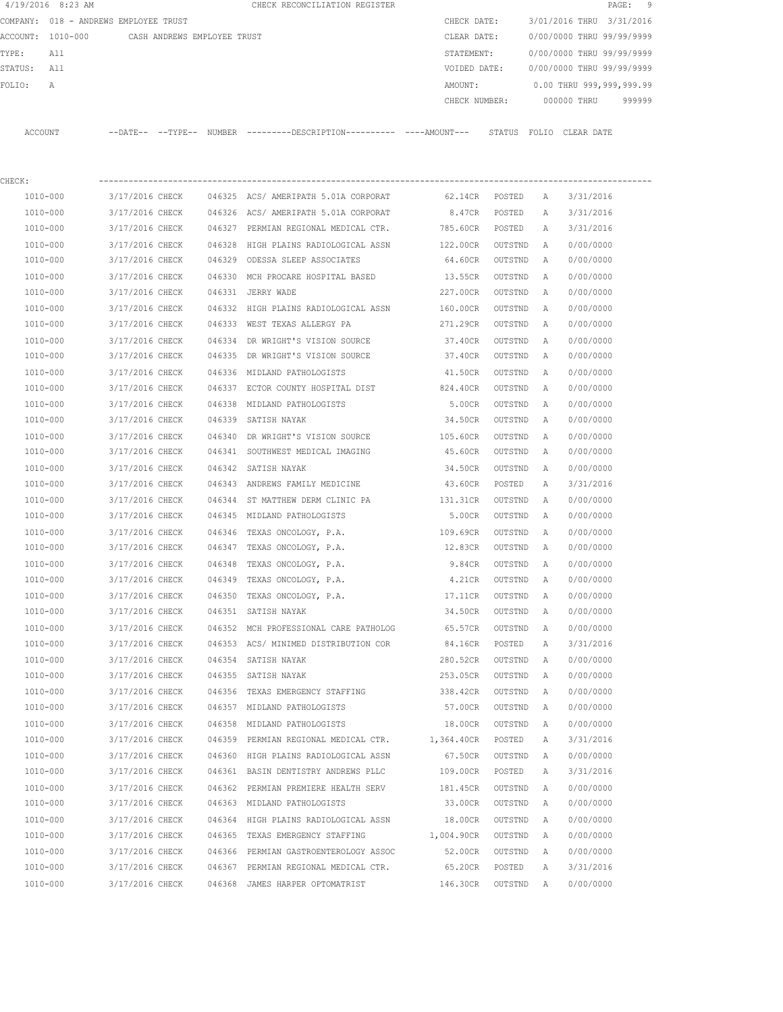|         | $4/19/2016$ 8:23 AM                   |                 |                             |        | CHECK RECONCILIATION REGISTER                                                                |                |         |   |                           | 9<br>$\texttt{PAGE}$ : |
|---------|---------------------------------------|-----------------|-----------------------------|--------|----------------------------------------------------------------------------------------------|----------------|---------|---|---------------------------|------------------------|
|         | COMPANY: 018 - ANDREWS EMPLOYEE TRUST |                 |                             |        |                                                                                              | CHECK DATE:    |         |   | 3/01/2016 THRU 3/31/2016  |                        |
|         | ACCOUNT: 1010-000                     |                 | CASH ANDREWS EMPLOYEE TRUST |        |                                                                                              | CLEAR DATE:    |         |   | 0/00/0000 THRU 99/99/9999 |                        |
| TYPE:   | All                                   |                 |                             |        |                                                                                              | STATEMENT:     |         |   | 0/00/0000 THRU 99/99/9999 |                        |
| STATUS: | All                                   |                 |                             |        |                                                                                              | VOIDED DATE:   |         |   | 0/00/0000 THRU 99/99/9999 |                        |
| FOLIO:  | А                                     |                 |                             |        |                                                                                              | AMOUNT:        |         |   | 0.00 THRU 999,999,999.99  |                        |
|         |                                       |                 |                             |        |                                                                                              | CHECK NUMBER:  |         |   | 000000 THRU               | 999999                 |
|         | ACCOUNT                               |                 |                             |        | --DATE-- --TYPE-- NUMBER ---------DESCRIPTION---------- ----AMOUNT--- STATUS FOLIO CLEARDATE |                |         |   |                           |                        |
| CHECK:  |                                       |                 |                             |        |                                                                                              |                |         |   |                           |                        |
|         | 1010-000                              | 3/17/2016 CHECK |                             |        | 046325 ACS/AMERIPATH 5.01A CORPORAT                                                          | 62.14CR POSTED |         | Α | 3/31/2016                 |                        |
|         | 1010-000                              | 3/17/2016 CHECK |                             |        | 046326 ACS/AMERIPATH 5.01A CORPORAT                                                          | 8.47CR         | POSTED  | Α | 3/31/2016                 |                        |
|         | 1010-000                              | 3/17/2016 CHECK |                             |        | 046327 PERMIAN REGIONAL MEDICAL CTR.                                                         | 785.60CR       | POSTED  | Α | 3/31/2016                 |                        |
|         | 1010-000                              | 3/17/2016 CHECK |                             |        | 046328 HIGH PLAINS RADIOLOGICAL ASSN                                                         | 122.00CR       | OUTSTND | A | 0/00/0000                 |                        |
|         | 1010-000                              | 3/17/2016 CHECK |                             |        | 046329 ODESSA SLEEP ASSOCIATES                                                               | 64.60CR        | OUTSTND | Α | 0/00/0000                 |                        |
|         | 1010-000                              | 3/17/2016 CHECK |                             |        | 046330 MCH PROCARE HOSPITAL BASED                                                            | 13.55CR        | OUTSTND | A | 0/00/0000                 |                        |
|         | 1010-000                              | 3/17/2016 CHECK |                             |        | 046331 JERRY WADE                                                                            | 227.00CR       | OUTSTND | Α | 0/00/0000                 |                        |
|         | 1010-000                              | 3/17/2016 CHECK |                             |        | 046332 HIGH PLAINS RADIOLOGICAL ASSN                                                         | 160.00CR       | OUTSTND | Α | 0/00/0000                 |                        |
|         | 1010-000                              | 3/17/2016 CHECK |                             |        | 046333 WEST TEXAS ALLERGY PA                                                                 | 271.29CR       | OUTSTND | A | 0/00/0000                 |                        |
|         | 1010-000                              | 3/17/2016 CHECK |                             |        | 046334 DR WRIGHT'S VISION SOURCE                                                             | 37.40CR        | OUTSTND | A | 0/00/0000                 |                        |
|         | 1010-000                              | 3/17/2016 CHECK |                             |        | 046335 DR WRIGHT'S VISION SOURCE                                                             | 37.40CR        | OUTSTND | A | 0/00/0000                 |                        |
|         | 1010-000                              | 3/17/2016 CHECK |                             |        | 046336 MIDLAND PATHOLOGISTS                                                                  | 41.50CR        | OUTSTND | Α | 0/00/0000                 |                        |
|         | 1010-000                              | 3/17/2016 CHECK |                             |        | 046337 ECTOR COUNTY HOSPITAL DIST                                                            | 824.40CR       | OUTSTND | A | 0/00/0000                 |                        |
|         | 1010-000                              | 3/17/2016 CHECK |                             | 046338 | MIDLAND PATHOLOGISTS                                                                         | 5.00CR         | OUTSTND | Α | 0/00/0000                 |                        |
|         | 1010-000                              | 3/17/2016 CHECK |                             |        | 046339 SATISH NAYAK                                                                          | 34.50CR        | OUTSTND | A | 0/00/0000                 |                        |
|         | 1010-000                              | 3/17/2016 CHECK |                             |        | 046340 DR WRIGHT'S VISION SOURCE                                                             | 105.60CR       | OUTSTND | Α | 0/00/0000                 |                        |
|         | 1010-000                              | 3/17/2016 CHECK |                             |        | 046341 SOUTHWEST MEDICAL IMAGING                                                             | 45.60CR        | OUTSTND | A | 0/00/0000                 |                        |
|         | 1010-000                              | 3/17/2016 CHECK |                             | 046342 | SATISH NAYAK                                                                                 | 34.50CR        | OUTSTND | Α | 0/00/0000                 |                        |
|         | 1010-000                              | 3/17/2016 CHECK |                             |        | 046343 ANDREWS FAMILY MEDICINE                                                               | 43.60CR        | POSTED  | Α | 3/31/2016                 |                        |
|         | 1010-000                              | 3/17/2016 CHECK |                             | 046344 | ST MATTHEW DERM CLINIC PA                                                                    | 131.31CR       | OUTSTND | Α | 0/00/0000                 |                        |
|         | 1010-000                              | 3/17/2016 CHECK |                             | 046345 | MIDLAND PATHOLOGISTS                                                                         | 5.00CR         | OUTSTND | Α | 0/00/0000                 |                        |
|         | 1010-000                              | 3/17/2016 CHECK |                             | 046346 | TEXAS ONCOLOGY, P.A.                                                                         | 109.69CR       | OUTSTND | Α | 0/00/0000                 |                        |
|         | 1010-000                              | 3/17/2016 CHECK |                             | 046347 | TEXAS ONCOLOGY, P.A.                                                                         | 12.83CR        | OUTSTND | A | 0/00/0000                 |                        |
|         | 1010-000                              | 3/17/2016 CHECK |                             |        | 046348 TEXAS ONCOLOGY, P.A.                                                                  | 9.84CR         | OUTSTND | A | 0/00/0000                 |                        |
|         | 1010-000                              | 3/17/2016 CHECK |                             |        | 046349 TEXAS ONCOLOGY, P.A.                                                                  | 4.21CR         | OUTSTND | A | 0/00/0000                 |                        |
|         | $1010 - 000$                          | 3/17/2016 CHECK |                             |        | 046350 TEXAS ONCOLOGY, P.A.                                                                  | 17.11CR        | OUTSTND | Α | 0/00/0000                 |                        |
|         | 1010-000                              | 3/17/2016 CHECK |                             |        | 046351 SATISH NAYAK                                                                          | 34.50CR        | OUTSTND | Α | 0/00/0000                 |                        |
|         | 1010-000                              | 3/17/2016 CHECK |                             |        | 046352 MCH PROFESSIONAL CARE PATHOLOG                                                        | 65.57CR        | OUTSTND | Α | 0/00/0000                 |                        |
|         | 1010-000                              | 3/17/2016 CHECK |                             |        | 046353 ACS/ MINIMED DISTRIBUTION COR                                                         | 84.16CR        | POSTED  | Α | 3/31/2016                 |                        |
|         | 1010-000                              | 3/17/2016 CHECK |                             |        | 046354 SATISH NAYAK                                                                          | 280.52CR       | OUTSTND | Α | 0/00/0000                 |                        |
|         | 1010-000                              | 3/17/2016 CHECK |                             |        | 046355 SATISH NAYAK                                                                          | 253.05CR       | OUTSTND | Α | 0/00/0000                 |                        |
|         | 1010-000                              | 3/17/2016 CHECK |                             |        | 046356 TEXAS EMERGENCY STAFFING                                                              | 338.42CR       | OUTSTND | Α | 0/00/0000                 |                        |
|         | 1010-000                              | 3/17/2016 CHECK |                             |        | 046357 MIDLAND PATHOLOGISTS                                                                  | 57.00CR        | OUTSTND | Α | 0/00/0000                 |                        |
|         | $1010 - 000$                          | 3/17/2016 CHECK |                             |        | 046358 MIDLAND PATHOLOGISTS                                                                  | 18.00CR        | OUTSTND | Α | 0/00/0000                 |                        |
|         | 1010-000                              | 3/17/2016 CHECK |                             |        | 046359 PERMIAN REGIONAL MEDICAL CTR. 1,364.40CR                                              |                | POSTED  | Α | 3/31/2016                 |                        |
|         | 1010-000                              | 3/17/2016 CHECK |                             |        | 046360 HIGH PLAINS RADIOLOGICAL ASSN                                                         | 67.50CR        | OUTSTND | Α | 0/00/0000                 |                        |
|         | 1010-000                              | 3/17/2016 CHECK |                             |        | 046361 BASIN DENTISTRY ANDREWS PLLC                                                          | 109.00CR       | POSTED  | Α | 3/31/2016                 |                        |
|         | 1010-000                              | 3/17/2016 CHECK |                             |        | 046362 PERMIAN PREMIERE HEALTH SERV                                                          | 181.45CR       | OUTSTND | Α | 0/00/0000                 |                        |
|         | 1010-000                              | 3/17/2016 CHECK |                             |        | 046363 MIDLAND PATHOLOGISTS                                                                  | 33.00CR        | OUTSTND | Α | 0/00/0000                 |                        |
|         | 1010-000                              | 3/17/2016 CHECK |                             |        | 046364 HIGH PLAINS RADIOLOGICAL ASSN                                                         | 18.00CR        | OUTSTND | Α | 0/00/0000                 |                        |
|         | 1010-000                              | 3/17/2016 CHECK |                             |        | 046365 TEXAS EMERGENCY STAFFING                                                              | 1,004.90CR     | OUTSTND | Α | 0/00/0000                 |                        |
|         | 1010-000                              | 3/17/2016 CHECK |                             |        | 046366 PERMIAN GASTROENTEROLOGY ASSOC                                                        | 52.00CR        | OUTSTND | A | 0/00/0000                 |                        |
|         | 1010-000                              | 3/17/2016 CHECK |                             |        | 046367 PERMIAN REGIONAL MEDICAL CTR.                                                         | 65.20CR        | POSTED  | Α | 3/31/2016                 |                        |
|         | 1010-000                              | 3/17/2016 CHECK |                             |        | 046368 JAMES HARPER OPTOMATRIST                                                              | 146.30CR       | OUTSTND | A | 0/00/0000                 |                        |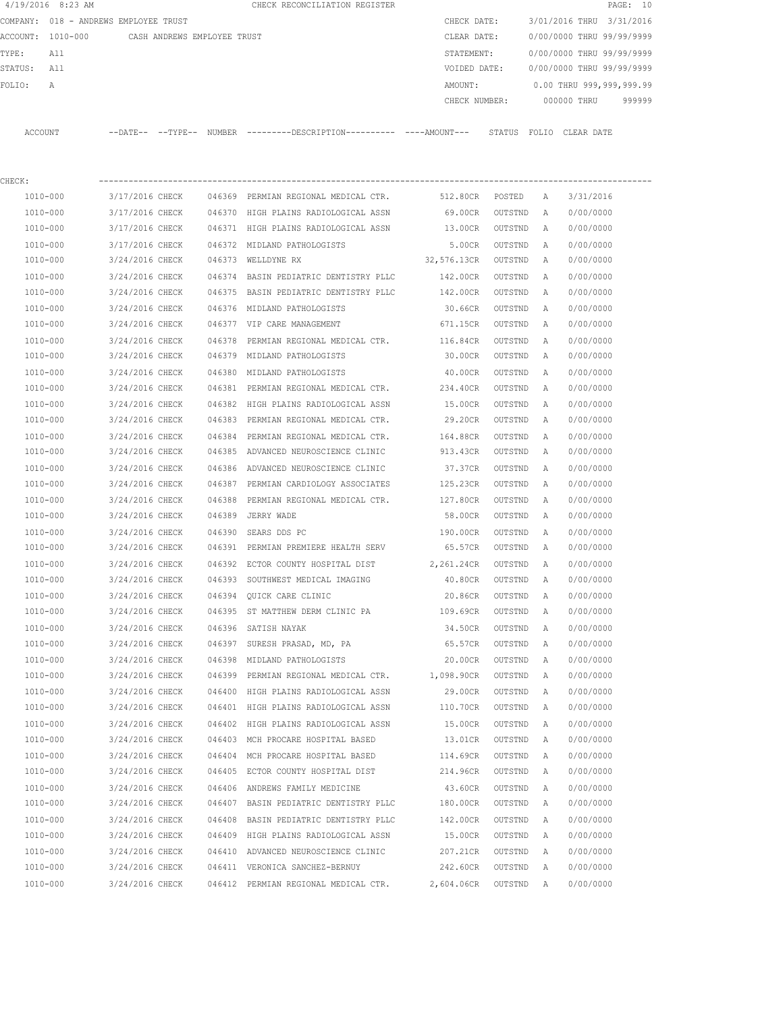|         | $4/19/2016$ 8:23 AM                   |                 |                             |        | CHECK RECONCILIATION REGISTER                                                             |                     |         |   |                           | PAGE: 10 |
|---------|---------------------------------------|-----------------|-----------------------------|--------|-------------------------------------------------------------------------------------------|---------------------|---------|---|---------------------------|----------|
|         | COMPANY: 018 - ANDREWS EMPLOYEE TRUST |                 |                             |        |                                                                                           | CHECK DATE:         |         |   | 3/01/2016 THRU 3/31/2016  |          |
|         | ACCOUNT: 1010-000                     |                 | CASH ANDREWS EMPLOYEE TRUST |        |                                                                                           | CLEAR DATE:         |         |   | 0/00/0000 THRU 99/99/9999 |          |
| TYPE:   | All                                   |                 |                             |        |                                                                                           | STATEMENT:          |         |   | 0/00/0000 THRU 99/99/9999 |          |
| STATUS: | All                                   |                 |                             |        |                                                                                           | VOIDED DATE:        |         |   | 0/00/0000 THRU 99/99/9999 |          |
| FOLIO:  | Α                                     |                 |                             |        |                                                                                           | AMOUNT:             |         |   | 0.00 THRU 999,999,999.99  |          |
|         |                                       |                 |                             |        |                                                                                           | CHECK NUMBER:       |         |   | 000000 THRU               | 999999   |
|         | ACCOUNT                               |                 |                             |        | --DATE-- --TYPE-- NUMBER --------DESCRIPTION--------- ---AMOUNT--- STATUS FOLIO CLEARDATE |                     |         |   |                           |          |
| CHECK:  |                                       |                 |                             |        |                                                                                           |                     |         |   |                           |          |
|         | 1010-000                              | 3/17/2016 CHECK |                             |        | 046369 PERMIAN REGIONAL MEDICAL CTR.                                                      | 512.80CR POSTED     |         | A | 3/31/2016                 |          |
|         | 1010-000                              | 3/17/2016 CHECK |                             |        | 046370 HIGH PLAINS RADIOLOGICAL ASSN                                                      | 69.00CR             | OUTSTND | A | 0/00/0000                 |          |
|         | 1010-000                              | 3/17/2016 CHECK |                             |        | 046371 HIGH PLAINS RADIOLOGICAL ASSN                                                      | 13.00CR             | OUTSTND | A | 0/00/0000                 |          |
|         | 1010-000                              | 3/17/2016 CHECK |                             |        | 046372 MIDLAND PATHOLOGISTS                                                               | 5.00CR              | OUTSTND | Α | 0/00/0000                 |          |
|         | 1010-000                              | 3/24/2016 CHECK |                             |        | 046373 WELLDYNE RX                                                                        | 32,576.13CR OUTSTND |         | Α | 0/00/0000                 |          |
|         | 1010-000                              | 3/24/2016 CHECK |                             | 046374 | BASIN PEDIATRIC DENTISTRY PLLC                                                            | 142.00CR            | OUTSTND | Α | 0/00/0000                 |          |
|         | 1010-000                              | 3/24/2016 CHECK |                             |        | 046375 BASIN PEDIATRIC DENTISTRY PLLC                                                     | 142.00CR            | OUTSTND | Α | 0/00/0000                 |          |
|         | 1010-000                              | 3/24/2016 CHECK |                             |        | 046376 MIDLAND PATHOLOGISTS                                                               | 30.66CR             | OUTSTND | A | 0/00/0000                 |          |
|         | 1010-000                              | 3/24/2016 CHECK |                             |        | 046377 VIP CARE MANAGEMENT                                                                | 671.15CR            | OUTSTND | A | 0/00/0000                 |          |
|         | 1010-000                              | 3/24/2016 CHECK |                             | 046378 | PERMIAN REGIONAL MEDICAL CTR. 116.84CR                                                    |                     | OUTSTND | A | 0/00/0000                 |          |
|         | 1010-000                              | 3/24/2016 CHECK |                             |        | 046379 MIDLAND PATHOLOGISTS                                                               | 30.00CR             | OUTSTND | Α | 0/00/0000                 |          |
|         | 1010-000                              | 3/24/2016 CHECK |                             | 046380 | MIDLAND PATHOLOGISTS                                                                      | 40.00CR             | OUTSTND | Α | 0/00/0000                 |          |
|         | 1010-000                              | 3/24/2016 CHECK |                             |        | 046381 PERMIAN REGIONAL MEDICAL CTR. 234.40CR                                             |                     | OUTSTND | Α | 0/00/0000                 |          |
|         | 1010-000                              | 3/24/2016 CHECK |                             |        | 046382 HIGH PLAINS RADIOLOGICAL ASSN                                                      | 15.00CR             | OUTSTND | Α | 0/00/0000                 |          |
|         | 1010-000                              | 3/24/2016 CHECK |                             |        | 046383 PERMIAN REGIONAL MEDICAL CTR.                                                      | 29.20CR             | OUTSTND | Α | 0/00/0000                 |          |
|         | 1010-000                              | 3/24/2016 CHECK |                             | 046384 | PERMIAN REGIONAL MEDICAL CTR.                                                             | 164.88CR            | OUTSTND | Α | 0/00/0000                 |          |
|         | 1010-000                              | 3/24/2016 CHECK |                             |        | 046385 ADVANCED NEUROSCIENCE CLINIC                                                       | 913.43CR            | OUTSTND | A | 0/00/0000                 |          |
|         | 1010-000                              | 3/24/2016 CHECK |                             | 046386 | ADVANCED NEUROSCIENCE CLINIC                                                              | 37.37CR             | OUTSTND | Α | 0/00/0000                 |          |
|         | 1010-000                              | 3/24/2016 CHECK |                             | 046387 | PERMIAN CARDIOLOGY ASSOCIATES                                                             | 125.23CR            | OUTSTND | A | 0/00/0000                 |          |
|         | 1010-000                              | 3/24/2016 CHECK |                             | 046388 | PERMIAN REGIONAL MEDICAL CTR.                                                             | 127.80CR            | OUTSTND | A | 0/00/0000                 |          |
|         | 1010-000                              | 3/24/2016 CHECK |                             | 046389 | JERRY WADE                                                                                | 58.00CR             | OUTSTND | Α | 0/00/0000                 |          |
|         | 1010-000                              | 3/24/2016 CHECK |                             | 046390 | SEARS DDS PC                                                                              | 190.00CR            | OUTSTND | Α | 0/00/0000                 |          |
|         | 1010-000                              | 3/24/2016 CHECK |                             |        | 046391 PERMIAN PREMIERE HEALTH SERV                                                       | 65.57CR             | OUTSTND | Α | 0/00/0000                 |          |
|         | 1010-000                              | 3/24/2016 CHECK |                             |        | 046392 ECTOR COUNTY HOSPITAL DIST 2.261.24CR                                              |                     | OUTSTND | A | 0/00/0000                 |          |
|         | 1010-000                              | 3/24/2016 CHECK |                             | 046393 | SOUTHWEST MEDICAL IMAGING                                                                 | 40.80CR             | OUTSTND | Α | 0/00/0000                 |          |
|         | 1010-000                              | 3/24/2016 CHECK |                             |        | 046394 QUICK CARE CLINIC                                                                  | 20.86CR             | OUTSTND | A | 0/00/0000                 |          |
|         | 1010-000                              | 3/24/2016 CHECK |                             |        | 046395 ST MATTHEW DERM CLINIC PA                                                          | 109.69CR            | OUTSTND | Α | 0/00/0000                 |          |
|         | $1010 - 000$                          | 3/24/2016 CHECK |                             |        | 046396 SATISH NAYAK                                                                       | 34.50CR             | OUTSTND | Α | 0/00/0000                 |          |
|         | 1010-000                              | 3/24/2016 CHECK |                             |        | 046397 SURESH PRASAD, MD, PA                                                              | 65.57CR             | OUTSTND | Α | 0/00/0000                 |          |
|         | 1010-000                              | 3/24/2016 CHECK |                             | 046398 | MIDLAND PATHOLOGISTS                                                                      | 20.00CR             | OUTSTND | Α | 0/00/0000                 |          |
|         | 1010-000                              | 3/24/2016 CHECK |                             | 046399 | PERMIAN REGIONAL MEDICAL CTR.                                                             | 1,098.90CR          | OUTSTND | Α | 0/00/0000                 |          |
|         | 1010-000                              | 3/24/2016 CHECK |                             |        | 046400 HIGH PLAINS RADIOLOGICAL ASSN                                                      | 29.00CR             | OUTSTND | Α | 0/00/0000                 |          |
|         | 1010-000                              | 3/24/2016 CHECK |                             |        | 046401 HIGH PLAINS RADIOLOGICAL ASSN                                                      | 110.70CR            | OUTSTND | Α | 0/00/0000                 |          |
|         | 1010-000                              | 3/24/2016 CHECK |                             |        | 046402 HIGH PLAINS RADIOLOGICAL ASSN                                                      | 15.00CR             | OUTSTND | Α | 0/00/0000                 |          |
|         | 1010-000                              | 3/24/2016 CHECK |                             |        | 046403 MCH PROCARE HOSPITAL BASED                                                         | 13.01CR             | OUTSTND | Α | 0/00/0000                 |          |
|         | 1010-000                              | 3/24/2016 CHECK |                             |        | 046404 MCH PROCARE HOSPITAL BASED                                                         | 114.69CR            | OUTSTND | Α | 0/00/0000                 |          |
|         | 1010-000                              | 3/24/2016 CHECK |                             |        | 046405 ECTOR COUNTY HOSPITAL DIST                                                         | 214.96CR            | OUTSTND | Α | 0/00/0000                 |          |
|         | 1010-000                              | 3/24/2016 CHECK |                             |        | 046406 ANDREWS FAMILY MEDICINE                                                            | 43.60CR             | OUTSTND | Α | 0/00/0000                 |          |
|         | 1010-000                              | 3/24/2016 CHECK |                             |        | 046407 BASIN PEDIATRIC DENTISTRY PLLC                                                     | 180.00CR            | OUTSTND | Α | 0/00/0000                 |          |
|         | 1010-000                              | 3/24/2016 CHECK |                             |        | 046408 BASIN PEDIATRIC DENTISTRY PLLC                                                     | 142.00CR            | OUTSTND | Α | 0/00/0000                 |          |
|         | 1010-000                              | 3/24/2016 CHECK |                             |        | 046409 HIGH PLAINS RADIOLOGICAL ASSN                                                      | 15.00CR             | OUTSTND | Α | 0/00/0000                 |          |
|         | 1010-000                              | 3/24/2016 CHECK |                             |        | 046410 ADVANCED NEUROSCIENCE CLINIC                                                       | 207.21CR            | OUTSTND | Α | 0/00/0000                 |          |
|         | 1010-000                              | 3/24/2016 CHECK |                             |        | 046411 VERONICA SANCHEZ-BERNUY                                                            | 242.60CR            | OUTSTND | Α | 0/00/0000                 |          |
|         | 1010-000                              | 3/24/2016 CHECK |                             |        | 046412 PERMIAN REGIONAL MEDICAL CTR.                                                      | 2,604.06CR          | OUTSTND | A | 0/00/0000                 |          |
|         |                                       |                 |                             |        |                                                                                           |                     |         |   |                           |          |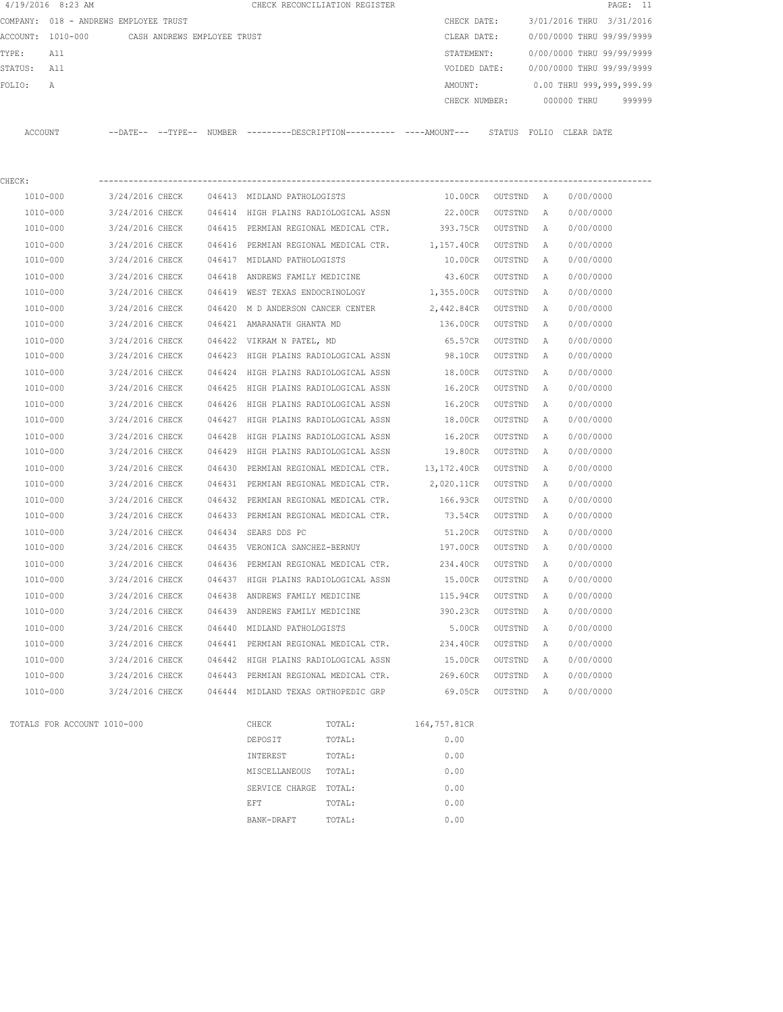|         | 4/19/2016 8:23 AM |                                               |        | CHECK RECONCILIATION REGISTER                |               |              |             |            | PAGE: 11                  |
|---------|-------------------|-----------------------------------------------|--------|----------------------------------------------|---------------|--------------|-------------|------------|---------------------------|
|         |                   | COMPANY: 018 - ANDREWS EMPLOYEE TRUST         |        |                                              | CHECK DATE:   |              |             |            | 3/01/2016 THRU 3/31/2016  |
|         |                   | ACCOUNT: 1010-000 CASH ANDREWS EMPLOYEE TRUST |        |                                              | CLEAR DATE:   |              |             |            | 0/00/0000 THRU 99/99/9999 |
| TYPE:   | All               |                                               |        |                                              | STATEMENT:    |              |             |            | 0/00/0000 THRU 99/99/9999 |
| STATUS: | All               |                                               |        |                                              | VOIDED DATE:  |              |             |            | 0/00/0000 THRU 99/99/9999 |
| FOLIO:  | A                 |                                               |        |                                              | AMOUNT:       |              |             |            | 0.00 THRU 999,999,999.99  |
|         |                   |                                               |        |                                              | CHECK NUMBER: |              | 000000 THRU |            | 999999                    |
|         |                   |                                               |        |                                              |               |              |             |            |                           |
| ACCOUNT |                   | $--$ DATE $- --$ TYPE $--$                    | NUMBER | ---------DESCRIPTION---------- ----AMOUNT--- |               | STATUS FOLIO |             | CLEAR DATE |                           |
|         |                   |                                               |        |                                              |               |              |             |            |                           |
|         |                   |                                               |        |                                              |               |              |             |            |                           |

| CHECK:                      |                                             |        |                             |                                                      |                   |         |              |           |
|-----------------------------|---------------------------------------------|--------|-----------------------------|------------------------------------------------------|-------------------|---------|--------------|-----------|
| 1010-000                    | 3/24/2016 CHECK 046413 MIDLAND PATHOLOGISTS |        |                             |                                                      | 10.00CR OUTSTND A |         |              | 0/00/0000 |
| 1010-000                    | 3/24/2016 CHECK                             |        |                             | 046414 HIGH PLAINS RADIOLOGICAL ASSN                 | 22.00CR           | OUTSTND | A            | 0/00/0000 |
| 1010-000                    | 3/24/2016 CHECK                             |        |                             | 046415 PERMIAN REGIONAL MEDICAL CTR.                 | 393.75CR          | OUTSTND | A            | 0/00/0000 |
| 1010-000                    | 3/24/2016 CHECK                             | 046416 |                             | PERMIAN REGIONAL MEDICAL CTR. 1,157.40CR             |                   | OUTSTND | $\mathbb{A}$ | 0/00/0000 |
| 1010-000                    | 3/24/2016 CHECK                             |        | 046417 MIDLAND PATHOLOGISTS |                                                      | 10.00CR           | OUTSTND | Α            | 0/00/0000 |
| 1010-000                    | 3/24/2016 CHECK                             | 046418 |                             | ANDREWS FAMILY MEDICINE                              | 43.60CR           | OUTSTND | $\mathbb{A}$ | 0/00/0000 |
| 1010-000                    | 3/24/2016 CHECK                             |        |                             | 046419 WEST TEXAS ENDOCRINOLOGY 1,355.00CR           |                   | OUTSTND | $\mathbb{A}$ | 0/00/0000 |
| 1010-000                    | 3/24/2016 CHECK                             |        |                             | 046420 M D ANDERSON CANCER CENTER 2,442.84CR         |                   | OUTSTND | Α            | 0/00/0000 |
| 1010-000                    | 3/24/2016 CHECK                             |        | 046421 AMARANATH GHANTA MD  |                                                      | 136.00CR          | OUTSTND | Α            | 0/00/0000 |
| 1010-000                    | 3/24/2016 CHECK                             |        | 046422 VIKRAM N PATEL, MD   |                                                      | 65.57CR           | OUTSTND | $\mathbb{A}$ | 0/00/0000 |
| 1010-000                    | 3/24/2016 CHECK                             |        |                             | 046423 HIGH PLAINS RADIOLOGICAL ASSN                 | 98.10CR           | OUTSTND | Α            | 0/00/0000 |
| 1010-000                    | 3/24/2016 CHECK                             |        |                             | 046424 HIGH PLAINS RADIOLOGICAL ASSN                 | 18.00CR           | OUTSTND | Α            | 0/00/0000 |
| 1010-000                    | 3/24/2016 CHECK                             |        |                             | 046425 HIGH PLAINS RADIOLOGICAL ASSN                 | 16.20CR           | OUTSTND | A            | 0/00/0000 |
| 1010-000                    | 3/24/2016 CHECK                             | 046426 |                             | HIGH PLAINS RADIOLOGICAL ASSN 16.20CR                |                   | OUTSTND | $\mathbb{A}$ | 0/00/0000 |
| 1010-000                    | 3/24/2016 CHECK                             |        |                             | 046427 HIGH PLAINS RADIOLOGICAL ASSN 18.00CR         |                   | OUTSTND | A            | 0/00/0000 |
| 1010-000                    | 3/24/2016 CHECK                             | 046428 |                             | HIGH PLAINS RADIOLOGICAL ASSN 16.20CR                |                   | OUTSTND | $\mathbb{A}$ | 0/00/0000 |
| 1010-000                    | 3/24/2016 CHECK                             |        |                             | 046429 HIGH PLAINS RADIOLOGICAL ASSN 19.80CR         |                   | OUTSTND | A            | 0/00/0000 |
| 1010-000                    | 3/24/2016 CHECK                             | 046430 |                             | PERMIAN REGIONAL MEDICAL CTR. 13,172.40CR            |                   | OUTSTND | A            | 0/00/0000 |
| 1010-000                    | 3/24/2016 CHECK                             |        |                             | 046431 PERMIAN REGIONAL MEDICAL CTR.                 | 2,020.11CR        | OUTSTND | A            | 0/00/0000 |
| 1010-000                    | 3/24/2016 CHECK                             |        |                             | 046432 PERMIAN REGIONAL MEDICAL CTR.                 | 166.93CR          | OUTSTND | $\mathbb{A}$ | 0/00/0000 |
| 1010-000                    | 3/24/2016 CHECK                             |        |                             | 046433 PERMIAN REGIONAL MEDICAL CTR.                 | 73.54CR           | OUTSTND | A            | 0/00/0000 |
| 1010-000                    | 3/24/2016 CHECK                             |        | 046434 SEARS DDS PC         |                                                      | 51.20CR           | OUTSTND | Α            | 0/00/0000 |
| 1010-000                    | 3/24/2016 CHECK                             |        |                             | 046435 VERONICA SANCHEZ-BERNUY                       | 197.00CR          | OUTSTND | A            | 0/00/0000 |
| 1010-000                    | 3/24/2016 CHECK                             | 046436 |                             | PERMIAN REGIONAL MEDICAL CTR. 234.40CR               |                   | OUTSTND | Α            | 0/00/0000 |
| 1010-000                    | 3/24/2016 CHECK                             |        |                             | 046437 HIGH PLAINS RADIOLOGICAL ASSN                 | 15.00CR           | OUTSTND | Α            | 0/00/0000 |
| 1010-000                    | 3/24/2016 CHECK                             | 046438 |                             | ANDREWS FAMILY MEDICINE                              | 115.94CR          | OUTSTND | $\mathbb{A}$ | 0/00/0000 |
| 1010-000                    | 3/24/2016 CHECK                             |        |                             | 046439 ANDREWS FAMILY MEDICINE                       | 390.23CR          | OUTSTND | Α            | 0/00/0000 |
| 1010-000                    | 3/24/2016 CHECK                             |        | 046440 MIDLAND PATHOLOGISTS |                                                      | 5.00CR            | OUTSTND | A            | 0/00/0000 |
| 1010-000                    | 3/24/2016 CHECK                             |        |                             | 046441 PERMIAN REGIONAL MEDICAL CTR. 234.40CR        |                   | OUTSTND | $\mathbb{A}$ | 0/00/0000 |
| 1010-000                    | 3/24/2016 CHECK                             |        |                             | 046442 HIGH PLAINS RADIOLOGICAL ASSN                 | 15.00CR           | OUTSTND | $\mathbb{A}$ | 0/00/0000 |
| 1010-000                    |                                             |        |                             | 3/24/2016 CHECK 046443 PERMIAN REGIONAL MEDICAL CTR. | 269.60CR          | OUTSTND | A            | 0/00/0000 |
| 1010-000                    |                                             |        |                             | 3/24/2016 CHECK 046444 MIDLAND TEXAS ORTHOPEDIC GRP  | 69.05CR OUTSTND A |         |              | 0/00/0000 |
| TOTALS FOR ACCOUNT 1010-000 |                                             |        | CHECK                       | TOTAL:                                               | 164,757.81CR      |         |              |           |
|                             |                                             |        | DEPOSIT                     | TOTAL:                                               | 0.00              |         |              |           |

|                | - - - - - - - - | - - - , - . |
|----------------|-----------------|-------------|
| DEPOSIT        | TOTAL:          | 0.00        |
| INTEREST       | TOTAL:          | 0.00        |
| MISCELLANEOUS  | TOTAL:          | 0.00        |
| SERVICE CHARGE | TOTAL:          | 0.00        |
| EFT            | TOTAL:          | 0.00        |
| BANK-DRAFT     | TOTAL:          | 0.00        |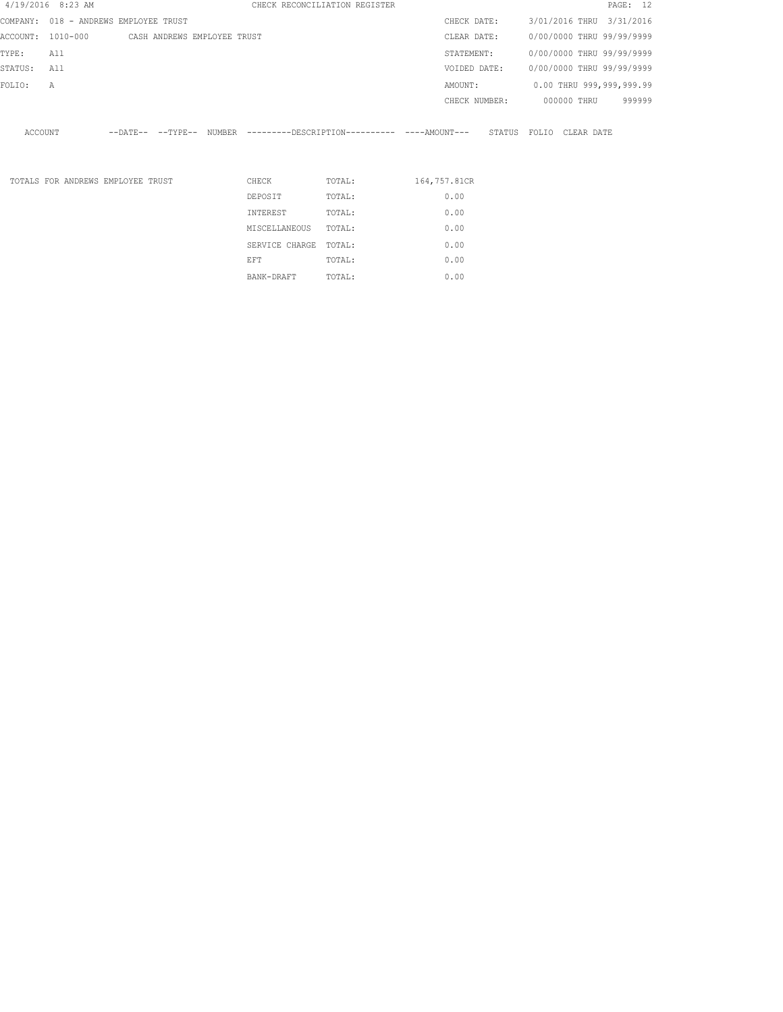|         | 4/19/2016 8:23 AM |                                               |          | CHECK RECONCILIATION REGISTER                                         |               |  |                         | PAGE: 12                  |  |
|---------|-------------------|-----------------------------------------------|----------|-----------------------------------------------------------------------|---------------|--|-------------------------|---------------------------|--|
|         |                   | COMPANY: 018 - ANDREWS EMPLOYEE TRUST         |          |                                                                       | CHECK DATE:   |  |                         | 3/01/2016 THRU 3/31/2016  |  |
|         |                   | ACCOUNT: 1010-000 CASH ANDREWS EMPLOYEE TRUST |          |                                                                       | CLEAR DATE:   |  |                         | 0/00/0000 THRU 99/99/9999 |  |
| TYPE:   | All               |                                               |          |                                                                       | STATEMENT:    |  |                         | 0/00/0000 THRU 99/99/9999 |  |
| STATUS: | All               |                                               |          |                                                                       | VOIDED DATE:  |  |                         | 0/00/0000 THRU 99/99/9999 |  |
| FOLIO:  | $\mathbb{A}$      |                                               |          |                                                                       | AMOUNT:       |  |                         | 0.00 THRU 999,999,999.99  |  |
|         |                   |                                               |          |                                                                       | CHECK NUMBER: |  | 000000 THRU             | 999999                    |  |
| ACCOUNT |                   |                                               |          | --DATE-- --TYPE-- NUMBER ---------DESCRIPTION---------- ----AMOUNT--- |               |  | STATUS FOLIO CLEAR DATE |                           |  |
|         |                   | TOTALS FOR ANDREWS EMPLOYEE TRUST             | CHECK    | TOTAL:                                                                | 164,757.81CR  |  |                         |                           |  |
|         |                   |                                               | DEPOSIT  | TOTAL:                                                                | 0.00          |  |                         |                           |  |
|         |                   |                                               | INTEREST | TOTAL:                                                                | 0.00          |  |                         |                           |  |
|         |                   |                                               |          |                                                                       |               |  |                         |                           |  |

MISCELLANEOUS TOTAL: 0.00 SERVICE CHARGE TOTAL: 0.00 MISCELLANEOUS IOIAL:<br>
SERVICE CHARGE TOTAL: 0.00<br>
EFT TOTAL: 0.00 BANK-DRAFT TOTAL: 0.00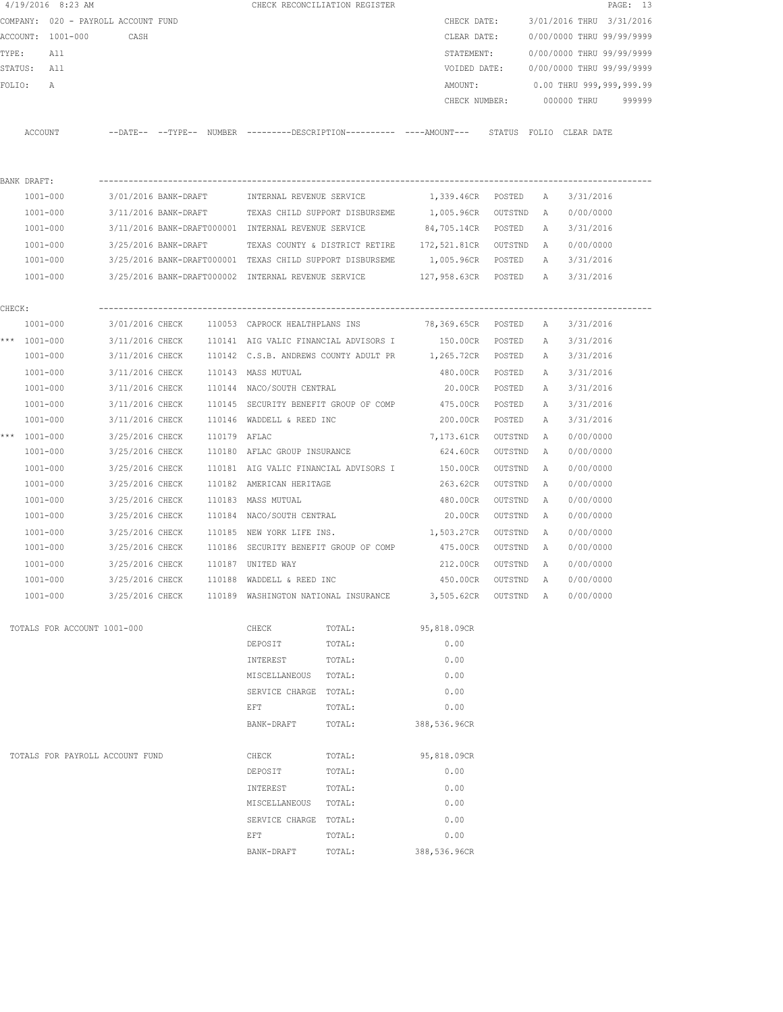|        | $4/19/2016$ 8:23 AM                 |                      |              |                                                     | CHECK RECONCILIATION REGISTER                                                                |                    |           |              |                           | PAGE: 13 |
|--------|-------------------------------------|----------------------|--------------|-----------------------------------------------------|----------------------------------------------------------------------------------------------|--------------------|-----------|--------------|---------------------------|----------|
|        | COMPANY: 020 - PAYROLL ACCOUNT FUND |                      |              |                                                     |                                                                                              | CHECK DATE:        |           |              | 3/01/2016 THRU 3/31/2016  |          |
|        | ACCOUNT: 1001-000                   | CASH                 |              |                                                     |                                                                                              | CLEAR DATE:        |           |              | 0/00/0000 THRU 99/99/9999 |          |
| TYPE:  | All                                 |                      |              |                                                     |                                                                                              | STATEMENT:         |           |              | 0/00/0000 THRU 99/99/9999 |          |
|        | STATUS: All                         |                      |              |                                                     |                                                                                              | VOIDED DATE:       |           |              | 0/00/0000 THRU 99/99/9999 |          |
| FOLIO: | A                                   |                      |              |                                                     |                                                                                              | AMOUNT:            |           |              | 0.00 THRU 999,999,999.99  |          |
|        |                                     |                      |              |                                                     |                                                                                              | CHECK NUMBER:      |           |              | 000000 THRU               | 999999   |
|        | ACCOUNT                             |                      |              |                                                     | --DATE-- --TYPE-- NUMBER ---------DESCRIPTION---------- ----AMOUNT--- STATUS FOLIO CLEARDATE |                    |           |              |                           |          |
|        | BANK DRAFT:                         |                      |              |                                                     |                                                                                              |                    |           |              |                           |          |
|        | 1001-000                            |                      |              | 3/01/2016 BANK-DRAFT     INTERNAL REVENUE SERVICE   |                                                                                              | 1,339.46CR POSTED  |           | A            | 3/31/2016                 |          |
|        | 1001-000                            |                      |              |                                                     | 3/11/2016 BANK-DRAFT TEXAS CHILD SUPPORT DISBURSEME 1,005.96CR                               |                    | OUTSTND   | A            | 0/00/0000                 |          |
|        | 1001-000                            |                      |              | 3/11/2016 BANK-DRAFT000001 INTERNAL REVENUE SERVICE |                                                                                              | 84,705.14CR POSTED |           | А            | 3/31/2016                 |          |
|        | 1001-000                            | 3/25/2016 BANK-DRAFT |              |                                                     | TEXAS COUNTY & DISTRICT RETIRE 172,521.81CR OUTSTND                                          |                    |           | <b>A</b>     | 0/00/0000                 |          |
|        | 1001-000                            |                      |              |                                                     | 3/25/2016 BANK-DRAFT000001 TEXAS CHILD SUPPORT DISBURSEME                                    | 1,005.96CR POSTED  |           |              | A 3/31/2016               |          |
|        | 1001-000                            |                      |              |                                                     | 3/25/2016 BANK-DRAFT000002 INTERNAL REVENUE SERVICE 6 127,958.63CR POSTED A 3/31/2016        |                    |           |              |                           |          |
| CHECK: |                                     |                      |              |                                                     |                                                                                              |                    |           |              |                           |          |
|        | 1001-000                            |                      |              |                                                     | 3/01/2016 CHECK 110053 CAPROCK HEALTHPLANS INS 78,369.65CR POSTED                            |                    |           | A            | 3/31/2016                 |          |
|        | *** 1001-000                        |                      |              |                                                     | 3/11/2016 CHECK 110141 AIG VALIC FINANCIAL ADVISORS I 150.00CR POSTED                        |                    |           | A            | 3/31/2016                 |          |
|        | 1001-000                            |                      |              |                                                     | 3/11/2016 CHECK 110142 C.S.B. ANDREWS COUNTY ADULT PR 1,265.72CR POSTED                      |                    |           | A            | 3/31/2016                 |          |
|        | 1001-000                            | 3/11/2016 CHECK      |              | 110143 MASS MUTUAL                                  |                                                                                              | 480.00CR           | POSTED    | A            | 3/31/2016                 |          |
|        | 1001-000                            |                      |              | 3/11/2016 CHECK 110144 NACO/SOUTH CENTRAL           |                                                                                              | 20.00CR POSTED     |           | A            | 3/31/2016                 |          |
|        | 1001-000                            | 3/11/2016 CHECK      |              |                                                     | 110145 SECURITY BENEFIT GROUP OF COMP 475.00CR                                               |                    | POSTED    | Α            | 3/31/2016                 |          |
|        | 1001-000                            | 3/11/2016 CHECK      |              | 110146 WADDELL & REED INC                           |                                                                                              | 200.00CR           | POSTED    | Α            | 3/31/2016                 |          |
|        | *** 1001-000                        | 3/25/2016 CHECK      | 110179 AFLAC |                                                     |                                                                                              | 7,173.61CR         | OUTSTND   | $\mathbb{A}$ | 0/00/0000                 |          |
|        | 1001-000                            | 3/25/2016 CHECK      |              | 110180 AFLAC GROUP INSURANCE                        |                                                                                              | 624.60CR           | OUTSTND   | Α            | 0/00/0000                 |          |
|        | 1001-000                            | 3/25/2016 CHECK      |              |                                                     | 110181 AIG VALIC FINANCIAL ADVISORS I                                                        | 150.00CR           | OUTSTND   | A            | 0/00/0000                 |          |
|        | 1001-000                            | 3/25/2016 CHECK      |              | 110182 AMERICAN HERITAGE                            |                                                                                              | 263.62CR           | OUTSTND   | A            | 0/00/0000                 |          |
|        | $1001 - 000$                        | 3/25/2016 CHECK      |              | 110183  MASS MUTUAL                                 |                                                                                              | 480.00CR           | OUTSTND   | A            | 0/00/0000                 |          |
|        | 1001-000                            | 3/25/2016 CHECK      |              | 110184 NACO/SOUTH CENTRAL                           |                                                                                              | 20.00CR            | OUTSTND   | A            | 0/00/0000                 |          |
|        | 1001-000                            | 3/25/2016 CHECK      |              | 110185 NEW YORK LIFE INS.                           |                                                                                              | 1,503.27CR         | OUTSTND   | A            | 0/00/0000                 |          |
|        | 1001-000                            | 3/25/2016 CHECK      |              |                                                     | 110186 SECURITY BENEFIT GROUP OF COMP                                                        | 475.00CR           | OUTSTND   | A            | 0/00/0000                 |          |
|        | 1001-000                            | 3/25/2016 CHECK      |              | 110187 UNITED WAY                                   |                                                                                              | 212.00CR           | OUTSTND   | A            | 0/00/0000                 |          |
|        | 1001-000                            | 3/25/2016 CHECK      |              | 110188 WADDELL & REED INC                           |                                                                                              | 450.00CR           | OUTSTND   | $\mathbf{A}$ | 0/00/0000                 |          |
|        | $1001 - 000$                        | 3/25/2016 CHECK      |              |                                                     | 110189 WASHINGTON NATIONAL INSURANCE                                                         | 3,505.62CR         | OUTSTND A |              | 0/00/0000                 |          |
|        | TOTALS FOR ACCOUNT 1001-000         |                      |              | CHECK                                               | TOTAL:                                                                                       | 95,818.09CR        |           |              |                           |          |
|        |                                     |                      |              | DEPOSIT                                             | TOTAL:                                                                                       | 0.00               |           |              |                           |          |
|        |                                     |                      |              | INTEREST                                            | TOTAL:                                                                                       | 0.00               |           |              |                           |          |
|        |                                     |                      |              | MISCELLANEOUS TOTAL:                                |                                                                                              | 0.00               |           |              |                           |          |
|        |                                     |                      |              | SERVICE CHARGE TOTAL:                               |                                                                                              | 0.00               |           |              |                           |          |
|        |                                     |                      |              | EFT                                                 | TOTAL:                                                                                       | 0.00               |           |              |                           |          |
|        |                                     |                      |              | BANK-DRAFT                                          | TOTAL:                                                                                       | 388,536.96CR       |           |              |                           |          |
|        | TOTALS FOR PAYROLL ACCOUNT FUND     |                      |              | CHECK                                               | TOTAL:                                                                                       | 95,818.09CR        |           |              |                           |          |
|        |                                     |                      |              | DEPOSIT                                             | TOTAL:                                                                                       | 0.00               |           |              |                           |          |
|        |                                     |                      |              | INTEREST                                            | TOTAL:                                                                                       | 0.00               |           |              |                           |          |
|        |                                     |                      |              | MISCELLANEOUS                                       | TOTAL:                                                                                       | 0.00               |           |              |                           |          |
|        |                                     |                      |              | SERVICE CHARGE TOTAL:                               |                                                                                              | 0.00               |           |              |                           |          |
|        |                                     |                      |              | EFT                                                 | TOTAL:                                                                                       | 0.00               |           |              |                           |          |
|        |                                     |                      |              | BANK-DRAFT                                          | TOTAL:                                                                                       | 388,536.96CR       |           |              |                           |          |
|        |                                     |                      |              |                                                     |                                                                                              |                    |           |              |                           |          |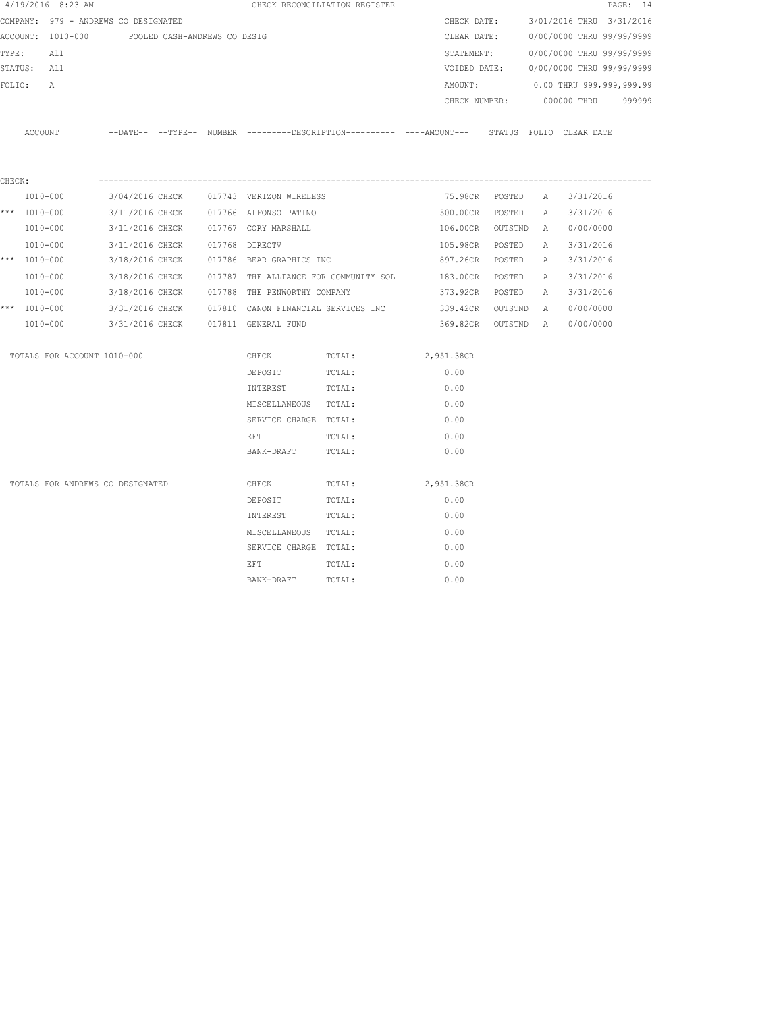|        | 4/19/2016 8:23 AM                              |                 |  |                                          | CHECK RECONCILIATION REGISTER                                                                         |                    |                    |   |                                  | PAGE: 14 |
|--------|------------------------------------------------|-----------------|--|------------------------------------------|-------------------------------------------------------------------------------------------------------|--------------------|--------------------|---|----------------------------------|----------|
|        | COMPANY: 979 - ANDREWS CO DESIGNATED           |                 |  |                                          |                                                                                                       | CHECK DATE:        |                    |   | 3/01/2016 THRU 3/31/2016         |          |
|        | ACCOUNT: 1010-000 POOLED CASH-ANDREWS CO DESIG |                 |  |                                          |                                                                                                       | CLEAR DATE:        |                    |   | 0/00/0000 THRU 99/99/9999        |          |
|        | TYPE:<br>All                                   |                 |  |                                          |                                                                                                       | STATEMENT:         |                    |   | 0/00/0000 THRU 99/99/9999        |          |
|        | STATUS: All                                    |                 |  |                                          |                                                                                                       | VOIDED DATE:       |                    |   | 0/00/0000 THRU 99/99/9999        |          |
| FOLIO: | Α                                              |                 |  |                                          |                                                                                                       | AMOUNT:            |                    |   | 0.00 THRU 999,999,999.99         |          |
|        |                                                |                 |  |                                          |                                                                                                       |                    |                    |   | CHECK NUMBER: 000000 THRU 999999 |          |
|        |                                                |                 |  |                                          | ACCOUNT --DATE-- --TYPE-- NUMBER ---------DESCRIPTION---------- ----AMOUNT--- STATUS FOLIO CLEAR DATE |                    |                    |   |                                  |          |
| CHECK: |                                                |                 |  |                                          |                                                                                                       |                    |                    |   |                                  |          |
|        | 1010-000                                       |                 |  | 3/04/2016 CHECK 017743 VERIZON WIRELESS  |                                                                                                       |                    | 75.98CR POSTED A   |   | 3/31/2016                        |          |
|        | *** 1010-000                                   |                 |  | 3/11/2016 CHECK 017766 ALFONSO PATINO    |                                                                                                       |                    | 500.00CR POSTED    | A | 3/31/2016                        |          |
|        | 1010-000                                       |                 |  | 3/11/2016 CHECK 017767 CORY MARSHALL     |                                                                                                       | 106.00CR OUTSTND A |                    |   | 0/00/0000                        |          |
|        | 1010-000                                       | 3/11/2016 CHECK |  | 017768 DIRECTV                           |                                                                                                       | 105.98CR POSTED    |                    | A | 3/31/2016                        |          |
|        | *** 1010-000                                   |                 |  | 3/18/2016 CHECK 017786 BEAR GRAPHICS INC |                                                                                                       | 897.26CR POSTED    |                    | A | 3/31/2016                        |          |
|        | 1010-000                                       |                 |  |                                          | 3/18/2016 CHECK 017787 THE ALLIANCE FOR COMMUNITY SOL                                                 | 183.00CR POSTED    |                    | A | 3/31/2016                        |          |
|        | 1010-000                                       | 3/18/2016 CHECK |  | 017788 THE PENWORTHY COMPANY             |                                                                                                       | 373.92CR POSTED    |                    | A | 3/31/2016                        |          |
|        | *** 1010-000                                   |                 |  |                                          | 3/31/2016 CHECK 017810 CANON FINANCIAL SERVICES INC                                                   | 339.42CR OUTSTND A |                    |   | 0/00/0000                        |          |
|        | 1010-000                                       |                 |  | 3/31/2016 CHECK 017811 GENERAL FUND      |                                                                                                       |                    | 369.82CR OUTSTND A |   | 0/00/0000                        |          |
|        | TOTALS FOR ACCOUNT 1010-000                    |                 |  | CHECK                                    | TOTAL:                                                                                                | 2,951.38CR         |                    |   |                                  |          |
|        |                                                |                 |  | DEPOSIT                                  | TOTAL:                                                                                                | 0.00               |                    |   |                                  |          |
|        |                                                |                 |  | INTEREST                                 | TOTAL:                                                                                                | 0.00               |                    |   |                                  |          |
|        |                                                |                 |  | MISCELLANEOUS TOTAL:                     |                                                                                                       | 0.00               |                    |   |                                  |          |
|        |                                                |                 |  | SERVICE CHARGE TOTAL:                    |                                                                                                       | 0.00               |                    |   |                                  |          |
|        |                                                |                 |  | <b>EFT</b>                               | TOTAL:                                                                                                | 0.00               |                    |   |                                  |          |
|        |                                                |                 |  | BANK-DRAFT                               | TOTAL:                                                                                                | 0.00               |                    |   |                                  |          |
|        | TOTALS FOR ANDREWS CO DESIGNATED               |                 |  | CHECK                                    | TOTAL:                                                                                                | 2,951.38CR         |                    |   |                                  |          |
|        |                                                |                 |  | DEPOSIT                                  | TOTAL:                                                                                                | 0.00               |                    |   |                                  |          |
|        |                                                |                 |  | INTEREST                                 | TOTAL:                                                                                                | 0.00               |                    |   |                                  |          |
|        |                                                |                 |  | MISCELLANEOUS TOTAL:                     |                                                                                                       | 0.00               |                    |   |                                  |          |
|        |                                                |                 |  | SERVICE CHARGE TOTAL:                    |                                                                                                       | 0.00               |                    |   |                                  |          |
|        |                                                |                 |  | EFT                                      | TOTAL:                                                                                                | 0.00               |                    |   |                                  |          |
|        |                                                |                 |  | BANK-DRAFT                               | TOTAL:                                                                                                | 0.00               |                    |   |                                  |          |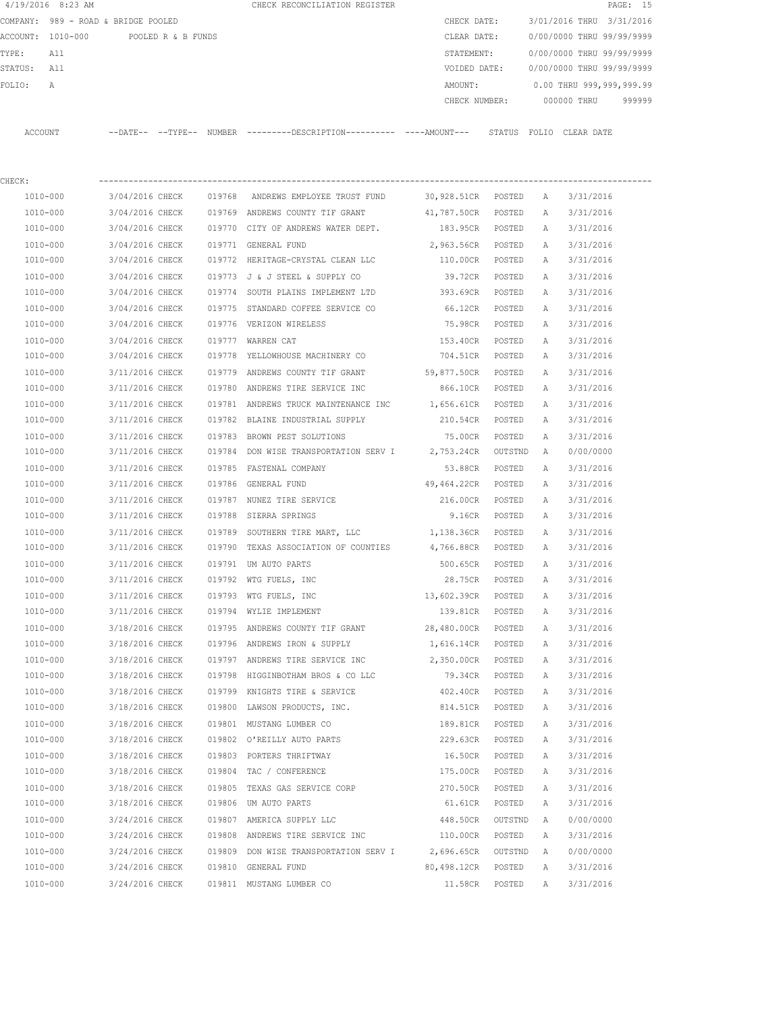| 4/19/2016 8:23 AM |                                      |                 | CHECK RECONCILIATION REGISTER                                                                         |                                |                  |          |                                        | PAGE: 15 |
|-------------------|--------------------------------------|-----------------|-------------------------------------------------------------------------------------------------------|--------------------------------|------------------|----------|----------------------------------------|----------|
|                   | COMPANY: 989 - ROAD & BRIDGE POOLED  |                 |                                                                                                       |                                |                  |          | CHECK DATE: 3/01/2016 THRU 3/31/2016   |          |
|                   | ACCOUNT: 1010-000 POOLED R & B FUNDS |                 |                                                                                                       | CLEAR DATE:                    |                  |          | 0/00/0000 THRU 99/99/9999              |          |
| TYPE: All         |                                      |                 |                                                                                                       |                                |                  |          | STATEMENT: 0/00/0000 THRU 99/99/9999   |          |
| STATUS: All       |                                      |                 |                                                                                                       |                                |                  |          | VOIDED DATE: 0/00/0000 THRU 99/99/9999 |          |
| FOLIO:<br>A       |                                      |                 |                                                                                                       |                                |                  |          | AMOUNT: 0.00 THRU 999,999,999.99       |          |
|                   |                                      |                 |                                                                                                       |                                |                  |          | CHECK NUMBER: 000000 THRU 999999       |          |
|                   |                                      |                 | ACCOUNT --DATE-- --TYPE-- NUMBER ---------DESCRIPTION---------- ----AMOUNT--- STATUS FOLIO CLEAR DATE |                                |                  |          |                                        |          |
| CHECK:            |                                      |                 |                                                                                                       |                                |                  |          |                                        |          |
| 1010-000          |                                      |                 | 3/04/2016 CHECK 019768 ANDREWS EMPLOYEE TRUST FUND                                                    | 30,928.51CR POSTED A 3/31/2016 |                  |          |                                        |          |
| 1010-000          |                                      |                 | 3/04/2016 CHECK 019769 ANDREWS COUNTY TIF GRANT                                                       | 41,787.50CR POSTED A 3/31/2016 |                  |          |                                        |          |
| 1010-000          |                                      |                 | 3/04/2016 CHECK 019770 CITY OF ANDREWS WATER DEPT.                                                    | 183.95CR POSTED A 3/31/2016    |                  |          |                                        |          |
| 1010-000          |                                      |                 | 3/04/2016 CHECK 019771 GENERAL FUND                                                                   | 2,963.56CR POSTED A            |                  |          | 3/31/2016                              |          |
| 1010-000          |                                      |                 | 3/04/2016 CHECK 019772 HERITAGE-CRYSTAL CLEAN LLC 110.00CR POSTED A 3/31/2016                         |                                |                  |          |                                        |          |
| 1010-000          |                                      |                 | $3/04/2016$ CHECK 019773 J & J STEEL & SUPPLY CO                                                      | 39.72CR POSTED                 |                  | A        | 3/31/2016                              |          |
| 1010-000          |                                      |                 | 3/04/2016 CHECK 019774 SOUTH PLAINS IMPLEMENT LTD 393.69CR POSTED A                                   |                                |                  |          | 3/31/2016                              |          |
| 1010-000          |                                      | 3/04/2016 CHECK | 019775 STANDARD COFFEE SERVICE CO                                                                     | 66.12CR POSTED                 |                  | A        | 3/31/2016                              |          |
| 1010-000          |                                      | 3/04/2016 CHECK | 019776 VERIZON WIRELESS                                                                               | 75.98CR POSTED                 |                  | <b>A</b> | 3/31/2016                              |          |
| 1010-000          |                                      |                 | 3/04/2016 CHECK 019777 WARREN CAT                                                                     | 153.40CR POSTED A              |                  |          | 3/31/2016                              |          |
| 1010-000          |                                      |                 | 3/04/2016 CHECK 019778 YELLOWHOUSE MACHINERY CO                                                       | 704.51CR POSTED A              |                  |          | 3/31/2016                              |          |
| 1010-000          |                                      |                 | 3/11/2016 CHECK 019779 ANDREWS COUNTY TIF GRANT                                                       | 59,877.50CR POSTED A 3/31/2016 |                  |          |                                        |          |
| 1010-000          |                                      |                 | 3/11/2016 CHECK 019780 ANDREWS TIRE SERVICE INC                                                       | 866.10CR POSTED                |                  | A        | 3/31/2016                              |          |
| 1010-000          |                                      |                 | 3/11/2016 CHECK 019781 ANDREWS TRUCK MAINTENANCE INC                                                  | 1,656.61CR POSTED              |                  |          | A 3/31/2016                            |          |
| 1010-000          |                                      |                 | 3/11/2016 CHECK 019782 BLAINE INDUSTRIAL SUPPLY                                                       | 210.54CR POSTED                |                  | A        | 3/31/2016                              |          |
| 1010-000          |                                      |                 | 3/11/2016 CHECK 019783 BROWN PEST SOLUTIONS                                                           | 75.00CR POSTED                 |                  | A        | 3/31/2016                              |          |
| 1010-000          |                                      |                 | $3/11/2016$ CHECK 019784 DON WISE TRANSPORTATION SERV I 2,753.24CR OUTSTND A                          |                                |                  |          | 0/00/0000                              |          |
| 1010-000          |                                      |                 | 3/11/2016 CHECK 019785 FASTENAL COMPANY                                                               | 53.88CR POSTED                 |                  | A        | 3/31/2016                              |          |
| 1010-000          |                                      |                 | 3/11/2016 CHECK 019786 GENERAL FUND                                                                   | 49,464.22CR POSTED             |                  | A        | 3/31/2016                              |          |
| 1010-000          |                                      |                 | 3/11/2016 CHECK 019787 NUNEZ TIRE SERVICE                                                             | 216.00CR POSTED                |                  | A        | 3/31/2016                              |          |
| 1010-000          |                                      |                 | 3/11/2016 CHECK 019788 SIERRA SPRINGS                                                                 | 9.16CR POSTED A                |                  |          | 3/31/2016                              |          |
| 1010-000          |                                      |                 | $3/11/2016$ CHECK 019789 SOUTHERN TIRE MART, LLC $1,138.36$ CR POSTED A                               |                                |                  |          | 3/31/2016                              |          |
| 1010-000          |                                      |                 | 3/11/2016 CHECK 019790 TEXAS ASSOCIATION OF COUNTIES                                                  | 4,766.88CR POSTED A 3/31/2016  |                  |          |                                        |          |
| 1010-000          |                                      |                 | 3/11/2016 CHECK 019791 UM AUTO PARTS                                                                  | 500.65CR POSTED A 3/31/2016    |                  |          |                                        |          |
| 1010-000          | 3/11/2016 CHECK                      |                 | 019792 WTG FUELS, INC                                                                                 | 28.75CR                        | POSTED           | Α        | 3/31/2016                              |          |
| 1010-000          | 3/11/2016 CHECK                      |                 | 019793 WTG FUELS, INC                                                                                 | 13,602.39CR                    | POSTED           | Α        | 3/31/2016                              |          |
| 1010-000          | 3/11/2016 CHECK                      |                 | 019794 WYLIE IMPLEMENT                                                                                | 139.81CR                       | POSTED           | Α        | 3/31/2016                              |          |
| 1010-000          | 3/18/2016 CHECK                      |                 | 019795 ANDREWS COUNTY TIF GRANT                                                                       | 28,480.00CR                    | POSTED           | Α        | 3/31/2016                              |          |
| 1010-000          | 3/18/2016 CHECK                      |                 | 019796 ANDREWS IRON & SUPPLY                                                                          | 1,616.14CR                     | POSTED           | Α        | 3/31/2016                              |          |
| 1010-000          | 3/18/2016 CHECK                      |                 | 019797 ANDREWS TIRE SERVICE INC                                                                       | 2,350.00CR                     | POSTED           | Α        | 3/31/2016                              |          |
| 1010-000          | 3/18/2016 CHECK                      |                 | 019798 HIGGINBOTHAM BROS & CO LLC                                                                     | 79.34CR                        | POSTED           | Α        | 3/31/2016                              |          |
| 1010-000          | 3/18/2016 CHECK                      |                 | 019799 KNIGHTS TIRE & SERVICE                                                                         | 402.40CR                       | POSTED           | Α        | 3/31/2016                              |          |
| 1010-000          | 3/18/2016 CHECK                      |                 | 019800 LAWSON PRODUCTS, INC.                                                                          | 814.51CR                       | POSTED           | Α        | 3/31/2016                              |          |
| 1010-000          | 3/18/2016 CHECK                      |                 | 019801 MUSTANG LUMBER CO                                                                              | 189.81CR                       | POSTED           | Α        | 3/31/2016                              |          |
| 1010-000          | 3/18/2016 CHECK                      |                 | 019802 O'REILLY AUTO PARTS                                                                            | 229.63CR                       | POSTED           | Α        | 3/31/2016                              |          |
| 1010-000          |                                      |                 |                                                                                                       |                                |                  |          |                                        |          |
| 1010-000          | 3/18/2016 CHECK<br>3/18/2016 CHECK   |                 | 019803 PORTERS THRIFTWAY<br>019804 TAC / CONFERENCE                                                   | 16.50CR<br>175.00CR            | POSTED<br>POSTED | Α<br>Α   | 3/31/2016<br>3/31/2016                 |          |
| 1010-000          | 3/18/2016 CHECK                      |                 | 019805 TEXAS GAS SERVICE CORP                                                                         | 270.50CR                       | POSTED           | Α        | 3/31/2016                              |          |
| 1010-000          | 3/18/2016 CHECK                      |                 | 019806 UM AUTO PARTS                                                                                  | 61.61CR                        | POSTED           | Α        | 3/31/2016                              |          |
| 1010-000          | 3/24/2016 CHECK                      |                 | 019807 AMERICA SUPPLY LLC                                                                             | 448.50CR                       | OUTSTND          | Α        | 0/00/0000                              |          |
| 1010-000          | 3/24/2016 CHECK                      |                 | 019808 ANDREWS TIRE SERVICE INC                                                                       | 110.00CR                       | POSTED           | Α        | 3/31/2016                              |          |
| 1010-000          | 3/24/2016 CHECK                      |                 | 019809 DON WISE TRANSPORTATION SERV I 2,696.65CR                                                      |                                | OUTSTND          | Α        | 0/00/0000                              |          |
| 1010-000          | 3/24/2016 CHECK                      |                 | 019810 GENERAL FUND                                                                                   | 80,498.12CR                    | POSTED           | Α        | 3/31/2016                              |          |
| 1010-000          | 3/24/2016 CHECK                      |                 | 019811 MUSTANG LUMBER CO                                                                              | 11.58CR                        | POSTED           | Α        | 3/31/2016                              |          |
|                   |                                      |                 |                                                                                                       |                                |                  |          |                                        |          |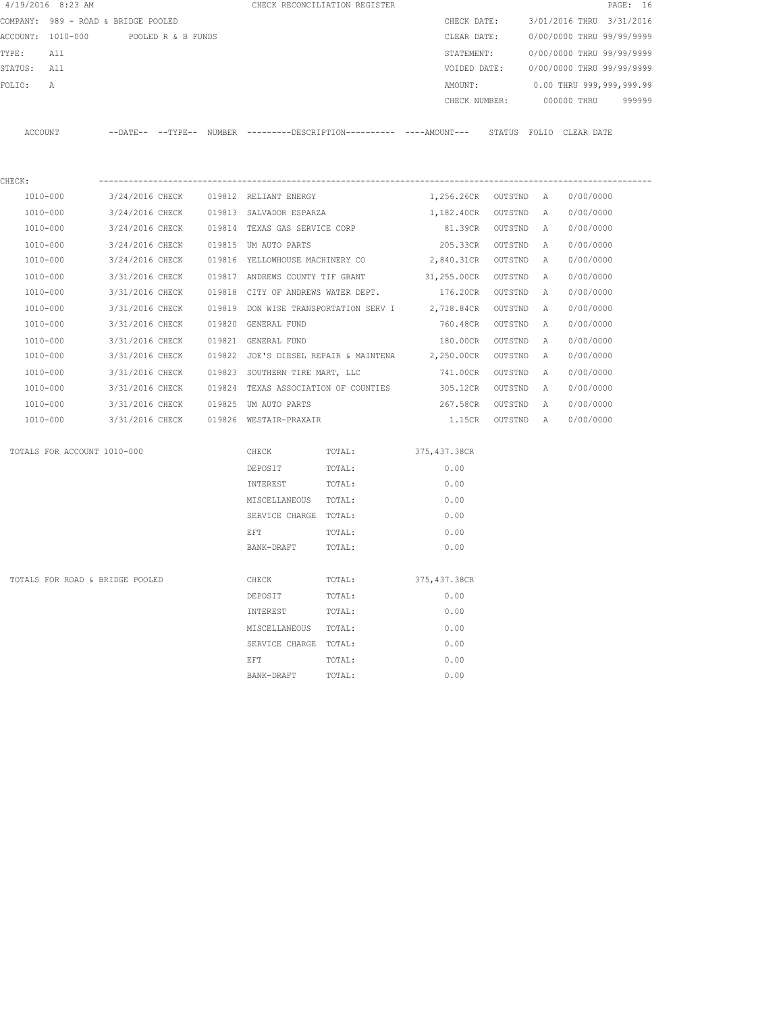| $4/19/2016$ 8:23 AM |                                      |                 |  | CHECK RECONCILIATION REGISTER          |                                      |                                                                                             |         |          |                                        | PAGE: 16 |
|---------------------|--------------------------------------|-----------------|--|----------------------------------------|--------------------------------------|---------------------------------------------------------------------------------------------|---------|----------|----------------------------------------|----------|
|                     | COMPANY: 989 - ROAD & BRIDGE POOLED  |                 |  |                                        |                                      | CHECK DATE:                                                                                 |         |          | 3/01/2016 THRU 3/31/2016               |          |
|                     | ACCOUNT: 1010-000 POOLED R & B FUNDS |                 |  |                                        |                                      | CLEAR DATE:                                                                                 |         |          | 0/00/0000 THRU 99/99/9999              |          |
| TYPE:               | All                                  |                 |  |                                        |                                      | STATEMENT:                                                                                  |         |          | 0/00/0000 THRU 99/99/9999              |          |
| STATUS:             | All                                  |                 |  |                                        |                                      |                                                                                             |         |          | VOIDED DATE: 0/00/0000 THRU 99/99/9999 |          |
| FOLIO:              | А                                    |                 |  |                                        |                                      | AMOUNT:                                                                                     |         |          | 0.00 THRU 999,999,999.99               |          |
|                     |                                      |                 |  |                                        |                                      |                                                                                             |         |          | CHECK NUMBER: 000000 THRU              | 999999   |
|                     |                                      |                 |  |                                        |                                      |                                                                                             |         |          |                                        |          |
| ACCOUNT             |                                      |                 |  |                                        |                                      | --DATE-- --TYPE-- NUMBER --------DESCRIPTION--------- ----AMOUNT--- STATUS FOLIO CLEAR-DATE |         |          |                                        |          |
|                     |                                      |                 |  |                                        |                                      |                                                                                             |         |          |                                        |          |
| CHECK:              |                                      |                 |  |                                        |                                      |                                                                                             |         |          |                                        |          |
| 1010-000            |                                      | 3/24/2016 CHECK |  | 019812 RELIANT ENERGY                  |                                      | 1,256.26CR OUTSTND A                                                                        |         |          | 0/00/0000                              |          |
| 1010-000            |                                      | 3/24/2016 CHECK |  | 019813 SALVADOR ESPARZA                |                                      | 1,182.40CR OUTSTND A                                                                        |         |          | 0/00/0000                              |          |
| 1010-000            |                                      | 3/24/2016 CHECK |  | 019814 TEXAS GAS SERVICE CORP          |                                      | 81.39CR OUTSTND                                                                             |         | A        | 0/00/0000                              |          |
| 1010-000            |                                      | 3/24/2016 CHECK |  | 019815 UM AUTO PARTS                   |                                      | 205.33CR OUTSTND                                                                            |         | <b>A</b> | 0/00/0000                              |          |
| 1010-000            |                                      | 3/24/2016 CHECK |  |                                        | 019816 YELLOWHOUSE MACHINERY CO      | 2,840.31CR OUTSTND                                                                          |         | <b>A</b> | 0/00/0000                              |          |
| 1010-000            |                                      | 3/31/2016 CHECK |  |                                        |                                      | 019817 ANDREWS COUNTY TIF GRANT 31,255.00CR OUTSTND                                         |         | A        | 0/00/0000                              |          |
| 1010-000            |                                      | 3/31/2016 CHECK |  |                                        |                                      | 019818 CITY OF ANDREWS WATER DEPT. 176.20CR OUTSTND                                         |         | A        | 0/00/0000                              |          |
| 1010-000            |                                      | 3/31/2016 CHECK |  |                                        |                                      | 019819 DON WISE TRANSPORTATION SERV I 2,718.84CR                                            | OUTSTND | <b>A</b> | 0/00/0000                              |          |
| 1010-000            |                                      | 3/31/2016 CHECK |  | 019820 GENERAL FUND                    |                                      | 760.48CR                                                                                    | OUTSTND | A        | 0/00/0000                              |          |
| 1010-000            |                                      | 3/31/2016 CHECK |  | 019821 GENERAL FUND                    |                                      | 180.00CR                                                                                    | OUTSTND | A        | 0/00/0000                              |          |
| 1010-000            |                                      | 3/31/2016 CHECK |  |                                        |                                      | 019822 JOE'S DIESEL REPAIR & MAINTENA 2,250.00CR                                            | OUTSTND | A        | 0/00/0000                              |          |
| 1010-000            |                                      | 3/31/2016 CHECK |  |                                        | 019823 SOUTHERN TIRE MART, LLC       | 741.00CR                                                                                    | OUTSTND | A        | 0/00/0000                              |          |
| 1010-000            |                                      | 3/31/2016 CHECK |  |                                        | 019824 TEXAS ASSOCIATION OF COUNTIES | 305.12CR                                                                                    | OUTSTND | A        | 0/00/0000                              |          |
| 1010-000            |                                      | 3/31/2016 CHECK |  | 019825 UM AUTO PARTS                   |                                      | 267.58CR                                                                                    | OUTSTND | A        | 0/00/0000                              |          |
| 1010-000            |                                      |                 |  | 3/31/2016 CHECK 019826 WESTAIR-PRAXAIR |                                      | 1.15CR OUTSTND A                                                                            |         |          | 0/00/0000                              |          |
|                     | TOTALS FOR ACCOUNT 1010-000          |                 |  | CHECK                                  | TOTAL: 375,437.38CR                  |                                                                                             |         |          |                                        |          |
|                     |                                      |                 |  | DEPOSIT                                | TOTAL:                               | 0.00                                                                                        |         |          |                                        |          |
|                     |                                      |                 |  | INTEREST                               | TOTAL:                               | 0.00                                                                                        |         |          |                                        |          |
|                     |                                      |                 |  | MISCELLANEOUS TOTAL:                   |                                      | 0.00                                                                                        |         |          |                                        |          |
|                     |                                      |                 |  | SERVICE CHARGE TOTAL:                  |                                      | 0.00                                                                                        |         |          |                                        |          |
|                     |                                      |                 |  | EFT                                    | TOTAL:                               | 0.00                                                                                        |         |          |                                        |          |
|                     |                                      |                 |  | BANK-DRAFT                             | TOTAL:                               | 0.00                                                                                        |         |          |                                        |          |
|                     | TOTALS FOR ROAD & BRIDGE POOLED      |                 |  | CHECK                                  | TOTAL:                               | 375, 437.38CR                                                                               |         |          |                                        |          |
|                     |                                      |                 |  | DEPOSIT                                | TOTAL:                               | 0.00                                                                                        |         |          |                                        |          |
|                     |                                      |                 |  | INTEREST                               | TOTAL:                               | 0.00                                                                                        |         |          |                                        |          |
|                     |                                      |                 |  | MISCELLANEOUS                          | TOTAL:                               | 0.00                                                                                        |         |          |                                        |          |
|                     |                                      |                 |  | SERVICE CHARGE                         | TOTAL:                               | 0.00                                                                                        |         |          |                                        |          |
|                     |                                      |                 |  | EFT                                    | TOTAL:                               | 0.00                                                                                        |         |          |                                        |          |
|                     |                                      |                 |  |                                        |                                      |                                                                                             |         |          |                                        |          |
|                     |                                      |                 |  | BANK-DRAFT                             | TOTAL:                               | 0.00                                                                                        |         |          |                                        |          |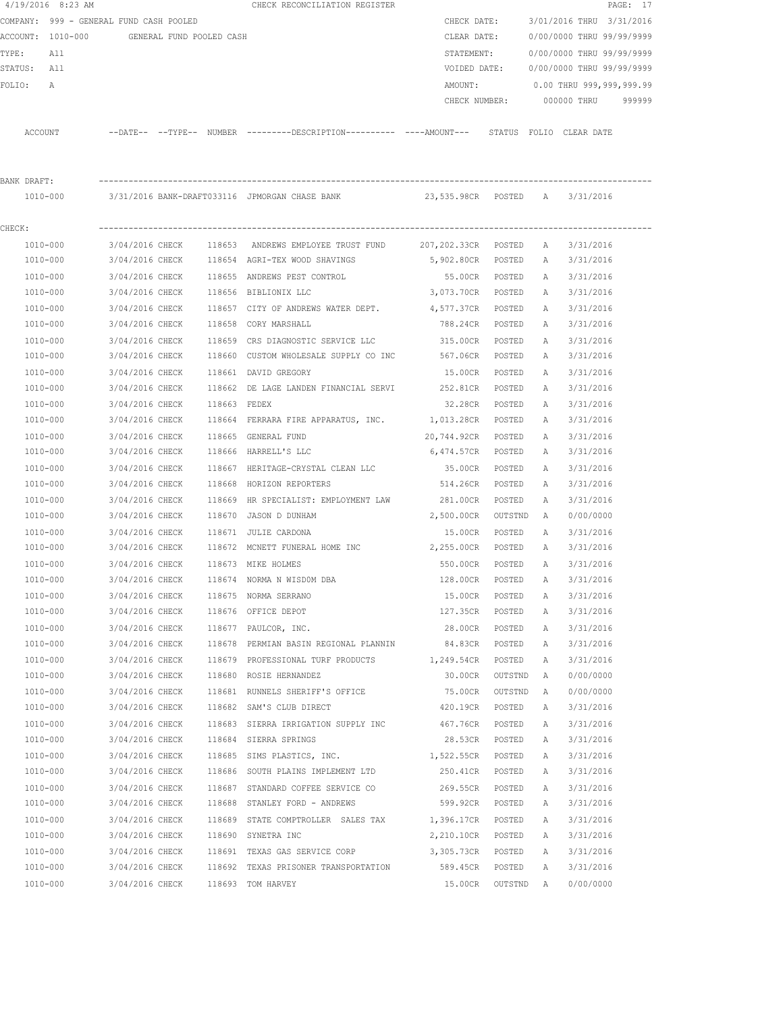|             | $4/19/2016$ 8:23 AM                     |                 |                          |              | CHECK RECONCILIATION REGISTER                                                                 |                     |         |   |                           | PAGE: 17 |
|-------------|-----------------------------------------|-----------------|--------------------------|--------------|-----------------------------------------------------------------------------------------------|---------------------|---------|---|---------------------------|----------|
|             | COMPANY: 999 - GENERAL FUND CASH POOLED |                 |                          |              |                                                                                               | CHECK DATE:         |         |   | 3/01/2016 THRU 3/31/2016  |          |
|             | ACCOUNT: 1010-000                       |                 | GENERAL FUND POOLED CASH |              |                                                                                               | CLEAR DATE:         |         |   | 0/00/0000 THRU 99/99/9999 |          |
| TYPE:       | All                                     |                 |                          |              |                                                                                               | STATEMENT:          |         |   | 0/00/0000 THRU 99/99/9999 |          |
| STATUS: All |                                         |                 |                          |              |                                                                                               | VOIDED DATE:        |         |   | 0/00/0000 THRU 99/99/9999 |          |
| FOLIO:      | A                                       |                 |                          |              |                                                                                               | AMOUNT:             |         |   | 0.00 THRU 999,999,999.99  |          |
|             |                                         |                 |                          |              |                                                                                               | CHECK NUMBER:       |         |   | 000000 THRU               | 999999   |
| ACCOUNT     |                                         |                 |                          |              | --DATE-- --TYPE-- NUMBER ---------DESCRIPTION---------- ----AMOUNT--- STATUS FOLIO CLEAR DATE |                     |         |   |                           |          |
| BANK DRAFT: |                                         |                 |                          |              |                                                                                               |                     |         |   |                           |          |
|             | 1010-000                                |                 |                          |              | 3/31/2016 BANK-DRAFT033116 JPMORGAN CHASE BANK          23,535.98CR  POSTED  A                |                     |         |   | 3/31/2016                 |          |
|             |                                         |                 |                          |              |                                                                                               |                     |         |   |                           |          |
| CHECK:      |                                         |                 |                          |              |                                                                                               |                     |         |   |                           |          |
|             | 1010-000                                | 3/04/2016 CHECK |                          |              | 118653 ANDREWS EMPLOYEE TRUST FUND                                                            | 207,202.33CR POSTED |         | A | 3/31/2016                 |          |
|             | 1010-000                                | 3/04/2016 CHECK |                          |              | 118654 AGRI-TEX WOOD SHAVINGS                                                                 | 5,902.80CR POSTED   |         | A | 3/31/2016                 |          |
|             | 1010-000                                | 3/04/2016 CHECK |                          |              | 118655 ANDREWS PEST CONTROL                                                                   | 55.00CR POSTED      |         | A | 3/31/2016                 |          |
|             | 1010-000                                | 3/04/2016 CHECK |                          |              | 118656 BIBLIONIX LLC                                                                          | 3,073.70CR POSTED   |         | A | 3/31/2016                 |          |
|             | 1010-000                                | 3/04/2016 CHECK |                          |              | 118657 CITY OF ANDREWS WATER DEPT.                                                            | 4,577.37CR          | POSTED  | A | 3/31/2016                 |          |
|             | 1010-000                                | 3/04/2016 CHECK |                          |              | 118658 CORY MARSHALL                                                                          | 788.24CR            | POSTED  | Α | 3/31/2016                 |          |
|             | 1010-000                                | 3/04/2016 CHECK |                          | 118659       | CRS DIAGNOSTIC SERVICE LLC                                                                    | 315.00CR            | POSTED  | Α | 3/31/2016                 |          |
|             | 1010-000                                | 3/04/2016 CHECK |                          |              | 118660 CUSTOM WHOLESALE SUPPLY CO INC 567.06CR                                                |                     | POSTED  | Α | 3/31/2016                 |          |
|             | 1010-000                                | 3/04/2016 CHECK |                          |              | 118661 DAVID GREGORY                                                                          | 15.00CR             | POSTED  | A | 3/31/2016                 |          |
|             | 1010-000                                | 3/04/2016 CHECK |                          |              | 118662 DE LAGE LANDEN FINANCIAL SERVI 252.81CR                                                |                     | POSTED  | Α | 3/31/2016                 |          |
|             | 1010-000                                | 3/04/2016 CHECK |                          | 118663 FEDEX |                                                                                               | 32.28CR             | POSTED  | Α | 3/31/2016                 |          |
|             | 1010-000                                | 3/04/2016 CHECK |                          |              | 118664 FERRARA FIRE APPARATUS, INC. 1,013.28CR                                                |                     | POSTED  | Α | 3/31/2016                 |          |
|             | 1010-000                                | 3/04/2016 CHECK |                          |              | 118665 GENERAL FUND                                                                           | 20,744.92CR         | POSTED  | Α | 3/31/2016                 |          |
|             | 1010-000                                | 3/04/2016 CHECK |                          |              | 118666 HARRELL'S LLC                                                                          | 6,474.57CR          | POSTED  | Α | 3/31/2016                 |          |
|             | 1010-000                                | 3/04/2016 CHECK |                          |              | 118667 HERITAGE-CRYSTAL CLEAN LLC                                                             | 35.00CR             | POSTED  | A | 3/31/2016                 |          |
|             | 1010-000                                | 3/04/2016 CHECK |                          | 118668       | HORIZON REPORTERS                                                                             | 514.26CR            | POSTED  | Α | 3/31/2016                 |          |
|             | 1010-000                                | 3/04/2016 CHECK |                          | 118669       | HR SPECIALIST: EMPLOYMENT LAW                                                                 | 281.00CR            | POSTED  | А | 3/31/2016                 |          |
|             | 1010-000                                | 3/04/2016 CHECK |                          | 118670       | JASON D DUNHAM                                                                                | 2,500.00CR          | OUTSTND | A | 0/00/0000                 |          |
|             | 1010-000                                | 3/04/2016 CHECK |                          |              | 118671 JULIE CARDONA                                                                          | 15.00CR             | POSTED  | Α | 3/31/2016                 |          |
|             | 1010-000                                | 3/04/2016 CHECK |                          |              | 118672 MCNETT FUNERAL HOME INC $2,255.00CR$                                                   |                     | POSTED  | Α | 3/31/2016                 |          |
|             | 1010-000                                | 3/04/2016 CHECK |                          |              | 118673 MIKE HOLMES                                                                            | 550.00CR            | POSTED  | A | 3/31/2016                 |          |
|             | 1010-000                                | 3/04/2016 CHECK |                          |              | 118674 NORMA N WISDOM DBA                                                                     | 128.00CR            | POSTED  | Α | 3/31/2016                 |          |
|             | $1010 - 000$                            | 3/04/2016 CHECK |                          |              | 118675 NORMA SERRANO                                                                          | 15.00CR             | POSTED  | Α | 3/31/2016                 |          |
|             | 1010-000                                | 3/04/2016 CHECK |                          |              | 118676 OFFICE DEPOT                                                                           | 127.35CR            | POSTED  | Α | 3/31/2016                 |          |
|             | 1010-000                                | 3/04/2016 CHECK |                          |              | 118677 PAULCOR, INC.                                                                          | 28.00CR             | POSTED  | Α | 3/31/2016                 |          |
|             | 1010-000                                | 3/04/2016 CHECK |                          |              | 118678 PERMIAN BASIN REGIONAL PLANNIN                                                         | 84.83CR             | POSTED  | Α | 3/31/2016                 |          |
|             | 1010-000                                | 3/04/2016 CHECK |                          |              | 118679 PROFESSIONAL TURF PRODUCTS                                                             | 1,249.54CR POSTED   |         | Α | 3/31/2016                 |          |
|             | 1010-000                                | 3/04/2016 CHECK |                          |              | 118680 ROSIE HERNANDEZ                                                                        | 30.00CR             | OUTSTND | Α | 0/00/0000                 |          |
|             | 1010-000                                | 3/04/2016 CHECK |                          |              | 118681 RUNNELS SHERIFF'S OFFICE                                                               | 75.00CR             | OUTSTND | Α | 0/00/0000                 |          |
|             | 1010-000                                | 3/04/2016 CHECK |                          |              | 118682 SAM'S CLUB DIRECT                                                                      | 420.19CR            | POSTED  | Α | 3/31/2016                 |          |
|             | $1010 - 000$                            | 3/04/2016 CHECK |                          |              | 118683 SIERRA IRRIGATION SUPPLY INC 467.76CR                                                  |                     | POSTED  | Α | 3/31/2016                 |          |
|             | 1010-000                                | 3/04/2016 CHECK |                          |              | 118684 SIERRA SPRINGS                                                                         | 28.53CR             | POSTED  | Α | 3/31/2016                 |          |
|             | 1010-000                                | 3/04/2016 CHECK |                          |              | 118685 SIMS PLASTICS, INC. 1,522.55CR                                                         |                     | POSTED  | Α | 3/31/2016                 |          |
|             | 1010-000                                | 3/04/2016 CHECK |                          |              | 118686 SOUTH PLAINS IMPLEMENT LTD                                                             | 250.41CR            | POSTED  | Α | 3/31/2016                 |          |
|             | 1010-000                                | 3/04/2016 CHECK |                          |              | 118687 STANDARD COFFEE SERVICE CO                                                             | 269.55CR            | POSTED  | Α | 3/31/2016                 |          |
|             | 1010-000                                | 3/04/2016 CHECK |                          |              | 118688 STANLEY FORD - ANDREWS                                                                 | 599.92CR            | POSTED  | Α | 3/31/2016                 |          |
|             | 1010-000                                | 3/04/2016 CHECK |                          |              | 118689 STATE COMPTROLLER SALES TAX                                                            | 1,396.17CR          | POSTED  | Α | 3/31/2016                 |          |
|             | 1010-000                                | 3/04/2016 CHECK |                          |              | 118690 SYNETRA INC                                                                            | 2,210.10CR POSTED   |         | Α | 3/31/2016                 |          |
|             | 1010-000                                | 3/04/2016 CHECK |                          |              | 118691 TEXAS GAS SERVICE CORP                                                                 | 3,305.73CR POSTED   |         | Α | 3/31/2016                 |          |
|             | 1010-000                                | 3/04/2016 CHECK |                          |              | 118692 TEXAS PRISONER TRANSPORTATION                                                          | 589.45CR POSTED     |         | Α | 3/31/2016                 |          |
|             | 1010-000                                | 3/04/2016 CHECK |                          |              | 118693 TOM HARVEY                                                                             | 15.00CR             | OUTSTND | A | 0/00/0000                 |          |
|             |                                         |                 |                          |              |                                                                                               |                     |         |   |                           |          |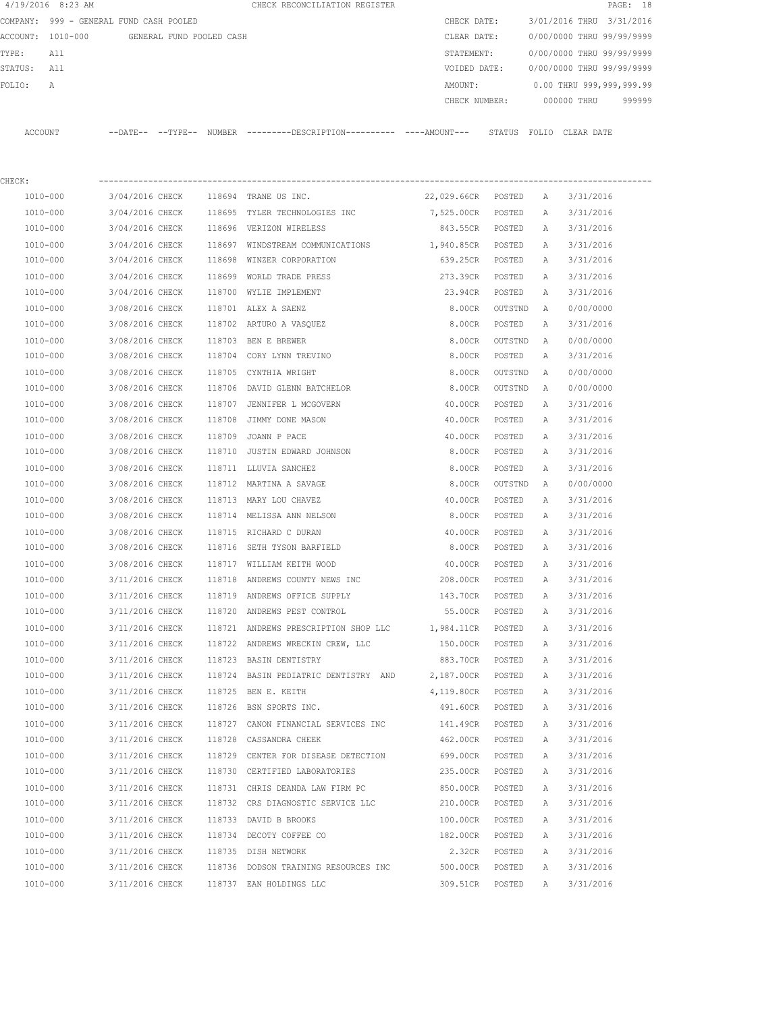|             | $4/19/2016$ 8:23 AM                     |                 |                          | CHECK RECONCILIATION REGISTER                                                               |                    |         |              |                           | PAGE: 18 |
|-------------|-----------------------------------------|-----------------|--------------------------|---------------------------------------------------------------------------------------------|--------------------|---------|--------------|---------------------------|----------|
|             | COMPANY: 999 - GENERAL FUND CASH POOLED |                 |                          |                                                                                             | CHECK DATE:        |         |              | 3/01/2016 THRU 3/31/2016  |          |
|             | ACCOUNT: 1010-000                       |                 | GENERAL FUND POOLED CASH |                                                                                             | CLEAR DATE:        |         |              | 0/00/0000 THRU 99/99/9999 |          |
| TYPE:       | All                                     |                 |                          |                                                                                             | STATEMENT:         |         |              | 0/00/0000 THRU 99/99/9999 |          |
| STATUS: All |                                         |                 |                          |                                                                                             | VOIDED DATE:       |         |              | 0/00/0000 THRU 99/99/9999 |          |
| FOLIO:      | Α                                       |                 |                          |                                                                                             | AMOUNT:            |         |              | 0.00 THRU 999,999,999.99  |          |
|             |                                         |                 |                          |                                                                                             | CHECK NUMBER:      |         |              | 000000 THRU               | 999999   |
|             | ACCOUNT                                 |                 |                          | --DATE-- --TYPE-- NUMBER --------DESCRIPTION---------- ----AMOUNT--- STATUS FOLIO CLEARDATE |                    |         |              |                           |          |
| CHECK:      |                                         |                 |                          |                                                                                             |                    |         |              |                           |          |
|             | 1010-000                                | 3/04/2016 CHECK |                          | 118694 TRANE US INC.                                                                        | 22,029.66CR POSTED |         | A            | 3/31/2016                 |          |
|             | 1010-000                                | 3/04/2016 CHECK |                          | 118695 TYLER TECHNOLOGIES INC                                                               | 7,525.00CR         | POSTED  | A            | 3/31/2016                 |          |
|             | 1010-000                                |                 |                          | 3/04/2016 CHECK 118696 VERIZON WIRELESS                                                     | 843.55CR           | POSTED  | A            | 3/31/2016                 |          |
|             | 1010-000                                | 3/04/2016 CHECK |                          | 118697 WINDSTREAM COMMUNICATIONS                                                            | 1,940.85CR POSTED  |         | Α            | 3/31/2016                 |          |
|             | 1010-000                                | 3/04/2016 CHECK |                          | 118698 WINZER CORPORATION                                                                   | 639.25CR POSTED    |         | Α            | 3/31/2016                 |          |
|             | 1010-000                                | 3/04/2016 CHECK |                          | 118699 WORLD TRADE PRESS                                                                    | 273.39CR POSTED    |         | $\mathbb{A}$ | 3/31/2016                 |          |
|             | 1010-000                                | 3/04/2016 CHECK |                          | 118700 WYLIE IMPLEMENT                                                                      | 23.94CR POSTED     |         | Α            | 3/31/2016                 |          |
|             | 1010-000                                | 3/08/2016 CHECK |                          | 118701 ALEX A SAENZ                                                                         | 8.00CR             | OUTSTND | A            | 0/00/0000                 |          |
|             | 1010-000                                | 3/08/2016 CHECK |                          | 118702 ARTURO A VASQUEZ                                                                     | 8.00CR             | POSTED  | Α            | 3/31/2016                 |          |
|             | 1010-000                                | 3/08/2016 CHECK |                          | 118703 BEN E BREWER                                                                         | 8.00CR             | OUTSTND | A            | 0/00/0000                 |          |
|             | 1010-000                                | 3/08/2016 CHECK |                          | 118704 CORY LYNN TREVINO                                                                    | 8.00CR             | POSTED  | A            | 3/31/2016                 |          |
|             | 1010-000                                | 3/08/2016 CHECK |                          | 118705 CYNTHIA WRIGHT                                                                       | 8.00CR             | OUTSTND | Α            | 0/00/0000                 |          |
|             | 1010-000                                | 3/08/2016 CHECK |                          | 118706 DAVID GLENN BATCHELOR                                                                | 8.00CR             | OUTSTND | Α            | 0/00/0000                 |          |
|             | 1010-000                                | 3/08/2016 CHECK |                          | 118707 JENNIFER L MCGOVERN                                                                  | 40.00CR            | POSTED  | Α            | 3/31/2016                 |          |
|             | 1010-000                                | 3/08/2016 CHECK |                          | 118708 JIMMY DONE MASON                                                                     | 40.00CR            | POSTED  | A            | 3/31/2016                 |          |
|             | 1010-000                                | 3/08/2016 CHECK |                          | 118709 JOANN P PACE                                                                         | 40.00CR            | POSTED  | Α            | 3/31/2016                 |          |
|             | 1010-000                                | 3/08/2016 CHECK |                          | 118710 JUSTIN EDWARD JOHNSON                                                                | 8.00CR             | POSTED  | Α            | 3/31/2016                 |          |
|             | 1010-000                                | 3/08/2016 CHECK |                          | 118711 LLUVIA SANCHEZ                                                                       | 8.00CR             | POSTED  | Α            | 3/31/2016                 |          |
|             | 1010-000                                | 3/08/2016 CHECK |                          | 118712 MARTINA A SAVAGE                                                                     | 8.00CR             | OUTSTND | A            | 0/00/0000                 |          |
|             | 1010-000                                | 3/08/2016 CHECK |                          | 118713 MARY LOU CHAVEZ                                                                      | 40.00CR            | POSTED  | A            | 3/31/2016                 |          |
|             | 1010-000                                | 3/08/2016 CHECK |                          | 118714 MELISSA ANN NELSON                                                                   | 8.00CR             | POSTED  | A            | 3/31/2016                 |          |
|             | 1010-000                                | 3/08/2016 CHECK |                          | 118715 RICHARD C DURAN                                                                      | 40.00CR            | POSTED  | A            | 3/31/2016                 |          |
|             | 1010-000                                | 3/08/2016 CHECK |                          | 118716 SETH TYSON BARFIELD                                                                  | 8.00CR             | POSTED  | A            | 3/31/2016                 |          |
|             | 1010-000                                | 3/08/2016 CHECK |                          | 118717 WILLIAM KEITH WOOD                                                                   | 40.00CR            | POSTED  | $\mathbb{A}$ | 3/31/2016                 |          |
|             | 1010-000                                | 3/11/2016 CHECK |                          | 118718 ANDREWS COUNTY NEWS INC                                                              | 208.00CR           | POSTED  | А            | 3/31/2016                 |          |
|             | $1010 - 000$                            | 3/11/2016 CHECK |                          | 118719 ANDREWS OFFICE SUPPLY                                                                | 143.70CR           | POSTED  | Α            | 3/31/2016                 |          |
|             | 1010-000                                | 3/11/2016 CHECK |                          | 118720 ANDREWS PEST CONTROL                                                                 | 55.00CR            | POSTED  | Α            | 3/31/2016                 |          |
|             | 1010-000                                | 3/11/2016 CHECK |                          | 118721 ANDREWS PRESCRIPTION SHOP LLC 1,984.11CR POSTED                                      |                    |         | Α            | 3/31/2016                 |          |
|             | 1010-000                                | 3/11/2016 CHECK |                          | 118722 ANDREWS WRECKIN CREW, LLC                                                            | 150.00CR POSTED    |         | Α            | 3/31/2016                 |          |
|             | 1010-000                                | 3/11/2016 CHECK |                          | 118723 BASIN DENTISTRY                                                                      | 883.70CR           | POSTED  | Α            | 3/31/2016                 |          |
|             | 1010-000                                | 3/11/2016 CHECK |                          | 118724 BASIN PEDIATRIC DENTISTRY AND                                                        | 2,187.00CR         | POSTED  | Α            | 3/31/2016                 |          |
|             | $1010 - 000$                            | 3/11/2016 CHECK |                          | 118725 BEN E. KEITH                                                                         | 4,119.80CR POSTED  |         | Α            | 3/31/2016                 |          |
|             | 1010-000                                | 3/11/2016 CHECK |                          | 118726 BSN SPORTS INC.                                                                      | 491.60CR POSTED    |         | Α            | 3/31/2016                 |          |
|             | $1010 - 000$                            | 3/11/2016 CHECK |                          | 118727 CANON FINANCIAL SERVICES INC                                                         | 141.49CR           | POSTED  | Α            | 3/31/2016                 |          |
|             | 1010-000                                | 3/11/2016 CHECK |                          | 118728 CASSANDRA CHEEK                                                                      | 462.00CR           | POSTED  | Α            | 3/31/2016                 |          |
|             | 1010-000                                | 3/11/2016 CHECK |                          | 118729 CENTER FOR DISEASE DETECTION                                                         | 699.00CR           | POSTED  | Α            | 3/31/2016                 |          |
|             | 1010-000                                | 3/11/2016 CHECK |                          | 118730 CERTIFIED LABORATORIES                                                               | 235.00CR           | POSTED  | Α            | 3/31/2016                 |          |
|             | 1010-000                                | 3/11/2016 CHECK |                          | 118731 CHRIS DEANDA LAW FIRM PC                                                             | 850.00CR           | POSTED  | Α            | 3/31/2016                 |          |
|             | 1010-000                                | 3/11/2016 CHECK |                          | 118732 CRS DIAGNOSTIC SERVICE LLC                                                           | 210.00CR           | POSTED  | Α            | 3/31/2016                 |          |
|             | 1010-000                                | 3/11/2016 CHECK |                          | 118733 DAVID B BROOKS                                                                       | 100.00CR           | POSTED  | Α            | 3/31/2016                 |          |
|             | 1010-000                                | 3/11/2016 CHECK |                          | 118734 DECOTY COFFEE CO                                                                     | 182.00CR           | POSTED  | Α            | 3/31/2016                 |          |
|             | 1010-000                                | 3/11/2016 CHECK |                          | 118735 DISH NETWORK                                                                         | 2.32CR             | POSTED  | Α            | 3/31/2016                 |          |
|             | 1010-000                                | 3/11/2016 CHECK |                          | 118736 DODSON TRAINING RESOURCES INC                                                        | 500.00CR           | POSTED  | Α            | 3/31/2016                 |          |
|             | 1010-000                                | 3/11/2016 CHECK |                          | 118737 EAN HOLDINGS LLC                                                                     | 309.51CR           | POSTED  | Α            | 3/31/2016                 |          |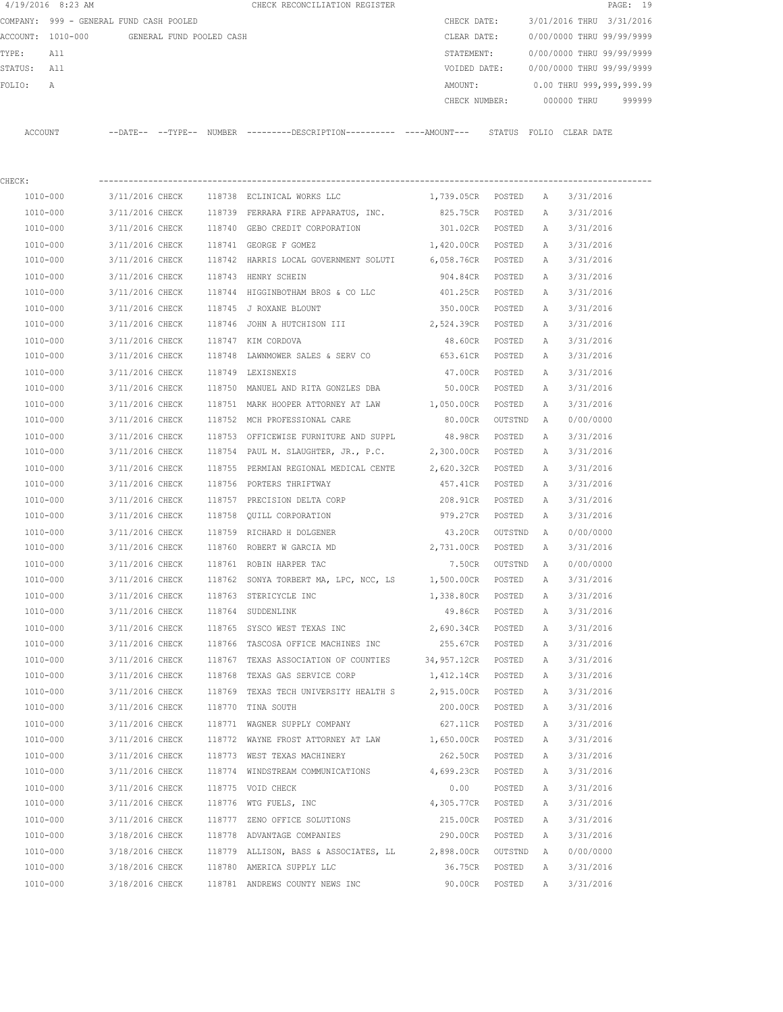|          | 4/19/2016 8:23 AM                       |                            |                          |        |  | CHECK RECONCILIATION REGISTER                |               |        |                           |                          | PAGE: 19 |  |
|----------|-----------------------------------------|----------------------------|--------------------------|--------|--|----------------------------------------------|---------------|--------|---------------------------|--------------------------|----------|--|
|          | COMPANY: 999 - GENERAL FUND CASH POOLED |                            |                          |        |  |                                              | CHECK DATE:   |        | 3/01/2016 THRU 3/31/2016  |                          |          |  |
| ACCOUNT: | 1010-000                                |                            | GENERAL FUND POOLED CASH |        |  |                                              | CLEAR DATE:   |        | 0/00/0000 THRU 99/99/9999 |                          |          |  |
| TYPE:    | All                                     |                            |                          |        |  |                                              | STATEMENT:    |        | 0/00/0000 THRU 99/99/9999 |                          |          |  |
| STATUS:  | All                                     |                            |                          |        |  |                                              | VOIDED DATE:  |        | 0/00/0000 THRU 99/99/9999 |                          |          |  |
| FOLIO:   | Α                                       |                            |                          |        |  |                                              | AMOUNT:       |        |                           | 0.00 THRU 999,999,999.99 |          |  |
|          |                                         |                            |                          |        |  |                                              | CHECK NUMBER: |        |                           | 000000 THRU              | 999999   |  |
| ACCOUNT  |                                         | $--$ DATE $- --$ TYPE $--$ |                          | NUMBER |  | ---------DESCRIPTION---------- ----AMOUNT--- |               | STATUS | FOLIO                     | CLEAR DATE               |          |  |
|          |                                         |                            |                          |        |  |                                              |               |        |                           |                          |          |  |

| CHECK:       |                 |        |                                                                         |                   |         |              |           |
|--------------|-----------------|--------|-------------------------------------------------------------------------|-------------------|---------|--------------|-----------|
| 1010-000     | 3/11/2016 CHECK |        | 118738 ECLINICAL WORKS LLC                                              | 1,739.05CR POSTED |         | A            | 3/31/2016 |
| 1010-000     | 3/11/2016 CHECK |        | 118739 FERRARA FIRE APPARATUS, INC.                                     | 825.75CR POSTED   |         | Α            | 3/31/2016 |
| 1010-000     | 3/11/2016 CHECK |        | 118740 GEBO CREDIT CORPORATION                                          | 301.02CR          | POSTED  | A            | 3/31/2016 |
| 1010-000     | 3/11/2016 CHECK |        | 118741 GEORGE F GOMEZ                                                   | 1,420.00CR POSTED |         | A            | 3/31/2016 |
| 1010-000     | 3/11/2016 CHECK |        | 118742 HARRIS LOCAL GOVERNMENT SOLUTI 6,058.76CR                        |                   | POSTED  | Α            | 3/31/2016 |
| 1010-000     | 3/11/2016 CHECK |        | 118743 HENRY SCHEIN                                                     | 904.84CR          | POSTED  | A            | 3/31/2016 |
| 1010-000     | 3/11/2016 CHECK |        | 118744 HIGGINBOTHAM BROS & CO LLC                                       | 401.25CR          | POSTED  | A            | 3/31/2016 |
| 1010-000     | 3/11/2016 CHECK |        | 118745 J ROXANE BLOUNT                                                  | 350.00CR POSTED   |         | Α            | 3/31/2016 |
| 1010-000     | 3/11/2016 CHECK |        | 118746 JOHN A HUTCHISON III                                             | 2,524.39CR POSTED |         | Α            | 3/31/2016 |
| 1010-000     | 3/11/2016 CHECK |        | 118747 KIM CORDOVA                                                      | 48.60CR POSTED    |         | A            | 3/31/2016 |
| 1010-000     | 3/11/2016 CHECK |        | 118748 LAWNMOWER SALES & SERV CO                                        | 653.61CR POSTED   |         | A            | 3/31/2016 |
| 1010-000     | 3/11/2016 CHECK |        | 118749 LEXISNEXIS                                                       | 47.00CR POSTED    |         | Α            | 3/31/2016 |
| 1010-000     |                 |        | 3/11/2016 CHECK 118750 MANUEL AND RITA GONZLES DBA                      | 50.00CR POSTED    |         | Α            | 3/31/2016 |
| 1010-000     | 3/11/2016 CHECK |        | 118751 MARK HOOPER ATTORNEY AT LAW 1,050.00CR POSTED                    |                   |         | Α            | 3/31/2016 |
| 1010-000     |                 |        | 3/11/2016 CHECK 118752 MCH PROFESSIONAL CARE                            | 80.00CR OUTSTND   |         | A            | 0/00/0000 |
| 1010-000     | 3/11/2016 CHECK |        | 118753 OFFICEWISE FURNITURE AND SUPPL                                   | 48.98CR POSTED    |         | A            | 3/31/2016 |
| 1010-000     |                 |        | 3/11/2016 CHECK 118754 PAUL M. SLAUGHTER, JR., P.C. 2,300.00CR POSTED   |                   |         | Α            | 3/31/2016 |
| 1010-000     |                 |        | 3/11/2016 CHECK 118755 PERMIAN REGIONAL MEDICAL CENTE 2,620.32CR POSTED |                   |         | Α            | 3/31/2016 |
| 1010-000     | 3/11/2016 CHECK |        | 118756 PORTERS THRIFTWAY                                                | 457.41CR          | POSTED  | Α            | 3/31/2016 |
| 1010-000     | 3/11/2016 CHECK |        | 118757 PRECISION DELTA CORP                                             | 208.91CR POSTED   |         | Α            | 3/31/2016 |
| 1010-000     | 3/11/2016 CHECK |        | 118758 QUILL CORPORATION                                                | 979.27CR POSTED   |         | Α            | 3/31/2016 |
| 1010-000     | 3/11/2016 CHECK |        | 118759 RICHARD H DOLGENER                                               | 43.20CR OUTSTND   |         | A            | 0/00/0000 |
| 1010-000     | 3/11/2016 CHECK |        | 118760 ROBERT W GARCIA MD                                               | 2,731.00CR POSTED |         | Α            | 3/31/2016 |
| 1010-000     | 3/11/2016 CHECK |        | 118761 ROBIN HARPER TAC                                                 | 7.50CR            | OUTSTND | Α            | 0/00/0000 |
| 1010-000     | 3/11/2016 CHECK |        | 118762 SONYA TORBERT MA, LPC, NCC, LS 1,500.00CR POSTED                 |                   |         | A            | 3/31/2016 |
| 1010-000     | 3/11/2016 CHECK |        | 118763 STERICYCLE INC                                                   | 1,338.80CR POSTED |         | Α            | 3/31/2016 |
| 1010-000     | 3/11/2016 CHECK |        | 118764 SUDDENLINK                                                       | 49.86CR POSTED    |         | Α            | 3/31/2016 |
| 1010-000     | 3/11/2016 CHECK |        | 118765 SYSCO WEST TEXAS INC                                             | 2,690.34CR        | POSTED  | Α            | 3/31/2016 |
| 1010-000     | 3/11/2016 CHECK |        | 118766 TASCOSA OFFICE MACHINES INC                                      | 255.67CR POSTED   |         | Α            | 3/31/2016 |
| 1010-000     | 3/11/2016 CHECK | 118767 | TEXAS ASSOCIATION OF COUNTIES 34,957.12CR POSTED                        |                   |         | A            | 3/31/2016 |
| 1010-000     | 3/11/2016 CHECK | 118768 | TEXAS GAS SERVICE CORP                                                  | 1,412.14CR POSTED |         | Α            | 3/31/2016 |
| 1010-000     | 3/11/2016 CHECK |        | 118769 TEXAS TECH UNIVERSITY HEALTH S                                   | 2,915.00CR POSTED |         | Α            | 3/31/2016 |
| 1010-000     | 3/11/2016 CHECK |        | 118770 TINA SOUTH                                                       | 200.00CR POSTED   |         | A            | 3/31/2016 |
| 1010-000     |                 |        | 3/11/2016 CHECK 118771 WAGNER SUPPLY COMPANY                            | 627.11CR POSTED   |         | A            | 3/31/2016 |
| 1010-000     | 3/11/2016 CHECK |        | 118772 WAYNE FROST ATTORNEY AT LAW                                      | 1,650.00CR        | POSTED  | $\mathbb{A}$ | 3/31/2016 |
| 1010-000     | 3/11/2016 CHECK |        | 118773 WEST TEXAS MACHINERY                                             | 262.50CR          | POSTED  | А            | 3/31/2016 |
| $1010 - 000$ | 3/11/2016 CHECK | 118774 | WINDSTREAM COMMUNICATIONS                                               | 4,699.23CR        | POSTED  | А            | 3/31/2016 |
| 1010-000     | 3/11/2016 CHECK |        | 118775 VOID CHECK                                                       | 0.00              | POSTED  | Α            | 3/31/2016 |
| 1010-000     | 3/11/2016 CHECK |        | 118776 WTG FUELS, INC                                                   | 4,305.77CR        | POSTED  | Α            | 3/31/2016 |
| 1010-000     | 3/11/2016 CHECK | 118777 | ZENO OFFICE SOLUTIONS                                                   | 215.00CR          | POSTED  | Α            | 3/31/2016 |
| 1010-000     | 3/18/2016 CHECK |        | 118778 ADVANTAGE COMPANIES                                              | 290.00CR          | POSTED  | Α            | 3/31/2016 |
| 1010-000     | 3/18/2016 CHECK |        | 118779 ALLISON, BASS & ASSOCIATES, LL                                   | 2,898.00CR        | OUTSTND | Α            | 0/00/0000 |
| 1010-000     | 3/18/2016 CHECK |        | 118780 AMERICA SUPPLY LLC                                               | 36.75CR           | POSTED  | Α            | 3/31/2016 |
| 1010-000     | 3/18/2016 CHECK |        | 118781 ANDREWS COUNTY NEWS INC                                          | 90.00CR           | POSTED  | Α            | 3/31/2016 |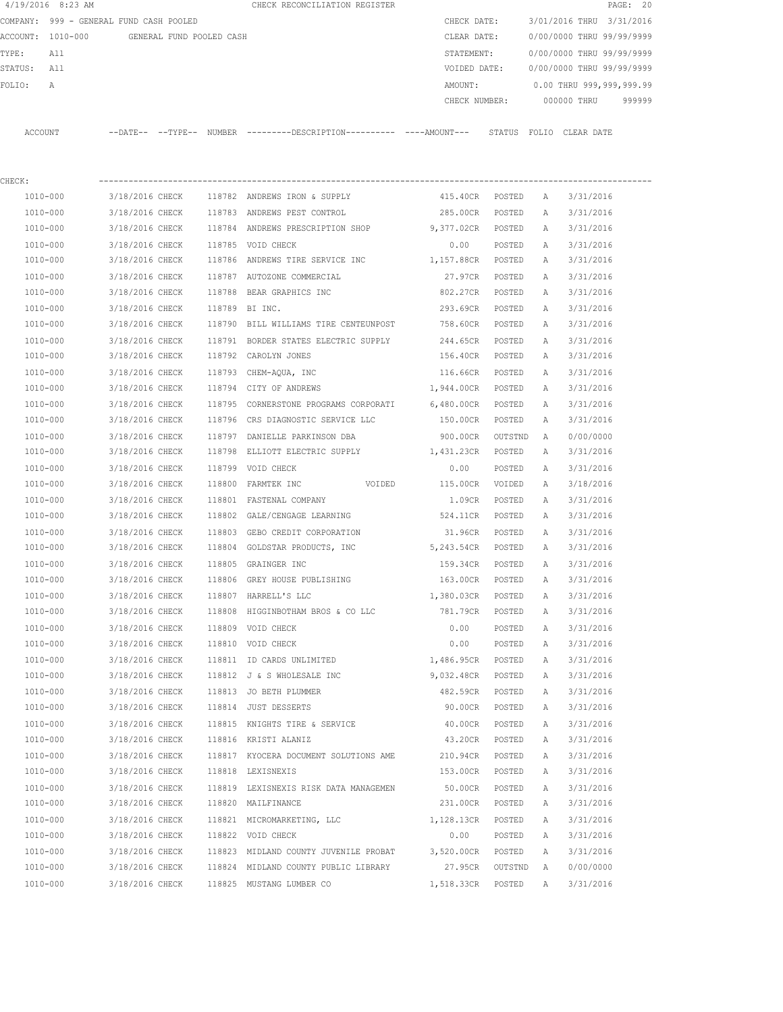| 4/19/2016 8:23 AM    |                                            |        | CHECK RECONCILIATION REGISTER                                                               |                     |                  |        | PAGE: 20                               |
|----------------------|--------------------------------------------|--------|---------------------------------------------------------------------------------------------|---------------------|------------------|--------|----------------------------------------|
|                      | COMPANY: 999 - GENERAL FUND CASH POOLED    |        |                                                                                             | CHECK DATE:         |                  |        | 3/01/2016 THRU 3/31/2016               |
|                      | ACCOUNT: 1010-000 GENERAL FUND POOLED CASH |        |                                                                                             | CLEAR DATE:         |                  |        | 0/00/0000 THRU 99/99/9999              |
| TYPE:<br>All         |                                            |        |                                                                                             | STATEMENT:          |                  |        | 0/00/0000 THRU 99/99/9999              |
| STATUS: All          |                                            |        |                                                                                             |                     |                  |        | VOIDED DATE: 0/00/0000 THRU 99/99/9999 |
| FOLIO:<br>А          |                                            |        |                                                                                             | AMOUNT:             |                  |        | $0.00$ THRU 999,999,999.99             |
|                      |                                            |        |                                                                                             |                     |                  |        | CHECK NUMBER: 000000 THRU<br>999999    |
| ACCOUNT              |                                            |        | --DATE-- --TYPE-- NUMBER --------DESCRIPTION--------- ----AMOUNT--- STATUS FOLIO CLEAR-DATE |                     |                  |        |                                        |
|                      |                                            |        |                                                                                             |                     |                  |        |                                        |
| CHECK:               |                                            |        |                                                                                             |                     |                  |        |                                        |
| 1010-000             |                                            |        | 3/18/2016 CHECK 118782 ANDREWS IRON & SUPPLY                                                | 415.40CR POSTED A   |                  |        | 3/31/2016                              |
| 1010-000             |                                            |        | 3/18/2016 CHECK 118783 ANDREWS PEST CONTROL                                                 | 285.00CR POSTED A   |                  |        | 3/31/2016                              |
| 1010-000             |                                            |        | 3/18/2016 CHECK 118784 ANDREWS PRESCRIPTION SHOP                                            | 9,377.02CR POSTED A |                  |        | 3/31/2016                              |
| 1010-000             | 3/18/2016 CHECK                            |        | 118785 VOID CHECK                                                                           | 0.00                | POSTED           | A      | 3/31/2016                              |
| 1010-000             | 3/18/2016 CHECK                            |        | 118786 ANDREWS TIRE SERVICE INC 1,157.88CR POSTED                                           |                     |                  | A      | 3/31/2016                              |
| 1010-000             | 3/18/2016 CHECK                            |        | 118787 AUTOZONE COMMERCIAL                                                                  | 27.97CR POSTED      |                  | A      | 3/31/2016                              |
| 1010-000             | 3/18/2016 CHECK                            |        | 118788 BEAR GRAPHICS INC                                                                    | 802.27CR POSTED     |                  | A      | 3/31/2016                              |
| 1010-000             | 3/18/2016 CHECK                            |        | 118789 BI INC.                                                                              | 293.69CR POSTED     |                  | A      | 3/31/2016                              |
| 1010-000             |                                            |        | 3/18/2016 CHECK 118790 BILL WILLIAMS TIRE CENTEUNPOST 758.60CR POSTED                       |                     |                  | A      | 3/31/2016                              |
| 1010-000             |                                            |        | 3/18/2016 CHECK 118791 BORDER STATES ELECTRIC SUPPLY 244.65CR POSTED                        |                     |                  | A      | 3/31/2016                              |
| 1010-000             | 3/18/2016 CHECK                            |        | 118792 CAROLYN JONES                                                                        | 156.40CR POSTED     |                  | A      | 3/31/2016                              |
| 1010-000             | 3/18/2016 CHECK                            |        | 118793 CHEM-AQUA, INC                                                                       | 116.66CR POSTED     |                  | A      | 3/31/2016                              |
| 1010-000             | 3/18/2016 CHECK                            |        | 118794 CITY OF ANDREWS                                                                      | 1,944.00CR POSTED   |                  | A      | 3/31/2016                              |
| 1010-000             | 3/18/2016 CHECK                            |        | 118795 CORNERSTONE PROGRAMS CORPORATI                                                       | 6,480.00CR POSTED   |                  | A      | 3/31/2016                              |
| 1010-000             | 3/18/2016 CHECK                            |        | 118796 CRS DIAGNOSTIC SERVICE LLC                                                           | 150.00CR POSTED     |                  | A      | 3/31/2016                              |
| 1010-000             | 3/18/2016 CHECK                            |        | 118797 DANIELLE PARKINSON DBA                                                               | 900.00CR            | OUTSTND          | A      | 0/00/0000                              |
| 1010-000             | 3/18/2016 CHECK                            | 118798 | ELLIOTT ELECTRIC SUPPLY 1,431.23CR                                                          |                     | POSTED           | A      | 3/31/2016                              |
| 1010-000             | 3/18/2016 CHECK                            |        | 118799 VOID CHECK                                                                           | 0.00                |                  |        |                                        |
| 1010-000             | 3/18/2016 CHECK                            |        | 118800 FARMTEK INC<br>VOIDED 115.00CR                                                       |                     | POSTED<br>VOIDED | A<br>A | 3/31/2016<br>3/18/2016                 |
|                      | 3/18/2016 CHECK                            |        | 118801 FASTENAL COMPANY                                                                     | 1.09CR              | POSTED           |        |                                        |
| 1010-000<br>1010-000 |                                            |        | 3/18/2016 CHECK 118802 GALE/CENGAGE LEARNING 524.11CR                                       |                     | POSTED           | A<br>A | 3/31/2016<br>3/31/2016                 |
|                      |                                            |        |                                                                                             |                     |                  |        |                                        |
| 1010-000             | 3/18/2016 CHECK                            |        | 118803 GEBO CREDIT CORPORATION                                                              | 31.96CR             | POSTED           | A      | 3/31/2016                              |
| 1010-000             |                                            |        | 3/18/2016 CHECK 118804 GOLDSTAR PRODUCTS, INC                                               | 5,243.54CR          | POSTED           | A      | 3/31/2016                              |
| 1010-000             | 3/18/2016 CHECK                            |        | 118805 GRAINGER INC                                                                         | 159.34CR            | POSTED           | A      | 3/31/2016                              |
| 1010-000             | 3/18/2016 CHECK                            |        | 118806 GREY HOUSE PUBLISHING                                                                | 163.00CR            | POSTED           | Α      | 3/31/2016                              |
| 1010-000             | 3/18/2016 CHECK                            |        | 118807 HARRELL'S LLC                                                                        | 1,380.03CR          | POSTED           | Α      | 3/31/2016                              |
| 1010-000             | 3/18/2016 CHECK                            |        | 118808 HIGGINBOTHAM BROS & CO LLC                                                           | 781.79CR            | POSTED           | Α      | 3/31/2016                              |
| 1010-000             | 3/18/2016 CHECK                            |        | 118809 VOID CHECK                                                                           | 0.00                | POSTED           | Α      | 3/31/2016                              |
| 1010-000             | 3/18/2016 CHECK                            |        | 118810 VOID CHECK                                                                           | 0.00                | POSTED           | Α      | 3/31/2016                              |
| 1010-000             | 3/18/2016 CHECK                            |        | 118811 ID CARDS UNLIMITED                                                                   | 1,486.95CR          | POSTED           | Α      | 3/31/2016                              |
| 1010-000             | 3/18/2016 CHECK                            |        | 118812 J & S WHOLESALE INC                                                                  | 9,032.48CR          | POSTED           | Α      | 3/31/2016                              |
| 1010-000             | 3/18/2016 CHECK                            |        | 118813 JO BETH PLUMMER                                                                      | 482.59CR            | POSTED           | Α      | 3/31/2016                              |
| 1010-000             | 3/18/2016 CHECK                            |        | 118814 JUST DESSERTS                                                                        | 90.00CR             | POSTED           | Α      | 3/31/2016                              |
| $1010 - 000$         | 3/18/2016 CHECK                            |        | 118815 KNIGHTS TIRE & SERVICE                                                               | 40.00CR             | POSTED           | Α      | 3/31/2016                              |
| 1010-000             | 3/18/2016 CHECK                            |        | 118816 KRISTI ALANIZ                                                                        | 43.20CR             | POSTED           | Α      | 3/31/2016                              |
| 1010-000             | 3/18/2016 CHECK                            |        | 118817 KYOCERA DOCUMENT SOLUTIONS AME                                                       | 210.94CR            | POSTED           | Α      | 3/31/2016                              |
| 1010-000             | 3/18/2016 CHECK                            |        | 118818 LEXISNEXIS                                                                           | 153.00CR            | POSTED           | Α      | 3/31/2016                              |
| 1010-000             | 3/18/2016 CHECK                            |        | 118819 LEXISNEXIS RISK DATA MANAGEMEN                                                       | 50.00CR             | POSTED           | Α      | 3/31/2016                              |
| 1010-000             | 3/18/2016 CHECK                            |        | 118820 MAILFINANCE                                                                          | 231.00CR            | POSTED           | Α      | 3/31/2016                              |
| 1010-000             | 3/18/2016 CHECK                            |        | 118821 MICROMARKETING, LLC                                                                  | 1,128.13CR          | POSTED           | Α      | 3/31/2016                              |
| 1010-000             | 3/18/2016 CHECK                            |        | 118822 VOID CHECK                                                                           | 0.00                | POSTED           | Α      | 3/31/2016                              |
| 1010-000             | 3/18/2016 CHECK                            |        | 118823 MIDLAND COUNTY JUVENILE PROBAT                                                       | 3,520.00CR          | POSTED           | Α      | 3/31/2016                              |
| 1010-000             | 3/18/2016 CHECK                            |        | 118824 MIDLAND COUNTY PUBLIC LIBRARY                                                        | 27.95CR             | OUTSTND          | Α      | 0/00/0000                              |
| 1010-000             | 3/18/2016 CHECK                            |        | 118825 MUSTANG LUMBER CO                                                                    | 1,518.33CR          | POSTED           | Α      | 3/31/2016                              |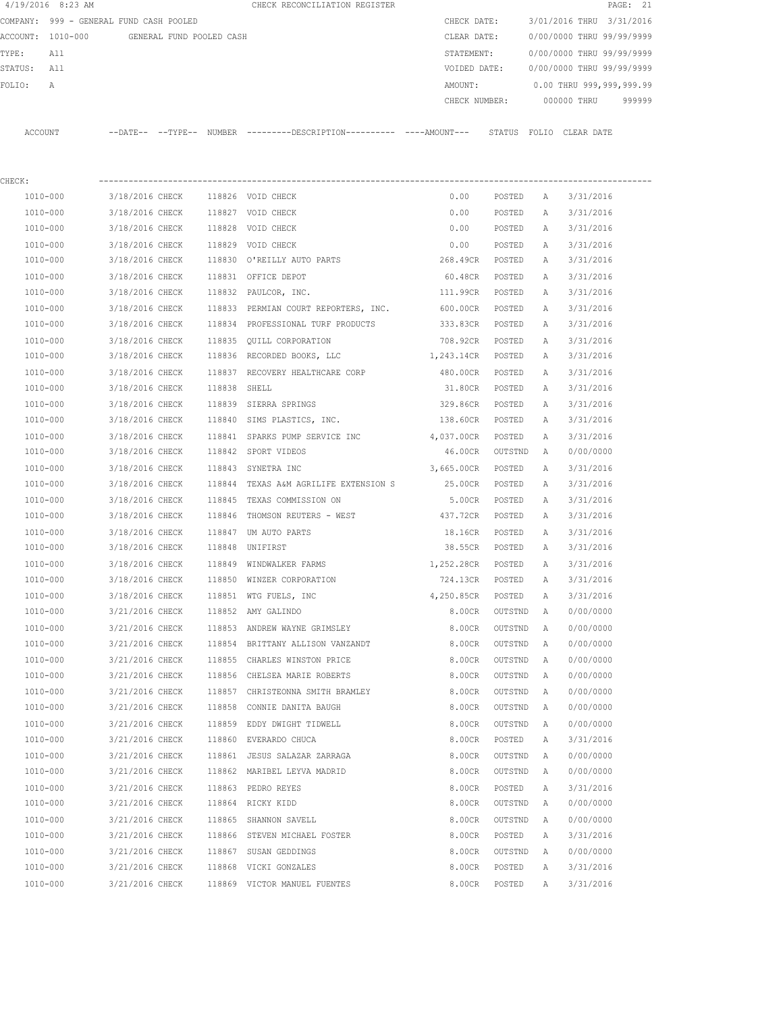| 4/19/2016 8:23 AM |                                            |              | CHECK RECONCILIATION REGISTER                                                                        |                   |          |   | PAGE: 21                               |
|-------------------|--------------------------------------------|--------------|------------------------------------------------------------------------------------------------------|-------------------|----------|---|----------------------------------------|
|                   | COMPANY: 999 - GENERAL FUND CASH POOLED    |              |                                                                                                      | CHECK DATE:       |          |   | 3/01/2016 THRU 3/31/2016               |
|                   | ACCOUNT: 1010-000 GENERAL FUND POOLED CASH |              |                                                                                                      | CLEAR DATE:       |          |   | 0/00/0000 THRU 99/99/9999              |
| TYPE:<br>All      |                                            |              |                                                                                                      | STATEMENT:        |          |   | 0/00/0000 THRU 99/99/9999              |
| STATUS: All       |                                            |              |                                                                                                      |                   |          |   | VOIDED DATE: 0/00/0000 THRU 99/99/9999 |
| FOLIO:<br>А       |                                            |              |                                                                                                      | AMOUNT:           |          |   | $0.00$ THRU 999,999,999.99             |
|                   |                                            |              |                                                                                                      |                   |          |   | CHECK NUMBER: 000000 THRU 999999       |
|                   |                                            |              | ACCOUNT --DATE-- --TYPE-- NUMBER ---------DESCRIPTION--------- ----AMOUNT--- STATUS FOLIO CLEAR DATE |                   |          |   |                                        |
| CHECK:            |                                            |              |                                                                                                      |                   |          |   |                                        |
| 1010-000          | 3/18/2016 CHECK 118826 VOID CHECK          |              |                                                                                                      | 0.00              | POSTED A |   | 3/31/2016                              |
| 1010-000          | 3/18/2016 CHECK 118827 VOID CHECK          |              |                                                                                                      | 0.00              | POSTED A |   | 3/31/2016                              |
| 1010-000          | 3/18/2016 CHECK 118828 VOID CHECK          |              |                                                                                                      | 0.00              |          |   | POSTED A 3/31/2016                     |
| 1010-000          | 3/18/2016 CHECK                            |              | 118829 VOID CHECK                                                                                    | 0.00              | POSTED   | A | 3/31/2016                              |
| 1010-000          |                                            |              | 3/18/2016 CHECK 118830 O'REILLY AUTO PARTS                                                           | 268.49CR POSTED   |          | A | 3/31/2016                              |
| 1010-000          | 3/18/2016 CHECK                            |              | 118831 OFFICE DEPOT                                                                                  | 60.48CR           | POSTED   | A | 3/31/2016                              |
| 1010-000          | 3/18/2016 CHECK 118832 PAULCOR, INC.       |              |                                                                                                      | 111.99CR POSTED   |          | A | 3/31/2016                              |
| 1010-000          |                                            |              | 3/18/2016 CHECK 118833 PERMIAN COURT REPORTERS, INC. 600.00CR                                        |                   | POSTED   | A | 3/31/2016                              |
| 1010-000          |                                            |              | 3/18/2016 CHECK 118834 PROFESSIONAL TURF PRODUCTS 333.83CR POSTED                                    |                   |          | A | 3/31/2016                              |
| 1010-000          |                                            |              | 3/18/2016 CHECK 118835 QUILL CORPORATION                                                             | 708.92CR POSTED   |          | A | 3/31/2016                              |
| 1010-000          |                                            |              | 3/18/2016 CHECK 118836 RECORDED BOOKS, LLC                                                           | 1,243.14CR POSTED |          | A | 3/31/2016                              |
| 1010-000          | 3/18/2016 CHECK                            |              | 118837 RECOVERY HEALTHCARE CORP                                                                      | 480.00CR POSTED   |          | A | 3/31/2016                              |
| 1010-000          | 3/18/2016 CHECK                            | 118838 SHELL |                                                                                                      | 31.80CR POSTED    |          | A | 3/31/2016                              |
| 1010-000          | 3/18/2016 CHECK                            |              | 118839 SIERRA SPRINGS                                                                                | 329.86CR POSTED   |          | A | 3/31/2016                              |
| 1010-000          |                                            |              | 3/18/2016 CHECK 118840 SIMS PLASTICS, INC.                                                           | 138.60CR POSTED   |          | A | 3/31/2016                              |
| 1010-000          |                                            |              | 3/18/2016 CHECK 118841 SPARKS PUMP SERVICE INC 4,037.00CR POSTED                                     |                   |          | A | 3/31/2016                              |
| 1010-000          | 3/18/2016 CHECK                            |              | 118842 SPORT VIDEOS                                                                                  | 46.00CR           | OUTSTND  | A | 0/00/0000                              |
| 1010-000          | 3/18/2016 CHECK                            |              | 118843 SYNETRA INC                                                                                   | 3,665.00CR        | POSTED   | A | 3/31/2016                              |
| 1010-000          |                                            |              | 3/18/2016 CHECK 118844 TEXAS A&M AGRILIFE EXTENSION S 25.00CR                                        |                   | POSTED   | A | 3/31/2016                              |
| 1010-000          |                                            |              | 3/18/2016 CHECK 118845 TEXAS COMMISSION ON                                                           | 5.00CR            | POSTED   | A | 3/31/2016                              |
| 1010-000          |                                            |              | $3/18/2016$ CHECK 118846 THOMSON REUTERS - WEST 437.72CR                                             |                   | POSTED   | A | 3/31/2016                              |
| 1010-000          | 3/18/2016 CHECK 118847 UM AUTO PARTS       |              |                                                                                                      | 18.16CR           | POSTED   | A | 3/31/2016                              |
| 1010-000          | 3/18/2016 CHECK 118848 UNIFIRST            |              |                                                                                                      | 38.55CR POSTED    |          | A | 3/31/2016                              |
| 1010-000          |                                            |              | 3/18/2016 CHECK 118849 WINDWALKER FARMS                                                              | 1,252.28CR        | POSTED   | A | 3/31/2016                              |
| 1010-000          | 3/18/2016 CHECK                            |              | 118850 WINZER CORPORATION                                                                            | 724.13CR          | POSTED   | А | 3/31/2016                              |
| 1010-000          | 3/18/2016 CHECK                            |              | 118851 WTG FUELS, INC                                                                                | 4,250.85CR        | POSTED   | Α | 3/31/2016                              |
| 1010-000          | 3/21/2016 CHECK                            |              | 118852 AMY GALINDO                                                                                   | 8.00CR            | OUTSTND  | Α | 0/00/0000                              |
| 1010-000          | 3/21/2016 CHECK                            |              | 118853 ANDREW WAYNE GRIMSLEY                                                                         | 8.00CR            | OUTSTND  | Α | 0/00/0000                              |
| 1010-000          | 3/21/2016 CHECK                            |              | 118854 BRITTANY ALLISON VANZANDT                                                                     | 8.00CR            | OUTSTND  | Α | 0/00/0000                              |
| 1010-000          | 3/21/2016 CHECK                            |              | 118855 CHARLES WINSTON PRICE                                                                         | 8.00CR            | OUTSTND  | Α | 0/00/0000                              |
| 1010-000          | 3/21/2016 CHECK                            |              | 118856 CHELSEA MARIE ROBERTS                                                                         | 8.00CR            | OUTSTND  | Α | 0/00/0000                              |
| $1010 - 000$      | 3/21/2016 CHECK                            |              | 118857 CHRISTEONNA SMITH BRAMLEY                                                                     | 8.00CR            | OUTSTND  | Α | 0/00/0000                              |
| 1010-000          | 3/21/2016 CHECK                            |              | 118858 CONNIE DANITA BAUGH                                                                           | 8.00CR            | OUTSTND  | Α | 0/00/0000                              |
| 1010-000          | 3/21/2016 CHECK                            |              | 118859 EDDY DWIGHT TIDWELL                                                                           | 8.00CR            | OUTSTND  | Α | 0/00/0000                              |
| 1010-000          | 3/21/2016 CHECK                            | 118860       | EVERARDO CHUCA                                                                                       | 8.00CR            | POSTED   | Α | 3/31/2016                              |
| 1010-000          | 3/21/2016 CHECK                            |              | 118861 JESUS SALAZAR ZARRAGA                                                                         | 8.00CR            | OUTSTND  | Α | 0/00/0000                              |
| 1010-000          | 3/21/2016 CHECK                            |              | 118862 MARIBEL LEYVA MADRID                                                                          | 8.00CR            | OUTSTND  | Α | 0/00/0000                              |
| 1010-000          | 3/21/2016 CHECK                            |              | 118863 PEDRO REYES                                                                                   | 8.00CR            | POSTED   | Α | 3/31/2016                              |
| 1010-000          | 3/21/2016 CHECK                            |              | 118864 RICKY KIDD                                                                                    | 8.00CR            | OUTSTND  | Α | 0/00/0000                              |
| 1010-000          | 3/21/2016 CHECK                            | 118865       | SHANNON SAVELL                                                                                       | 8.00CR            | OUTSTND  | Α | 0/00/0000                              |
| 1010-000          | 3/21/2016 CHECK                            |              | 118866 STEVEN MICHAEL FOSTER                                                                         | 8.00CR            | POSTED   | Α | 3/31/2016                              |
| 1010-000          | 3/21/2016 CHECK                            |              | 118867 SUSAN GEDDINGS                                                                                | 8.00CR            | OUTSTND  | Α | 0/00/0000                              |
| 1010-000          | 3/21/2016 CHECK                            |              | 118868 VICKI GONZALES                                                                                | 8.00CR            | POSTED   | Α | 3/31/2016                              |
| 1010-000          | 3/21/2016 CHECK                            |              | 118869 VICTOR MANUEL FUENTES                                                                         | 8.00CR            | POSTED   | A | 3/31/2016                              |
|                   |                                            |              |                                                                                                      |                   |          |   |                                        |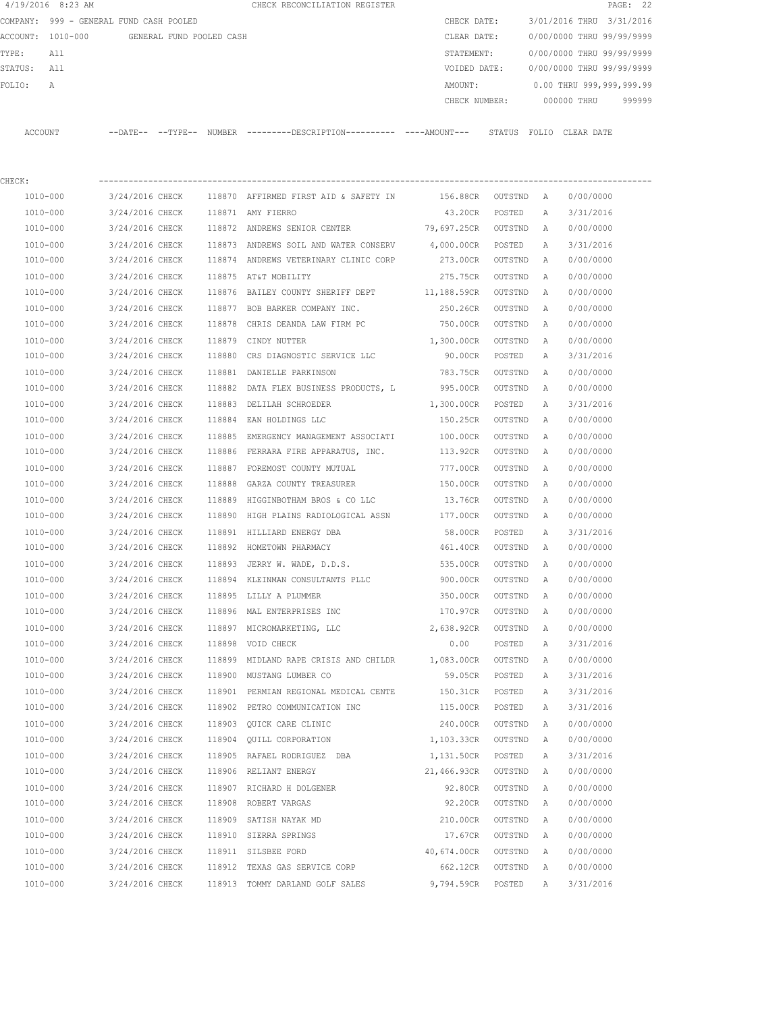|         | 4/19/2016 8:23 AM                       |                        |                          | CHECK RECONCILIATION REGISTER                        |  |               |        |       |             | PAGE: 22                  |        |
|---------|-----------------------------------------|------------------------|--------------------------|------------------------------------------------------|--|---------------|--------|-------|-------------|---------------------------|--------|
|         | COMPANY: 999 - GENERAL FUND CASH POOLED |                        |                          |                                                      |  | CHECK DATE:   |        |       |             | 3/01/2016 THRU 3/31/2016  |        |
|         | ACCOUNT: 1010-000                       |                        | GENERAL FUND POOLED CASH |                                                      |  | CLEAR DATE:   |        |       |             | 0/00/0000 THRU 99/99/9999 |        |
| TYPE:   | All                                     |                        |                          |                                                      |  | STATEMENT:    |        |       |             | 0/00/0000 THRU 99/99/9999 |        |
| STATUS: | All                                     |                        |                          |                                                      |  | VOIDED DATE:  |        |       |             | 0/00/0000 THRU 99/99/9999 |        |
| FOLIO:  | $\mathsf{A}$                            |                        |                          |                                                      |  | AMOUNT:       |        |       |             | 0.00 THRU 999,999,999.99  |        |
|         |                                         |                        |                          |                                                      |  | CHECK NUMBER: |        |       | 000000 THRU |                           | 999999 |
|         |                                         |                        |                          |                                                      |  |               |        |       |             |                           |        |
| ACCOUNT |                                         | $---DATF------TYPF---$ |                          | $NUMBER$ --------DESCRIPTION---------- ----AMOUNT--- |  |               | STATUS | FOLTO | CLEAR DATE  |                           |        |
|         |                                         |                        |                          |                                                      |  |               |        |       |             |                           |        |

| CHECK:   |                 |        |                                                     |                  |         |              |           |
|----------|-----------------|--------|-----------------------------------------------------|------------------|---------|--------------|-----------|
| 1010-000 | 3/24/2016 CHECK |        | 118870 AFFIRMED FIRST AID & SAFETY IN               | 156.88CR OUTSTND |         | A            | 0/00/0000 |
| 1010-000 | 3/24/2016 CHECK |        | 118871 AMY FIERRO                                   | 43.20CR          | POSTED  | Α            | 3/31/2016 |
| 1010-000 | 3/24/2016 CHECK |        | 118872 ANDREWS SENIOR CENTER 79,697.25CR            |                  | OUTSTND | Α            | 0/00/0000 |
| 1010-000 | 3/24/2016 CHECK |        | 118873 ANDREWS SOIL AND WATER CONSERV 4,000.00CR    |                  | POSTED  | Α            | 3/31/2016 |
| 1010-000 | 3/24/2016 CHECK |        | 118874 ANDREWS VETERINARY CLINIC CORP               | 273.00CR         | OUTSTND | Α            | 0/00/0000 |
| 1010-000 | 3/24/2016 CHECK |        | 118875 AT&T MOBILITY                                | 275.75CR         | OUTSTND | Α            | 0/00/0000 |
| 1010-000 | 3/24/2016 CHECK |        | 118876 BAILEY COUNTY SHERIFF DEPT 11,188.59CR       |                  | OUTSTND | Α            | 0/00/0000 |
| 1010-000 | 3/24/2016 CHECK |        | 118877 BOB BARKER COMPANY INC.                      | 250.26CR         | OUTSTND | Α            | 0/00/0000 |
| 1010-000 | 3/24/2016 CHECK |        | 118878 CHRIS DEANDA LAW FIRM PC                     | 750.00CR         | OUTSTND | Α            | 0/00/0000 |
| 1010-000 | 3/24/2016 CHECK |        | 118879 CINDY NUTTER                                 | 1,300.00CR       | OUTSTND | Α            | 0/00/0000 |
| 1010-000 | 3/24/2016 CHECK |        | 118880 CRS DIAGNOSTIC SERVICE LLC                   | 90.00CR          | POSTED  | Α            | 3/31/2016 |
| 1010-000 | 3/24/2016 CHECK |        | 118881 DANIELLE PARKINSON                           | 783.75CR         | OUTSTND | Α            | 0/00/0000 |
| 1010-000 | 3/24/2016 CHECK |        | 118882 DATA FLEX BUSINESS PRODUCTS, L               | 995.00CR         | OUTSTND | Α            | 0/00/0000 |
| 1010-000 | 3/24/2016 CHECK | 118883 | DELILAH SCHROEDER                                   | 1,300.00CR       | POSTED  | $\mathbb{A}$ | 3/31/2016 |
| 1010-000 | 3/24/2016 CHECK |        | 118884 EAN HOLDINGS LLC                             | 150.25CR         | OUTSTND | A            | 0/00/0000 |
| 1010-000 | 3/24/2016 CHECK | 118885 | EMERGENCY MANAGEMENT ASSOCIATI                      | 100.00CR         | OUTSTND | Α            | 0/00/0000 |
| 1010-000 |                 |        | 3/24/2016 CHECK 118886 FERRARA FIRE APPARATUS, INC. | 113.92CR         | OUTSTND | Α            | 0/00/0000 |
| 1010-000 | 3/24/2016 CHECK |        | 118887 FOREMOST COUNTY MUTUAL                       | 777.00CR         | OUTSTND | Α            | 0/00/0000 |
| 1010-000 | 3/24/2016 CHECK |        | 118888 GARZA COUNTY TREASURER                       | 150.00CR         | OUTSTND | Α            | 0/00/0000 |
| 1010-000 | 3/24/2016 CHECK | 118889 | HIGGINBOTHAM BROS & CO LLC                          | 13.76CR          | OUTSTND | Α            | 0/00/0000 |
| 1010-000 | 3/24/2016 CHECK |        | 118890 HIGH PLAINS RADIOLOGICAL ASSN                | 177.00CR         | OUTSTND | Α            | 0/00/0000 |
| 1010-000 | 3/24/2016 CHECK |        | 118891 HILLIARD ENERGY DBA                          | 58.00CR          | POSTED  | Α            | 3/31/2016 |
| 1010-000 | 3/24/2016 CHECK |        | 118892 HOMETOWN PHARMACY                            | 461.40CR         | OUTSTND | Α            | 0/00/0000 |
| 1010-000 | 3/24/2016 CHECK | 118893 | JERRY W. WADE, D.D.S.                               | 535.00CR         | OUTSTND | Α            | 0/00/0000 |
| 1010-000 | 3/24/2016 CHECK |        | 118894 KLEINMAN CONSULTANTS PLLC                    | 900.00CR         | OUTSTND | A            | 0/00/0000 |
| 1010-000 | 3/24/2016 CHECK |        | 118895 LILLY A PLUMMER                              | 350.00CR         | OUTSTND | Α            | 0/00/0000 |
| 1010-000 | 3/24/2016 CHECK |        | 118896 MAL ENTERPRISES INC                          | 170.97CR         | OUTSTND | Α            | 0/00/0000 |
| 1010-000 | 3/24/2016 CHECK |        | 118897 MICROMARKETING, LLC                          | 2,638.92CR       | OUTSTND | Α            | 0/00/0000 |
| 1010-000 | 3/24/2016 CHECK | 118898 | VOID CHECK                                          | 0.00             | POSTED  | Α            | 3/31/2016 |
| 1010-000 | 3/24/2016 CHECK |        | 118899 MIDLAND RAPE CRISIS AND CHILDR 1,083.00CR    |                  | OUTSTND | Α            | 0/00/0000 |
| 1010-000 | 3/24/2016 CHECK |        | 118900 MUSTANG LUMBER CO                            | 59.05CR          | POSTED  | Α            | 3/31/2016 |
| 1010-000 | 3/24/2016 CHECK |        | 118901 PERMIAN REGIONAL MEDICAL CENTE               | 150.31CR         | POSTED  | Α            | 3/31/2016 |
| 1010-000 | 3/24/2016 CHECK |        | 118902 PETRO COMMUNICATION INC                      | 115.00CR         | POSTED  | Α            | 3/31/2016 |
| 1010-000 | 3/24/2016 CHECK |        | 118903 OUICK CARE CLINIC                            | 240.00CR         | OUTSTND | Α            | 0/00/0000 |
| 1010-000 | 3/24/2016 CHECK |        | 118904 OUILL CORPORATION                            | 1,103.33CR       | OUTSTND | A            | 0/00/0000 |
| 1010-000 | 3/24/2016 CHECK |        | 118905 RAFAEL RODRIGUEZ DBA                         | 1,131.50CR       | POSTED  | Α            | 3/31/2016 |
| 1010-000 | 3/24/2016 CHECK |        | 118906 RELIANT ENERGY                               | 21,466.93CR      | OUTSTND | Α            | 0/00/0000 |
| 1010-000 | 3/24/2016 CHECK |        | 118907 RICHARD H DOLGENER                           | 92.80CR          | OUTSTND | Α            | 0/00/0000 |
| 1010-000 | 3/24/2016 CHECK | 118908 | ROBERT VARGAS                                       | 92.20CR          | OUTSTND | Α            | 0/00/0000 |
| 1010-000 | 3/24/2016 CHECK | 118909 | SATISH NAYAK MD                                     | 210.00CR         | OUTSTND | Α            | 0/00/0000 |
| 1010-000 | 3/24/2016 CHECK | 118910 | SIERRA SPRINGS                                      | 17.67CR          | OUTSTND | Α            | 0/00/0000 |
| 1010-000 | 3/24/2016 CHECK | 118911 | SILSBEE FORD                                        | 40,674.00CR      | OUTSTND | Α            | 0/00/0000 |
| 1010-000 | 3/24/2016 CHECK | 118912 | TEXAS GAS SERVICE CORP                              | 662.12CR         | OUTSTND | Α            | 0/00/0000 |
| 1010-000 | 3/24/2016 CHECK | 118913 | TOMMY DARLAND GOLF SALES                            | 9,794.59CR       | POSTED  | Α            | 3/31/2016 |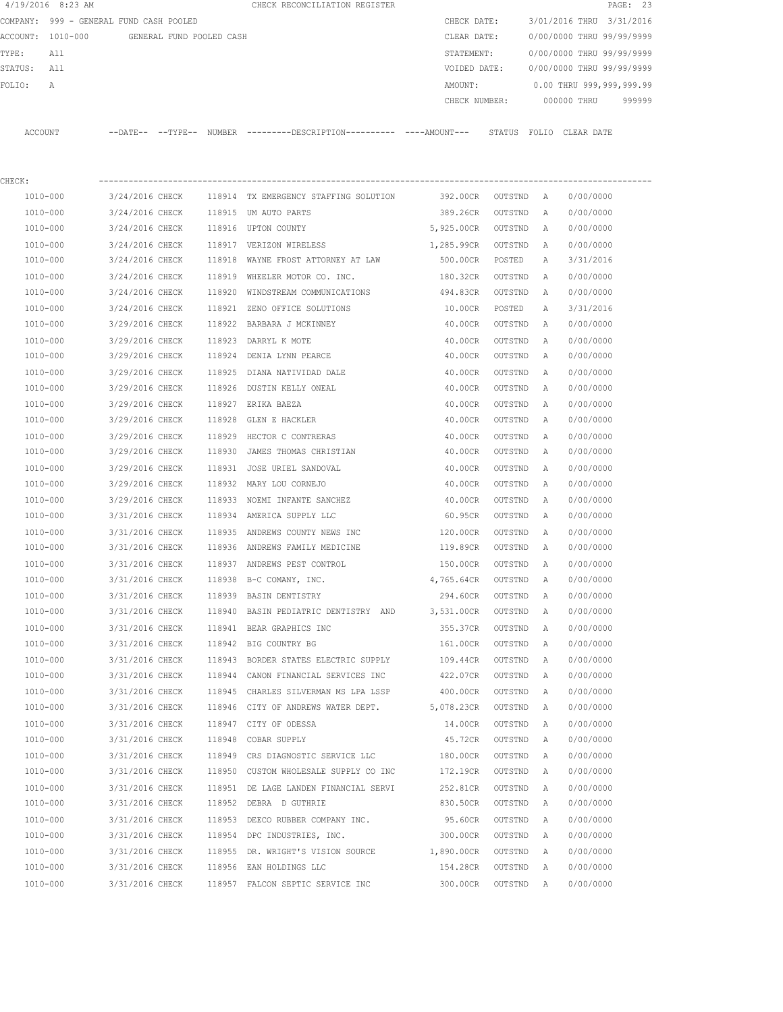|         | 4/19/2016 8:23 AM                          |                        |  | CHECK RECONCILIATION REGISTER                       |  |               |        |                           |             | PAGE: 23 |        |
|---------|--------------------------------------------|------------------------|--|-----------------------------------------------------|--|---------------|--------|---------------------------|-------------|----------|--------|
|         | COMPANY: 999 - GENERAL FUND CASH POOLED    |                        |  |                                                     |  | CHECK DATE:   |        | 3/01/2016 THRU 3/31/2016  |             |          |        |
|         | ACCOUNT: 1010-000 GENERAL FUND POOLED CASH |                        |  |                                                     |  | CLEAR DATE:   |        | 0/00/0000 THRU 99/99/9999 |             |          |        |
| TYPE:   | All                                        |                        |  |                                                     |  | STATEMENT:    |        | 0/00/0000 THRU 99/99/9999 |             |          |        |
| STATUS: | All                                        |                        |  |                                                     |  | VOIDED DATE:  |        | 0/00/0000 THRU 99/99/9999 |             |          |        |
| FOLIO:  | $\mathsf{A}$                               |                        |  |                                                     |  | AMOUNT:       |        | 0.00 THRU 999,999,999.99  |             |          |        |
|         |                                            |                        |  |                                                     |  | CHECK NUMBER: |        |                           | 000000 THRU |          | 999999 |
|         |                                            |                        |  |                                                     |  |               |        |                           |             |          |        |
| ACCOUNT |                                            | $---DATF------TYPF---$ |  | NUMBER ---------DESCRIPTION---------- ----AMOUNT--- |  |               | STATUS | FOLIO CLEAR DATE          |             |          |        |
|         |                                            |                        |  |                                                     |  |               |        |                           |             |          |        |
|         |                                            |                        |  |                                                     |  |               |        |                           |             |          |        |

| CHECK:       |                 |        |                                                |            |         |              |           |
|--------------|-----------------|--------|------------------------------------------------|------------|---------|--------------|-----------|
| 1010-000     | 3/24/2016 CHECK |        | 118914 TX EMERGENCY STAFFING SOLUTION 392.00CR |            | OUTSTND | <b>A</b>     | 0/00/0000 |
| 1010-000     | 3/24/2016 CHECK |        | 118915 UM AUTO PARTS                           | 389.26CR   | OUTSTND | Α            | 0/00/0000 |
| 1010-000     | 3/24/2016 CHECK |        | 118916 UPTON COUNTY                            | 5,925.00CR | OUTSTND | Α            | 0/00/0000 |
| 1010-000     | 3/24/2016 CHECK |        | 118917 VERIZON WIRELESS                        | 1,285.99CR | OUTSTND | Α            | 0/00/0000 |
| 1010-000     | 3/24/2016 CHECK | 118918 | WAYNE FROST ATTORNEY AT LAW                    | 500.00CR   | POSTED  | Α            | 3/31/2016 |
| 1010-000     | 3/24/2016 CHECK | 118919 | WHEELER MOTOR CO. INC.                         | 180.32CR   | OUTSTND | $\mathbb{A}$ | 0/00/0000 |
| 1010-000     | 3/24/2016 CHECK | 118920 | WINDSTREAM COMMUNICATIONS                      | 494.83CR   | OUTSTND | Α            | 0/00/0000 |
| 1010-000     | 3/24/2016 CHECK | 118921 | ZENO OFFICE SOLUTIONS                          | 10.00CR    | POSTED  | Α            | 3/31/2016 |
| 1010-000     | 3/29/2016 CHECK | 118922 | BARBARA J MCKINNEY                             | 40.00CR    | OUTSTND | Α            | 0/00/0000 |
| 1010-000     | 3/29/2016 CHECK | 118923 | DARRYL K MOTE                                  | 40.00CR    | OUTSTND | Α            | 0/00/0000 |
| 1010-000     | 3/29/2016 CHECK | 118924 | DENIA LYNN PEARCE                              | 40.00CR    | OUTSTND | Α            | 0/00/0000 |
| 1010-000     | 3/29/2016 CHECK | 118925 | DIANA NATIVIDAD DALE                           | 40.00CR    | OUTSTND | Α            | 0/00/0000 |
| 1010-000     | 3/29/2016 CHECK | 118926 | DUSTIN KELLY ONEAL                             | 40.00CR    | OUTSTND | Α            | 0/00/0000 |
| 1010-000     | 3/29/2016 CHECK |        | 118927 ERIKA BAEZA                             | 40.00CR    | OUTSTND | Α            | 0/00/0000 |
| 1010-000     | 3/29/2016 CHECK |        | 118928 GLEN E HACKLER                          | 40.00CR    | OUTSTND | Α            | 0/00/0000 |
| 1010-000     | 3/29/2016 CHECK | 118929 | HECTOR C CONTRERAS                             | 40.00CR    | OUTSTND | Α            | 0/00/0000 |
| 1010-000     | 3/29/2016 CHECK | 118930 | JAMES THOMAS CHRISTIAN                         | 40.00CR    | OUTSTND | Α            | 0/00/0000 |
| 1010-000     | 3/29/2016 CHECK | 118931 | JOSE URIEL SANDOVAL                            | 40.00CR    | OUTSTND | A            | 0/00/0000 |
| 1010-000     | 3/29/2016 CHECK |        | 118932 MARY LOU CORNEJO                        | 40.00CR    | OUTSTND | A            | 0/00/0000 |
| 1010-000     | 3/29/2016 CHECK |        | 118933 NOEMI INFANTE SANCHEZ                   | 40.00CR    | OUTSTND | Α            | 0/00/0000 |
| 1010-000     | 3/31/2016 CHECK |        | 118934 AMERICA SUPPLY LLC                      | 60.95CR    | OUTSTND | Α            | 0/00/0000 |
| 1010-000     | 3/31/2016 CHECK | 118935 | ANDREWS COUNTY NEWS INC                        | 120.00CR   | OUTSTND | Α            | 0/00/0000 |
| 1010-000     | 3/31/2016 CHECK |        | 118936 ANDREWS FAMILY MEDICINE                 | 119.89CR   | OUTSTND | Α            | 0/00/0000 |
| 1010-000     | 3/31/2016 CHECK |        | 118937 ANDREWS PEST CONTROL                    | 150.00CR   | OUTSTND | Α            | 0/00/0000 |
| 1010-000     | 3/31/2016 CHECK | 118938 | B-C COMANY, INC.                               | 4,765.64CR | OUTSTND | Α            | 0/00/0000 |
| 1010-000     | 3/31/2016 CHECK |        | 118939 BASIN DENTISTRY                         | 294.60CR   | OUTSTND | Α            | 0/00/0000 |
| 1010-000     | 3/31/2016 CHECK | 118940 | BASIN PEDIATRIC DENTISTRY AND                  | 3,531.00CR | OUTSTND | Α            | 0/00/0000 |
| 1010-000     | 3/31/2016 CHECK | 118941 | BEAR GRAPHICS INC                              | 355.37CR   | OUTSTND | Α            | 0/00/0000 |
| 1010-000     | 3/31/2016 CHECK |        | 118942 BIG COUNTRY BG                          | 161.00CR   | OUTSTND | Α            | 0/00/0000 |
| 1010-000     | 3/31/2016 CHECK | 118943 | BORDER STATES ELECTRIC SUPPLY                  | 109.44CR   | OUTSTND | Α            | 0/00/0000 |
| 1010-000     | 3/31/2016 CHECK | 118944 | CANON FINANCIAL SERVICES INC                   | 422.07CR   | OUTSTND | Α            | 0/00/0000 |
| 1010-000     | 3/31/2016 CHECK | 118945 | CHARLES SILVERMAN MS LPA LSSP                  | 400.00CR   | OUTSTND | Α            | 0/00/0000 |
| 1010-000     | 3/31/2016 CHECK |        | 118946 CITY OF ANDREWS WATER DEPT. 5,078.23CR  |            | OUTSTND | Α            | 0/00/0000 |
| 1010-000     | 3/31/2016 CHECK | 118947 | CITY OF ODESSA                                 | 14.00CR    | OUTSTND | Α            | 0/00/0000 |
| 1010-000     | 3/31/2016 CHECK |        | 118948 COBAR SUPPLY                            | 45.72CR    | OUTSTND | A            | 0/00/0000 |
| 1010-000     | 3/31/2016 CHECK |        | 118949 CRS DIAGNOSTIC SERVICE LLC              | 180.00CR   | OUTSTND | Α            | 0/00/0000 |
| 1010-000     | 3/31/2016 CHECK | 118950 | CUSTOM WHOLESALE SUPPLY CO INC                 | 172.19CR   | OUTSTND | Α            | 0/00/0000 |
| 1010-000     | 3/31/2016 CHECK |        | 118951 DE LAGE LANDEN FINANCIAL SERVI          | 252.81CR   | OUTSTND | Α            | 0/00/0000 |
| 1010-000     | 3/31/2016 CHECK | 118952 | DEBRA D GUTHRIE                                | 830.50CR   | OUTSTND | Α            | 0/00/0000 |
| 1010-000     | 3/31/2016 CHECK | 118953 | DEECO RUBBER COMPANY INC.                      | 95.60CR    | OUTSTND | Α            | 0/00/0000 |
| 1010-000     | 3/31/2016 CHECK | 118954 | DPC INDUSTRIES, INC.                           | 300.00CR   | OUTSTND | Α            | 0/00/0000 |
| $1010 - 000$ | 3/31/2016 CHECK | 118955 | DR. WRIGHT'S VISION SOURCE                     | 1,890.00CR | OUTSTND | Α            | 0/00/0000 |
| 1010-000     | 3/31/2016 CHECK | 118956 | EAN HOLDINGS LLC                               | 154.28CR   | OUTSTND | Α            | 0/00/0000 |
| 1010-000     | 3/31/2016 CHECK |        | 118957 FALCON SEPTIC SERVICE INC               | 300.00CR   | OUTSTND | Α            | 0/00/0000 |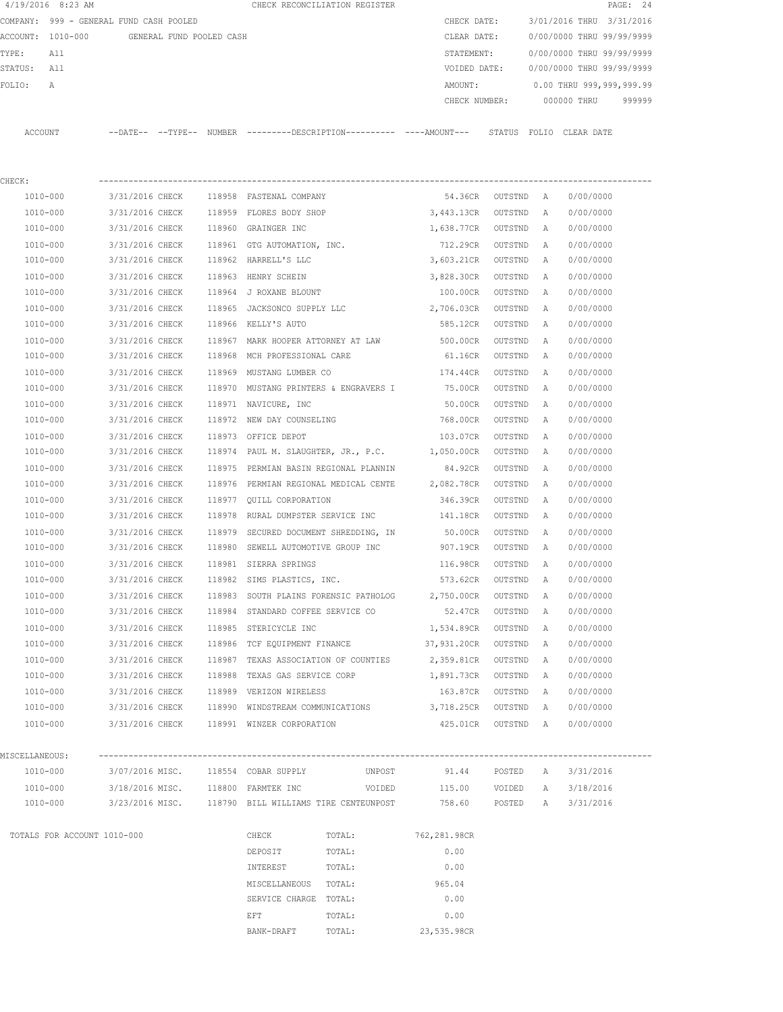|                | $4/19/2016$ 8:23 AM                        |                 |        |                                                   | CHECK RECONCILIATION REGISTER                        |                                                                                               |                   |              |                           | PAGE: 24 |
|----------------|--------------------------------------------|-----------------|--------|---------------------------------------------------|------------------------------------------------------|-----------------------------------------------------------------------------------------------|-------------------|--------------|---------------------------|----------|
|                | COMPANY: 999 - GENERAL FUND CASH POOLED    |                 |        |                                                   |                                                      | CHECK DATE:                                                                                   |                   |              | 3/01/2016 THRU 3/31/2016  |          |
|                | ACCOUNT: 1010-000 GENERAL FUND POOLED CASH |                 |        |                                                   |                                                      | CLEAR DATE:                                                                                   |                   |              | 0/00/0000 THRU 99/99/9999 |          |
| TYPE:          | All                                        |                 |        |                                                   |                                                      | STATEMENT:                                                                                    |                   |              | 0/00/0000 THRU 99/99/9999 |          |
| STATUS:        | All                                        |                 |        |                                                   |                                                      | VOIDED DATE:                                                                                  |                   |              | 0/00/0000 THRU 99/99/9999 |          |
| FOLIO:         | Α                                          |                 |        |                                                   |                                                      | AMOUNT:                                                                                       |                   |              | 0.00 THRU 999,999,999.99  |          |
|                |                                            |                 |        |                                                   |                                                      | CHECK NUMBER:                                                                                 |                   |              | 000000 THRU               | 999999   |
|                |                                            |                 |        |                                                   |                                                      |                                                                                               |                   |              |                           |          |
|                | ACCOUNT                                    |                 |        |                                                   |                                                      | --DATE-- --TYPE-- NUMBER ---------DESCRIPTION---------- ----AMOUNT--- STATUS FOLIO CLEAR DATE |                   |              |                           |          |
|                |                                            |                 |        |                                                   |                                                      |                                                                                               |                   |              |                           |          |
|                |                                            |                 |        |                                                   |                                                      |                                                                                               |                   |              |                           |          |
| CHECK:         |                                            |                 |        |                                                   |                                                      |                                                                                               |                   |              |                           |          |
|                | 1010-000                                   | 3/31/2016 CHECK |        | 118958 FASTENAL COMPANY                           |                                                      |                                                                                               | 54.36CR OUTSTND A |              | 0/00/0000                 |          |
|                | 1010-000                                   | 3/31/2016 CHECK |        | 118959 FLORES BODY SHOP                           |                                                      | 3,443.13CR                                                                                    | OUTSTND           | Α            | 0/00/0000                 |          |
|                | 1010-000                                   | 3/31/2016 CHECK |        | 118960 GRAINGER INC                               |                                                      | 1,638.77CR                                                                                    | OUTSTND           | A            | 0/00/0000                 |          |
|                | 1010-000                                   | 3/31/2016 CHECK |        | 118961 GTG AUTOMATION, INC.                       |                                                      | 712.29CR                                                                                      | OUTSTND           | Α            | 0/00/0000                 |          |
|                | 1010-000                                   | 3/31/2016 CHECK |        | 118962 HARRELL'S LLC                              |                                                      | 3,603.21CR                                                                                    | OUTSTND           | Α            | 0/00/0000                 |          |
|                | 1010-000                                   | 3/31/2016 CHECK |        | 118963 HENRY SCHEIN                               |                                                      | 3,828.30CR                                                                                    | OUTSTND           | A            | 0/00/0000                 |          |
|                | 1010-000                                   | 3/31/2016 CHECK |        | 118964 J ROXANE BLOUNT                            |                                                      | 100.00CR                                                                                      | OUTSTND           | A            | 0/00/0000                 |          |
|                | 1010-000                                   | 3/31/2016 CHECK |        | 118965 JACKSONCO SUPPLY LLC                       |                                                      | 2,706.03CR                                                                                    | OUTSTND           | A            | 0/00/0000                 |          |
|                | 1010-000                                   | 3/31/2016 CHECK |        | 118966 KELLY'S AUTO                               |                                                      | 585.12CR                                                                                      | OUTSTND           | A            | 0/00/0000                 |          |
|                | 1010-000                                   | 3/31/2016 CHECK |        |                                                   | 118967 MARK HOOPER ATTORNEY AT LAW 500.00CR          |                                                                                               | OUTSTND           | Α            | 0/00/0000                 |          |
|                | 1010-000                                   | 3/31/2016 CHECK |        | 118968 MCH PROFESSIONAL CARE                      |                                                      | 61.16CR                                                                                       | OUTSTND           | A            | 0/00/0000                 |          |
|                | 1010-000                                   | 3/31/2016 CHECK | 118969 | MUSTANG LUMBER CO                                 |                                                      | 174.44CR                                                                                      | OUTSTND           | A            | 0/00/0000                 |          |
|                | 1010-000                                   | 3/31/2016 CHECK |        |                                                   | 118970 MUSTANG PRINTERS & ENGRAVERS I 75.00CR        |                                                                                               | OUTSTND           | Α            | 0/00/0000                 |          |
|                | 1010-000                                   | 3/31/2016 CHECK |        |                                                   |                                                      | 50.00CR                                                                                       |                   |              | 0/00/0000                 |          |
|                | 1010-000                                   |                 |        | 118971 NAVICURE, INC                              |                                                      |                                                                                               | OUTSTND           | Α            |                           |          |
|                |                                            | 3/31/2016 CHECK |        | 118972 NEW DAY COUNSELING                         |                                                      | 768.00CR                                                                                      | OUTSTND           | Α            | 0/00/0000                 |          |
|                | 1010-000                                   | 3/31/2016 CHECK |        | 118973 OFFICE DEPOT                               |                                                      | 103.07CR                                                                                      | OUTSTND           | Α            | 0/00/0000                 |          |
|                | 1010-000                                   | 3/31/2016 CHECK |        |                                                   | 118974 PAUL M. SLAUGHTER, JR., P.C.                  | 1,050.00CR                                                                                    | OUTSTND           | A            | 0/00/0000                 |          |
|                | 1010-000                                   | 3/31/2016 CHECK | 118975 |                                                   | PERMIAN BASIN REGIONAL PLANNIN                       | 84.92CR                                                                                       | OUTSTND           | A            | 0/00/0000                 |          |
|                | 1010-000                                   | 3/31/2016 CHECK | 118976 |                                                   | PERMIAN REGIONAL MEDICAL CENTE                       | 2,082.78CR                                                                                    | OUTSTND           | Α            | 0/00/0000                 |          |
|                | 1010-000                                   | 3/31/2016 CHECK |        | 118977 QUILL CORPORATION                          |                                                      | 346.39CR                                                                                      | OUTSTND           | A            | 0/00/0000                 |          |
|                | 1010-000                                   | 3/31/2016 CHECK | 118978 |                                                   | RURAL DUMPSTER SERVICE INC                           | 141.18CR                                                                                      | OUTSTND           | A            | 0/00/0000                 |          |
|                | 1010-000                                   | 3/31/2016 CHECK |        |                                                   | 118979 SECURED DOCUMENT SHREDDING, IN                | 50.00CR                                                                                       | OUTSTND           | A            | 0/00/0000                 |          |
|                | 1010-000                                   | 3/31/2016 CHECK |        |                                                   | 118980 SEWELL AUTOMOTIVE GROUP INC                   | 907.19CR                                                                                      | OUTSTND           | A            | 0/00/0000                 |          |
|                | 1010-000                                   | 3/31/2016 CHECK |        | 118981 SIERRA SPRINGS                             |                                                      | 116.98CR                                                                                      | OUTSTND           | A            | 0/00/0000                 |          |
|                | 1010-000                                   | 3/31/2016 CHECK |        | 118982 SIMS PLASTICS, INC.                        |                                                      | 573.62CR                                                                                      | OUTSTND A         |              | 0/00/0000                 |          |
|                | 1010-000                                   | 3/31/2016 CHECK |        |                                                   |                                                      | 118983 SOUTH PLAINS FORENSIC PATHOLOG 2,750.00CR                                              | OUTSTND           | Α            | 0/00/0000                 |          |
|                | 1010-000                                   |                 |        | 3/31/2016 CHECK 118984 STANDARD COFFEE SERVICE CO |                                                      | 52.47CR OUTSTND                                                                               |                   | Α            | 0/00/0000                 |          |
|                | 1010-000                                   |                 |        | 3/31/2016 CHECK 118985 STERICYCLE INC             |                                                      | 1,534.89CR OUTSTND                                                                            |                   | $\mathbb{A}$ | 0/00/0000                 |          |
|                | 1010-000                                   |                 |        | 3/31/2016 CHECK 118986 TCF EQUIPMENT FINANCE      |                                                      | 37,931.20CR OUTSTND                                                                           |                   | A            | 0/00/0000                 |          |
|                | 1010-000                                   |                 |        |                                                   | 3/31/2016 CHECK 118987 TEXAS ASSOCIATION OF COUNTIES | 2,359.81CR OUTSTND A                                                                          |                   |              | 0/00/0000                 |          |
|                | 1010-000                                   | 3/31/2016 CHECK |        | 118988 TEXAS GAS SERVICE CORP                     |                                                      | 1,891.73CR OUTSTND A                                                                          |                   |              | 0/00/0000                 |          |
|                | 1010-000                                   |                 |        | 3/31/2016 CHECK 118989 VERIZON WIRELESS           |                                                      | 163.87CR OUTSTND A                                                                            |                   |              | 0/00/0000                 |          |
|                | 1010-000                                   |                 |        |                                                   |                                                      | 3/31/2016 CHECK 118990 WINDSTREAM COMMUNICATIONS 3,718.25CR OUTSTND A                         |                   |              | 0/00/0000                 |          |
|                | 1010-000                                   |                 |        |                                                   | 3/31/2016 CHECK 118991 WINZER CORPORATION            | 425.01CR OUTSTND A                                                                            |                   |              | 0/00/0000                 |          |
|                |                                            |                 |        |                                                   |                                                      |                                                                                               |                   |              |                           |          |
| MISCELLANEOUS: |                                            |                 |        |                                                   |                                                      |                                                                                               |                   |              |                           |          |
|                | 1010-000                                   |                 |        | 3/07/2016 MISC. 118554 COBAR SUPPLY               |                                                      | UNPOST 91.44 POSTED                                                                           |                   | A            | 3/31/2016                 |          |
|                |                                            |                 |        |                                                   |                                                      | 1010-000 3/18/2016 MISC. 118800 FARMTEK INC  VOIDED 115.00 VOIDED                             |                   | A            | 3/18/2016                 |          |
|                |                                            |                 |        |                                                   |                                                      | 3/23/2016 MISC. 118790 BILL WILLIAMS TIRE CENTEUNPOST 758.60 POSTED                           |                   |              |                           |          |
|                | 1010-000                                   |                 |        |                                                   |                                                      |                                                                                               |                   | A            | 3/31/2016                 |          |
|                |                                            |                 |        |                                                   |                                                      |                                                                                               |                   |              |                           |          |
|                | TOTALS FOR ACCOUNT 1010-000                |                 |        | CHECK                                             | TOTAL:                                               | 762,281.98CR                                                                                  |                   |              |                           |          |
|                |                                            |                 |        | DEPOSIT                                           | TOTAL:                                               | 0.00                                                                                          |                   |              |                           |          |
|                |                                            |                 |        | INTEREST                                          | TOTAL:                                               | 0.00                                                                                          |                   |              |                           |          |
|                |                                            |                 |        | MISCELLANEOUS TOTAL:                              |                                                      | 965.04                                                                                        |                   |              |                           |          |
|                |                                            |                 |        | SERVICE CHARGE TOTAL:                             |                                                      | 0.00                                                                                          |                   |              |                           |          |
|                |                                            |                 |        | EFT                                               | TOTAL:                                               | 0.00                                                                                          |                   |              |                           |          |
|                |                                            |                 |        | BANK-DRAFT                                        | TOTAL:                                               | 23,535.98CR                                                                                   |                   |              |                           |          |
|                |                                            |                 |        |                                                   |                                                      |                                                                                               |                   |              |                           |          |